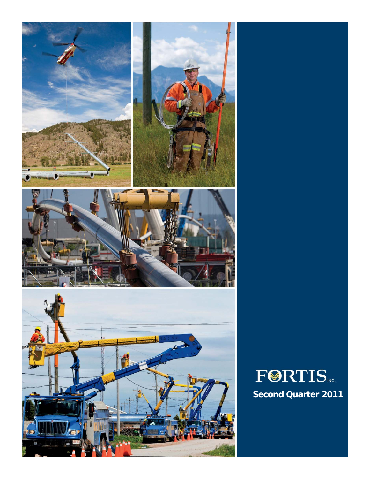

**FØRTIS Second Quarter 2011**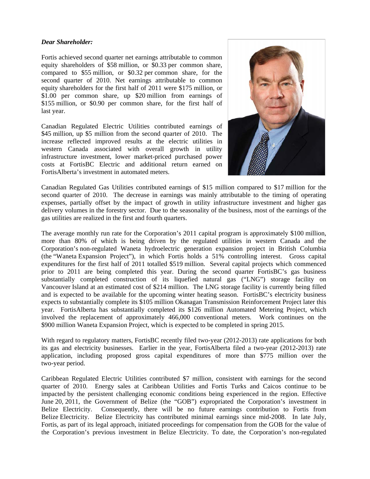### *Dear Shareholder:*

Fortis achieved second quarter net earnings attributable to common equity shareholders of \$58 million, or \$0.33 per common share, compared to \$55 million, or \$0.32 per common share, for the second quarter of 2010. Net earnings attributable to common equity shareholders for the first half of 2011 were \$175 million, or \$1.00 per common share, up \$20 million from earnings of \$155 million, or \$0.90 per common share, for the first half of last year.

Canadian Regulated Electric Utilities contributed earnings of \$45 million, up \$5 million from the second quarter of 2010. The increase reflected improved results at the electric utilities in western Canada associated with overall growth in utility infrastructure investment, lower market-priced purchased power costs at FortisBC Electric and additional return earned on FortisAlberta's investment in automated meters.



Canadian Regulated Gas Utilities contributed earnings of \$15 million compared to \$17 million for the second quarter of 2010. The decrease in earnings was mainly attributable to the timing of operating expenses, partially offset by the impact of growth in utility infrastructure investment and higher gas delivery volumes in the forestry sector. Due to the seasonality of the business, most of the earnings of the gas utilities are realized in the first and fourth quarters.

The average monthly run rate for the Corporation's 2011 capital program is approximately \$100 million, more than 80% of which is being driven by the regulated utilities in western Canada and the Corporation's non-regulated Waneta hydroelectric generation expansion project in British Columbia (the "Waneta Expansion Project"), in which Fortis holds a 51% controlling interest. Gross capital expenditures for the first half of 2011 totalled \$519 million. Several capital projects which commenced prior to 2011 are being completed this year. During the second quarter FortisBC's gas business substantially completed construction of its liquefied natural gas ("LNG") storage facility on Vancouver Island at an estimated cost of \$214 million. The LNG storage facility is currently being filled and is expected to be available for the upcoming winter heating season. FortisBC's electricity business expects to substantially complete its \$105 million Okanagan Transmission Reinforcement Project later this year. FortisAlberta has substantially completed its \$126 million Automated Metering Project, which involved the replacement of approximately 466,000 conventional meters. Work continues on the \$900 million Waneta Expansion Project, which is expected to be completed in spring 2015.

With regard to regulatory matters, FortisBC recently filed two-year (2012-2013) rate applications for both its gas and electricity businesses. Earlier in the year, FortisAlberta filed a two-year (2012-2013) rate application, including proposed gross capital expenditures of more than \$775 million over the two-year period.

Caribbean Regulated Electric Utilities contributed \$7 million, consistent with earnings for the second quarter of 2010. Energy sales at Caribbean Utilities and Fortis Turks and Caicos continue to be impacted by the persistent challenging economic conditions being experienced in the region. Effective June 20, 2011, the Government of Belize (the "GOB") expropriated the Corporation's investment in Belize Electricity. Consequently, there will be no future earnings contribution to Fortis from Belize Electricity. Belize Electricity has contributed minimal earnings since mid-2008. In late July, Fortis, as part of its legal approach, initiated proceedings for compensation from the GOB for the value of the Corporation's previous investment in Belize Electricity. To date, the Corporation's non-regulated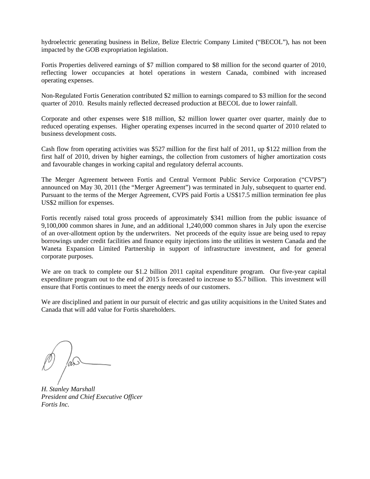hydroelectric generating business in Belize, Belize Electric Company Limited ("BECOL"), has not been impacted by the GOB expropriation legislation.

Fortis Properties delivered earnings of \$7 million compared to \$8 million for the second quarter of 2010, reflecting lower occupancies at hotel operations in western Canada, combined with increased operating expenses.

Non-Regulated Fortis Generation contributed \$2 million to earnings compared to \$3 million for the second quarter of 2010. Results mainly reflected decreased production at BECOL due to lower rainfall.

Corporate and other expenses were \$18 million, \$2 million lower quarter over quarter, mainly due to reduced operating expenses. Higher operating expenses incurred in the second quarter of 2010 related to business development costs.

Cash flow from operating activities was \$527 million for the first half of 2011, up \$122 million from the first half of 2010, driven by higher earnings, the collection from customers of higher amortization costs and favourable changes in working capital and regulatory deferral accounts.

The Merger Agreement between Fortis and Central Vermont Public Service Corporation ("CVPS") announced on May 30, 2011 (the "Merger Agreement") was terminated in July, subsequent to quarter end. Pursuant to the terms of the Merger Agreement, CVPS paid Fortis a US\$17.5 million termination fee plus US\$2 million for expenses.

Fortis recently raised total gross proceeds of approximately \$341 million from the public issuance of 9,100,000 common shares in June, and an additional 1,240,000 common shares in July upon the exercise of an over-allotment option by the underwriters. Net proceeds of the equity issue are being used to repay borrowings under credit facilities and finance equity injections into the utilities in western Canada and the Waneta Expansion Limited Partnership in support of infrastructure investment, and for general corporate purposes.

We are on track to complete our \$1.2 billion 2011 capital expenditure program. Our five-year capital expenditure program out to the end of 2015 is forecasted to increase to \$5.7 billion. This investment will ensure that Fortis continues to meet the energy needs of our customers.

We are disciplined and patient in our pursuit of electric and gas utility acquisitions in the United States and Canada that will add value for Fortis shareholders.

*H. Stanley Marshall President and Chief Executive Officer Fortis Inc.*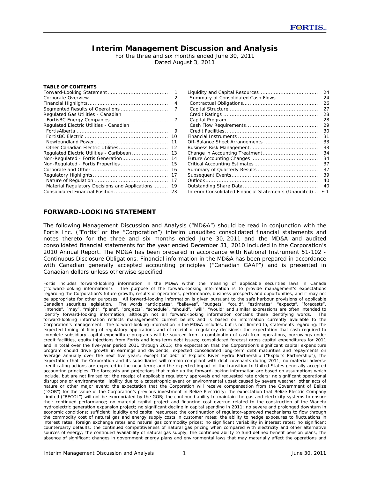# **Interim Management Discussion and Analysis**

For the three and six months ended June 30, 2011 Dated August 3, 2011

#### **TABLE OF CONTENTS**

|                                                | 1  |
|------------------------------------------------|----|
|                                                | 2  |
|                                                | 4  |
|                                                | 7  |
| Regulated Gas Utilities - Canadian             |    |
|                                                |    |
| Regulated Electric Utilities - Canadian        |    |
|                                                | 9  |
|                                                | 10 |
|                                                | 11 |
|                                                | 12 |
| Regulated Electric Utilities - Caribbean       | 13 |
| Non-Regulated - Fortis Generation              | 14 |
| Non-Regulated - Fortis Properties              | 15 |
|                                                | 16 |
|                                                | 17 |
|                                                | 17 |
| Material Regulatory Decisions and Applications | 19 |
|                                                | 23 |

|                                                       | 24      |
|-------------------------------------------------------|---------|
| Summary of Consolidated Cash Flows                    | 24      |
|                                                       | 26      |
|                                                       | 27      |
|                                                       | 28      |
|                                                       | 28      |
|                                                       | 29      |
|                                                       | 30      |
|                                                       | 31      |
| Off-Balance Sheet Arrangements                        | 33      |
|                                                       | 33      |
|                                                       | 34      |
|                                                       | 34      |
|                                                       | 37      |
|                                                       | 37      |
|                                                       | 39      |
|                                                       | 40      |
|                                                       | 40      |
| Interim Consolidated Financial Statements (Unaudited) | $F - 1$ |

#### **FORWARD-LOOKING STATEMENT**

The following Management Discussion and Analysis ("MD&A") should be read in conjunction with the Fortis Inc. ("Fortis" or the "Corporation") interim unaudited consolidated financial statements and notes thereto for the three and six months ended June 30, 2011 and the MD&A and audited consolidated financial statements for the year ended December 31, 2010 included in the Corporation's 2010 Annual Report. The MD&A has been prepared in accordance with National Instrument 51-102 - *Continuous Disclosure Obligations.* Financial information in the MD&A has been prepared in accordance with Canadian generally accepted accounting principles ("Canadian GAAP") and is presented in Canadian dollars unless otherwise specified.

*Fortis includes forward-looking information in the MD&A within the meaning of applicable securities laws in Canada ("forward-looking information"). The purpose of the forward-looking information is to provide management's expectations regarding the Corporation's future growth, results of operations, performance, business prospects and opportunities, and it may not be appropriate for other purposes. All forward-looking information is given pursuant to the safe harbour provisions of applicable Canadian securities legislation. The words "anticipates", "believes", "budgets", "could", "estimates", "expects", "forecasts", "intends", "may", "might", "plans", "projects", "schedule", "should", "will", "would" and similar expressions are often intended to identify forward-looking information, although not all forward-looking information contains these identifying words. The*  forward-looking information reflects management's current beliefs and is based on information currently available to the *Corporation's management. The forward-looking information in the MD&A includes, but is not limited to, statements regarding: the expected timing of filing of regulatory applications and of receipt of regulatory decisions; the expectation that cash required to*  complete subsidiary capital expenditure programs will be sourced from a combination of cash from operations, borrowings under *credit facilities, equity injections from Fortis and long-term debt issues; consolidated forecast gross capital expenditures for 2011 and in total over the five-year period 2011 through 2015; the expectation that the Corporation's significant capital expenditure program should drive growth in earnings and dividends; expected consolidated long-term debt maturities and repayments on average annually over the next five years; except for debt at Exploits River Hydro Partnership ("Exploits Partnership"), the expectation that the Corporation and its subsidiaries will remain compliant with debt covenants during 2011; no material adverse credit rating actions are expected in the near term; and the expected impact of the transition to United States generally accepted accounting principles. The forecasts and projections that make up the forward-looking information are based on assumptions which*  include, but are not limited to: the receipt of applicable regulatory approvals and requested rate orders; no significant operational *disruptions or environmental liability due to a catastrophic event or environmental upset caused by severe weather, other acts of nature or other major event; the expectation that the Corporation will receive compensation from the Government of Belize ("GOB") for the value of the Corporation's previous investment in Belize Electricity; the expectation that Belize Electric Company Limited ("BECOL") will not be expropriated by the GOB; the continued ability to maintain the gas and electricity systems to ensure their continued performance; no material capital project and financing cost overrun related to the construction of the Waneta hydroelectric generation expansion project; no significant decline in capital spending in 2011; no severe and prolonged downturn in economic conditions; sufficient liquidity and capital resources; the continuation of regulator-approved mechanisms to flow through the commodity cost of natural gas and energy supply costs in customer rates; the ability to hedge exposures to fluctuations in interest rates, foreign exchange rates and natural gas commodity prices; no significant variability in interest rates; no significant counterparty defaults; the continued competitiveness of natural gas pricing when compared with electricity and other alternative*  sources of energy; the continued availability of natural gas supply; the continued ability to fund defined benefit pension plans; the *absence of significant changes in government energy plans and environmental laws that may materially affect the operations and*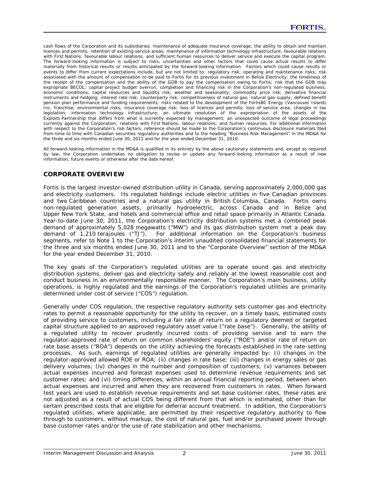*cash flows of the Corporation and its subsidiaries; maintenance of adequate insurance coverage; the ability to obtain and maintain licences and permits; retention of existing service areas; maintenance of information technology infrastructure; favourable relations with First Nations; favourable labour relations; and sufficient human resources to deliver service and execute the capital program. The forward-looking information is subject to risks, uncertainties and other factors that could cause actual results to differ materially from historical results or results anticipated by the forward-looking information. Factors which could cause results or events to differ from current expectations include, but are not limited to: regulatory risk; operating and maintenance risks; risk associated with the amount of compensation to be paid to Fortis for its previous investment in Belize Electricity; the timeliness of the receipt of the compensation and the ability of the GOB to pay the compensation owing to Fortis; risk that the GOB may expropriate BECOL; capital project budget overrun, completion and financing risk in the Corporation's non-regulated business; economic conditions; capital resources and liquidity risk; weather and seasonality; commodity price risk; derivative financial instruments and hedging; interest rate risk; counterparty risk; competitiveness of natural gas; natural gas supply; defined benefit pension plan performance and funding requirements; risks related to the development of the FortisBC Energy (Vancouver Island) Inc. franchise; environmental risks; insurance coverage risk; loss of licences and permits; loss of service area; changes in tax*  legislation; information technology infrastructure; an ultimate resolution of the expropriation of the assets of the *Exploits Partnership that differs from what is currently expected by management; an unexpected outcome of legal proceedings currently against the Corporation; relations with First Nations; labour relations; and human resources. For additional information with respect to the Corporation's risk factors, reference should be made to the Corporation's continuous disclosure materials filed from time to time with Canadian securities regulatory authorities and to the heading "Business Risk Management" in the MD&A for the three and six months ended June 30, 2011 and for the year ended December 31, 2010.* 

*All forward-looking information in the MD&A is qualified in its entirety by the above cautionary statements and, except as required by law, the Corporation undertakes no obligation to revise or update any forward-looking information as a result of new information, future events or otherwise after the date hereof.*

# **CORPORATE OVERVIEW**

Fortis is the largest investor-owned distribution utility in Canada, serving approximately 2,000,000 gas and electricity customers. Its regulated holdings include electric utilities in five Canadian provinces and two Caribbean countries and a natural gas utility in British Columbia, Canada. Fortis owns non-regulated generation assets, primarily hydroelectric, across Canada and in Belize and Upper New York State, and hotels and commercial office and retail space primarily in Atlantic Canada. Year-to-date June 30, 2011, the Corporation's electricity distribution systems met a combined peak demand of approximately 5,028 megawatts ("MW") and its gas distribution system met a peak day demand of 1,210 terajoules ("TJ"). For additional information on the Corporation's business segments, refer to Note 1 to the Corporation's interim unaudited consolidated financial statements for the three and six months ended June 30, 2011 and to the "Corporate Overview" section of the MD&A for the year ended December 31, 2010.

The key goals of the Corporation's regulated utilities are to operate sound gas and electricity distribution systems, deliver gas and electricity safely and reliably at the lowest reasonable cost and conduct business in an environmentally responsible manner. The Corporation's main business, utility operations, is highly regulated and the earnings of the Corporation's regulated utilities are primarily determined under cost of service ("COS") regulation.

Generally under COS regulation, the respective regulatory authority sets customer gas and electricity rates to permit a reasonable opportunity for the utility to recover, on a timely basis, estimated costs of providing service to customers, including a fair rate of return on a regulatory deemed or targeted capital structure applied to an approved regulatory asset value ("rate base"). Generally, the ability of a regulated utility to recover prudently incurred costs of providing service and to earn the regulator-approved rate of return on common shareholders' equity ("ROE") and/or rate of return on rate base assets ("ROA") depends on the utility achieving the forecasts established in the rate-setting processes. As such, earnings of regulated utilities are generally impacted by: (i) changes in the regulator-approved allowed ROE or ROA; (ii) changes in rate base; (iii) changes in energy sales or gas delivery volumes; (iv) changes in the number and composition of customers; (v) variances between actual expenses incurred and forecast expenses used to determine revenue requirements and set customer rates; and (vi) timing differences, within an annual financial reporting period, between when actual expenses are incurred and when they are recovered from customers in rates. When forward test years are used to establish revenue requirements and set base customer rates, these rates are not adjusted as a result of actual COS being different from that which is estimated, other than for certain prescribed costs that are eligible for deferral account treatment. In addition, the Corporation's regulated utilities, where applicable, are permitted by their respective regulatory authority to flow through to customers, without markup, the cost of natural gas, fuel and/or purchased power through base customer rates and/or the use of rate stabilization and other mechanisms.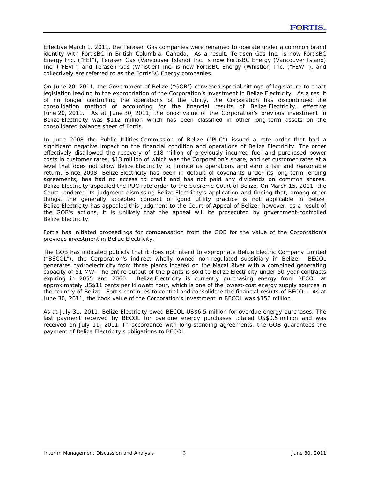Effective March 1, 2011, the Terasen Gas companies were renamed to operate under a common brand identity with FortisBC in British Columbia, Canada. As a result, Terasen Gas Inc. is now FortisBC Energy Inc. ("FEI"), Terasen Gas (Vancouver Island) Inc. is now FortisBC Energy (Vancouver Island) Inc. ("FEVI") and Terasen Gas (Whistler) Inc. is now FortisBC Energy (Whistler) Inc. ("FEWI"), and collectively are referred to as the FortisBC Energy companies.

On June 20, 2011, the Government of Belize ("GOB") convened special sittings of legislature to enact legislation leading to the expropriation of the Corporation's investment in Belize Electricity. As a result of no longer controlling the operations of the utility, the Corporation has discontinued the consolidation method of accounting for the financial results of Belize Electricity, effective June 20, 2011. As at June 30, 2011, the book value of the Corporation's previous investment in Belize Electricity was \$112 million which has been classified in other long-term assets on the consolidated balance sheet of Fortis.

In June 2008 the Public Utilities Commission of Belize ("PUC") issued a rate order that had a significant negative impact on the financial condition and operations of Belize Electricity. The order effectively disallowed the recovery of \$18 million of previously incurred fuel and purchased power costs in customer rates, \$13 million of which was the Corporation's share, and set customer rates at a level that does not allow Belize Electricity to finance its operations and earn a fair and reasonable return. Since 2008, Belize Electricity has been in default of covenants under its long-term lending agreements, has had no access to credit and has not paid any dividends on common shares. Belize Electricity appealed the PUC rate order to the Supreme Court of Belize. On March 15, 2011, the Court rendered its judgment dismissing Belize Electricity's application and finding that, among other things, the generally accepted concept of good utility practice is not applicable in Belize. Belize Electricity has appealed this judgment to the Court of Appeal of Belize; however, as a result of the GOB's actions, it is unlikely that the appeal will be prosecuted by government-controlled Belize Electricity.

Fortis has initiated proceedings for compensation from the GOB for the value of the Corporation's previous investment in Belize Electricity.

The GOB has indicated publicly that it does not intend to expropriate Belize Electric Company Limited ("BECOL"), the Corporation's indirect wholly owned non-regulated subsidiary in Belize. BECOL generates hydroelectricity from three plants located on the Macal River with a combined generating capacity of 51 MW. The entire output of the plants is sold to Belize Electricity under 50-year contracts expiring in 2055 and 2060. Belize Electricity is currently purchasing energy from BECOL at approximately US\$11 cents per kilowatt hour, which is one of the lowest-cost energy supply sources in the country of Belize. Fortis continues to control and consolidate the financial results of BECOL. As at June 30, 2011, the book value of the Corporation's investment in BECOL was \$150 million.

As at July 31, 2011, Belize Electricity owed BECOL US\$6.5 million for overdue energy purchases. The last payment received by BECOL for overdue energy purchases totaled US\$0.5 million and was received on July 11, 2011. In accordance with long-standing agreements, the GOB guarantees the payment of Belize Electricity's obligations to BECOL.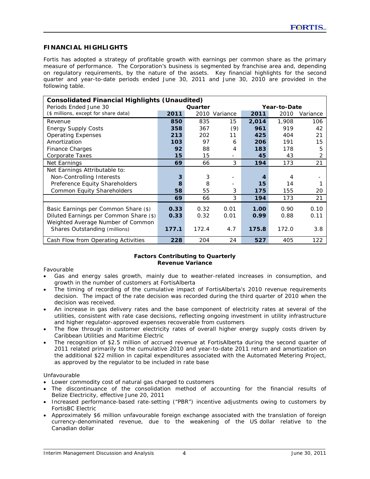# **FINANCIAL HIGHLIGHTS**

Fortis has adopted a strategy of profitable growth with earnings per common share as the primary measure of performance. The Corporation's business is segmented by franchise area and, depending on regulatory requirements, by the nature of the assets. Key financial highlights for the second quarter and year-to-date periods ended June 30, 2011 and June 30, 2010 are provided in the following table.

| <b>Consolidated Financial Highlights (Unaudited)</b> |       |         |               |       |              |          |  |  |
|------------------------------------------------------|-------|---------|---------------|-------|--------------|----------|--|--|
| Periods Ended June 30                                |       | Quarter |               |       | Year-to-Date |          |  |  |
| (\$ millions, except for share data)                 | 2011  |         | 2010 Variance | 2011  | 2010         | Variance |  |  |
| Revenue                                              | 850   | 835     | 15            | 2,014 | 1,908        | 106      |  |  |
| <b>Energy Supply Costs</b>                           | 358   | 367     | (9)           | 961   | 919          | 42       |  |  |
| <b>Operating Expenses</b>                            | 213   | 202     | 11            | 425   | 404          | 21       |  |  |
| Amortization                                         | 103   | 97      | 6             | 206   | 191          | 15       |  |  |
| <b>Finance Charges</b>                               | 92    | 88      | 4             | 183   | 178          | 5        |  |  |
| Corporate Taxes                                      | 15    | 15      |               | 45    | 43           | 2        |  |  |
| Net Earnings                                         | 69    | 66      | 3             | 194   | 173          | 21       |  |  |
| Net Earnings Attributable to:                        |       |         |               |       |              |          |  |  |
| Non-Controlling Interests                            | 3     | 3       |               | 4     | 4            |          |  |  |
| Preference Equity Shareholders                       | 8     | 8       |               | 15    | 14           |          |  |  |
| Common Equity Shareholders                           | 58    | 55      | 3             | 175   | 155          | 20       |  |  |
|                                                      | 69    | 66      | 3             | 194   | 173          | 21       |  |  |
| Basic Earnings per Common Share (\$)                 | 0.33  | 0.32    | 0.01          | 1.00  | 0.90         | 0.10     |  |  |
| Diluted Earnings per Common Share (\$)               | 0.33  | 0.32    | 0.01          | 0.99  | 0.88         | 0.11     |  |  |
| Weighted Average Number of Common                    |       |         |               |       |              |          |  |  |
| Shares Outstanding (millions)                        | 177.1 | 172.4   | 4.7           | 175.8 | 172.0        | 3.8      |  |  |
|                                                      |       |         |               |       |              |          |  |  |
| Cash Flow from Operating Activities                  | 228   | 204     | 24            | 527   | 405          | 122      |  |  |

### **Factors Contributing to Quarterly Revenue Variance**

### *Favourable*

- Gas and energy sales growth, mainly due to weather-related increases in consumption, and growth in the number of customers at FortisAlberta
- The timing of recording of the cumulative impact of FortisAlberta's 2010 revenue requirements decision. The impact of the rate decision was recorded during the third quarter of 2010 when the decision was received.
- An increase in gas delivery rates and the base component of electricity rates at several of the utilities, consistent with rate case decisions, reflecting ongoing investment in utility infrastructure and higher regulator-approved expenses recoverable from customers
- The flow through in customer electricity rates of overall higher energy supply costs driven by Caribbean Utilities and Maritime Electric
- The recognition of \$2.5 million of accrued revenue at FortisAlberta during the second quarter of 2011 related primarily to the cumulative 2010 and year-to-date 2011 return and amortization on the additional \$22 million in capital expenditures associated with the Automated Metering Project, as approved by the regulator to be included in rate base

### *Unfavourable*

- Lower commodity cost of natural gas charged to customers
- The discontinuance of the consolidation method of accounting for the financial results of Belize Electricity, effective June 20, 2011
- Increased performance-based rate-setting ("PBR") incentive adjustments owing to customers by FortisBC Electric
- Approximately \$6 million unfavourable foreign exchange associated with the translation of foreign currency-denominated revenue, due to the weakening of the US dollar relative to the Canadian dollar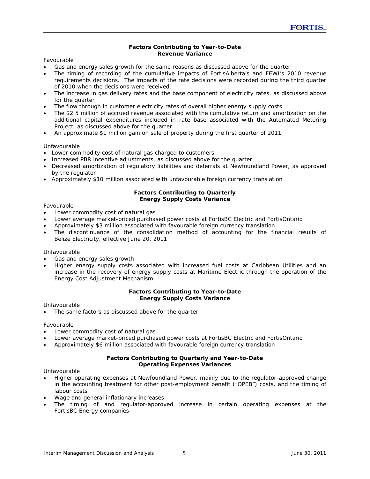### **Factors Contributing to Year-to-Date Revenue Variance**

### *Favourable*

- Gas and energy sales growth for the same reasons as discussed above for the quarter
- The timing of recording of the cumulative impacts of FortisAlberta's and FEWI's 2010 revenue requirements decisions. The impacts of the rate decisions were recorded during the third quarter of 2010 when the decisions were received.
- The increase in gas delivery rates and the base component of electricity rates, as discussed above for the quarter
- The flow through in customer electricity rates of overall higher energy supply costs
- The \$2.5 million of accrued revenue associated with the cumulative return and amortization on the additional capital expenditures included in rate base associated with the Automated Metering Project, as discussed above for the quarter
- An approximate \$1 million gain on sale of property during the first quarter of 2011

### *Unfavourable*

- Lower commodity cost of natural gas charged to customers
- Increased PBR incentive adjustments, as discussed above for the quarter
- Decreased amortization of regulatory liabilities and deferrals at Newfoundland Power, as approved by the regulator
- Approximately \$10 million associated with unfavourable foreign currency translation

### **Factors Contributing to Quarterly Energy Supply Costs Variance**

#### *Favourable*

- Lower commodity cost of natural gas
- Lower average market-priced purchased power costs at FortisBC Electric and FortisOntario
- Approximately \$3 million associated with favourable foreign currency translation
- The discontinuance of the consolidation method of accounting for the financial results of Belize Electricity, effective June 20, 2011

#### *Unfavourable*

- Gas and energy sales growth
- Higher energy supply costs associated with increased fuel costs at Caribbean Utilities and an increase in the recovery of energy supply costs at Maritime Electric through the operation of the Energy Cost Adjustment Mechanism

#### **Factors Contributing to Year-to-Date Energy Supply Costs Variance**

#### *Unfavourable*

The same factors as discussed above for the quarter

#### *Favourable*

- Lower commodity cost of natural gas
- Lower average market-priced purchased power costs at FortisBC Electric and FortisOntario
- Approximately \$6 million associated with favourable foreign currency translation

### **Factors Contributing to Quarterly and Year-to-Date Operating Expenses Variances**

#### *Unfavourable*

- Higher operating expenses at Newfoundland Power, mainly due to the regulator-approved change in the accounting treatment for other post-employment benefit ("OPEB") costs, and the timing of labour costs
- Wage and general inflationary increases
- The timing of and regulator-approved increase in certain operating expenses at the FortisBC Energy companies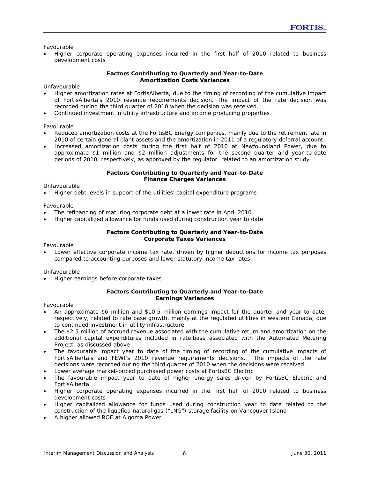### *Favourable*

• Higher corporate operating expenses incurred in the first half of 2010 related to business development costs

### **Factors Contributing to Quarterly and Year-to-Date Amortization Costs Variances**

### *Unfavourable*

- Higher amortization rates at FortisAlberta, due to the timing of recording of the cumulative impact of FortisAlberta's 2010 revenue requirements decision. The impact of the rate decision was recorded during the third quarter of 2010 when the decision was received.
- Continued investment in utility infrastructure and income producing properties

#### *Favourable*

- Reduced amortization costs at the FortisBC Energy companies, mainly due to the retirement late in 2010 of certain general plant assets and the amortization in 2011 of a regulatory deferral account
- Increased amortization costs during the first half of 2010 at Newfoundland Power, due to approximate \$1 million and \$2 million adjustments for the second quarter and year-to-date periods of 2010, respectively, as approved by the regulator, related to an amortization study

### **Factors Contributing to Quarterly and Year-to-Date Finance Charges Variances**

### *Unfavourable*

• Higher debt levels in support of the utilities' capital expenditure programs

#### *Favourable*

- The refinancing of maturing corporate debt at a lower rate in April 2010
- Higher capitalized allowance for funds used during construction year to date

#### **Factors Contributing to Quarterly and Year-to-Date Corporate Taxes Variances**

#### *Favourable*

• Lower effective corporate income tax rate, driven by higher deductions for income tax purposes compared to accounting purposes and lower statutory income tax rates

### *Unfavourable*

• Higher earnings before corporate taxes

#### **Factors Contributing to Quarterly and Year-to-Date Earnings Variances**

#### *Favourable*

- An approximate \$6 million and \$10.5 million earnings impact for the quarter and year to date, respectively, related to rate base growth, mainly at the regulated utilities in western Canada, due to continued investment in utility infrastructure
- The \$2.5 million of accrued revenue associated with the cumulative return and amortization on the additional capital expenditures included in rate base associated with the Automated Metering Project, as discussed above
- The favourable impact year to date of the timing of recording of the cumulative impacts of FortisAlberta's and FEWI's 2010 revenue requirements decisions. The impacts of the rate decisions were recorded during the third quarter of 2010 when the decisions were received.
- Lower average market-priced purchased power costs at FortisBC Electric
- The favourable impact year to date of higher energy sales driven by FortisBC Electric and FortisAlberta
- Higher corporate operating expenses incurred in the first half of 2010 related to business development costs
- Higher capitalized allowance for funds used during construction year to date related to the construction of the liquefied natural gas ("LNG") storage facility on Vancouver Island
- A higher allowed ROE at Algoma Power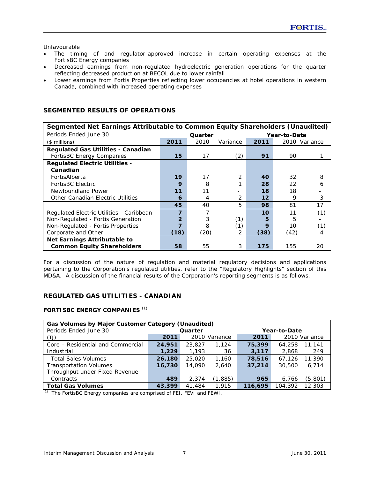### *Unfavourable*

- The timing of and regulator-approved increase in certain operating expenses at the FortisBC Energy companies
- Decreased earnings from non-regulated hydroelectric generation operations for the quarter reflecting decreased production at BECOL due to lower rainfall
- Lower earnings from Fortis Properties reflecting lower occupancies at hotel operations in western Canada, combined with increased operating expenses

# **SEGMENTED RESULTS OF OPERATIONS**

# **Segmented Net Earnings Attributable to Common Equity Shareholders (Unaudited)**

| Periods Ended June 30                     |      | Quarter |          |                   | Year-to-Date  |     |
|-------------------------------------------|------|---------|----------|-------------------|---------------|-----|
| (\$ millions)                             | 2011 | 2010    | Variance | 2011              | 2010 Variance |     |
| <b>Regulated Gas Utilities - Canadian</b> |      |         |          |                   |               |     |
| FortisBC Energy Companies                 | 15   | 17      | (2)      | 91                | 90            |     |
| <b>Requlated Electric Utilities -</b>     |      |         |          |                   |               |     |
| Canadian                                  |      |         |          |                   |               |     |
| FortisAlberta                             | 19   | 17      | 2        | 40                | 32            | 8   |
| FortisBC Electric                         | 9    | 8       |          | 28                | 22            | ĥ   |
| Newfoundland Power                        | 11   | 11      |          | 18                | 18            |     |
| Other Canadian Electric Utilities         | 6    | 4       |          | $12 \overline{ }$ | 9             | 3   |
|                                           | 45   | 40      | 5        | 98                | 81            | 17  |
| Regulated Electric Utilities - Caribbean  |      |         |          | 10                | 11            | (1) |
| Non-Regulated - Fortis Generation         | 2    | 3       | (1)      | 5                 | 5             |     |
| Non-Regulated - Fortis Properties         |      | 8       | (1)      | 9                 | 10            | (1) |
| Corporate and Other                       | (18) | (20)    | 2        | (38)              | (42)          | 4   |
| Net Earnings Attributable to              |      |         |          |                   |               |     |
| <b>Common Equity Shareholders</b>         | 58   | 55      | 3        | 175               | 155           | 20  |

For a discussion of the nature of regulation and material regulatory decisions and applications pertaining to the Corporation's regulated utilities, refer to the "Regulatory Highlights" section of this MD&A. A discussion of the financial results of the Corporation's reporting segments is as follows.

# **REGULATED GAS UTILITIES - CANADIAN**

### **FORTISBC ENERGY COMPANIES** *(1)*

| <b>Gas Volumes by Major Customer Category (Unaudited)</b> |        |         |               |         |              |               |  |  |  |  |  |  |
|-----------------------------------------------------------|--------|---------|---------------|---------|--------------|---------------|--|--|--|--|--|--|
| Periods Ended June 30                                     |        | Quarter |               |         | Year-to-Date |               |  |  |  |  |  |  |
| (TJ)                                                      | 2011   |         | 2010 Variance | 2011    |              | 2010 Variance |  |  |  |  |  |  |
| Core – Residential and Commercial                         | 24,951 | 23,827  | 1.124         | 75,399  | 64,258       | 11,141        |  |  |  |  |  |  |
| Industrial                                                | 1,229  | 1,193   | 36            | 3,117   | 2,868        | 249           |  |  |  |  |  |  |
| <b>Total Sales Volumes</b>                                | 26,180 | 25,020  | 1,160         | 78,516  | 67.126       | 11,390        |  |  |  |  |  |  |
| <b>Transportation Volumes</b>                             | 16,730 | 14,090  | 2.640         | 37,214  | 30,500       | 6.714         |  |  |  |  |  |  |
| Throughput under Fixed Revenue                            |        |         |               |         |              |               |  |  |  |  |  |  |
| Contracts                                                 | 489    | 2,374   | (1,885)       | 965     | 6,766        | (5,801)       |  |  |  |  |  |  |
| <b>Total Gas Volumes</b>                                  | 43,399 | 41,484  | 1,915         | 116,695 | 104,392      | 12,303        |  |  |  |  |  |  |

*(1)* The FortisBC Energy companies are comprised of FEI, FEVI and FEWI.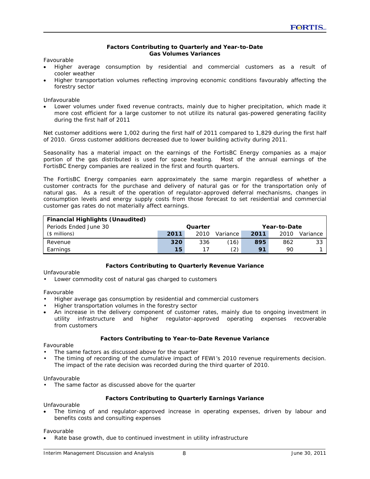#### **Factors Contributing to Quarterly and Year-to-Date Gas Volumes Variances**

*Favourable* 

- Higher average consumption by residential and commercial customers as a result of cooler weather
- Higher transportation volumes reflecting improving economic conditions favourably affecting the forestry sector

#### *Unfavourable*

• Lower volumes under fixed revenue contracts, mainly due to higher precipitation, which made it more cost efficient for a large customer to not utilize its natural gas-powered generating facility during the first half of 2011

Net customer additions were 1,002 during the first half of 2011 compared to 1,829 during the first half of 2010. Gross customer additions decreased due to lower building activity during 2011.

Seasonality has a material impact on the earnings of the FortisBC Energy companies as a major portion of the gas distributed is used for space heating. Most of the annual earnings of the FortisBC Energy companies are realized in the first and fourth quarters.

The FortisBC Energy companies earn approximately the same margin regardless of whether a customer contracts for the purchase and delivery of natural gas or for the transportation only of natural gas. As a result of the operation of regulator-approved deferral mechanisms, changes in consumption levels and energy supply costs from those forecast to set residential and commercial customer gas rates do not materially affect earnings.

| <b>Financial Highlights (Unaudited)</b> |                         |      |          |      |      |          |
|-----------------------------------------|-------------------------|------|----------|------|------|----------|
| Periods Ended June 30                   | Year-to-Date<br>Quarter |      |          |      |      |          |
| (\$ millions)                           | 2011                    | 2010 | Variance | 2011 | 2010 | Variance |
| Revenue                                 | 320                     | 336  | (16)     | 895  | 862  | 33       |
| Earnings                                | 15 <sub>1</sub>         |      | (2)      | 91   | 90   |          |

### **Factors Contributing to Quarterly Revenue Variance**

### *Unfavourable*

Lower commodity cost of natural gas charged to customers

#### *Favourable*

- Higher average gas consumption by residential and commercial customers
- Higher transportation volumes in the forestry sector
- An increase in the delivery component of customer rates, mainly due to ongoing investment in utility infrastructure and higher regulator-approved operating expenses recoverable from customers

### **Factors Contributing to Year-to-Date Revenue Variance**

#### *Favourable*

- The same factors as discussed above for the quarter
- The timing of recording of the cumulative impact of FEWI's 2010 revenue requirements decision. The impact of the rate decision was recorded during the third quarter of 2010.

#### *Unfavourable*

The same factor as discussed above for the quarter

#### **Factors Contributing to Quarterly Earnings Variance**

#### *Unfavourable*

The timing of and regulator-approved increase in operating expenses, driven by labour and benefits costs and consulting expenses

#### *Favourable*

• Rate base growth, due to continued investment in utility infrastructure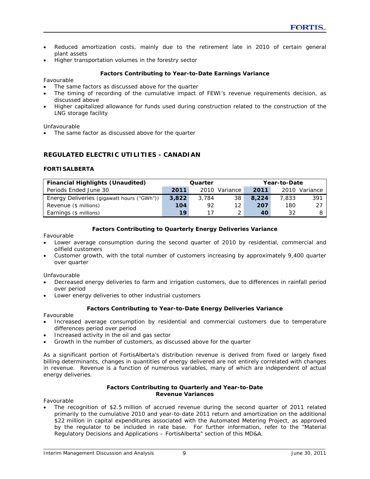- Reduced amortization costs, mainly due to the retirement late in 2010 of certain general plant assets
- Higher transportation volumes in the forestry sector

### **Factors Contributing to Year-to-Date Earnings Variance**

### *Favourable*

- The same factors as discussed above for the quarter
- The timing of recording of the cumulative impact of FEWI's revenue requirements decision, as discussed above
- Higher capitalized allowance for funds used during construction related to the construction of the LNG storage facility

### *Unfavourable*

The same factor as discussed above for the quarter

## **REGULATED ELECTRIC UTILITIES - CANADIAN**

### **FORTISALBERTA**

| <b>Financial Highlights (Unaudited)</b>    | Quarter |       |               |       | Year-to-Date |               |
|--------------------------------------------|---------|-------|---------------|-------|--------------|---------------|
| Periods Ended June 30                      | 2011    |       | 2010 Variance | 2011  |              | 2010 Variance |
| Energy Deliveries (gigawatt hours ("GWh")) | 3,822   | 3.784 | 38            | 8,224 | 7,833        | 391           |
| Revenue (\$ millions)                      | 104     | 92    | 12.           | 207   | 180          | 27            |
| Earnings (\$ millions)                     | 19      |       |               | 40    | 32           |               |

### **Factors Contributing to Quarterly Energy Deliveries Variance**

*Favourable* 

- Lower average consumption during the second quarter of 2010 by residential, commercial and oilfield customers
- Customer growth, with the total number of customers increasing by approximately 9,400 quarter over quarter

#### *Unfavourable*

- Decreased energy deliveries to farm and irrigation customers, due to differences in rainfall period over period
- Lower energy deliveries to other industrial customers

## **Factors Contributing to Year-to-Date Energy Deliveries Variance**

#### *Favourable*

- Increased average consumption by residential and commercial customers due to temperature differences period over period
- Increased activity in the oil and gas sector
- Growth in the number of customers, as discussed above for the quarter

As a significant portion of FortisAlberta's distribution revenue is derived from fixed or largely fixed billing determinants, changes in quantities of energy delivered are not entirely correlated with changes in revenue. Revenue is a function of numerous variables, many of which are independent of actual energy deliveries.

#### **Factors Contributing to Quarterly and Year-to-Date Revenue Variances**

#### *Favourable*

• The recognition of \$2.5 million of accrued revenue during the second quarter of 2011 related primarily to the cumulative 2010 and year-to-date 2011 return and amortization on the additional \$22 million in capital expenditures associated with the Automated Metering Project, as approved by the regulator to be included in rate base. For further information, refer to the "Material Regulatory Decisions and Applications – FortisAlberta" section of this MD&A.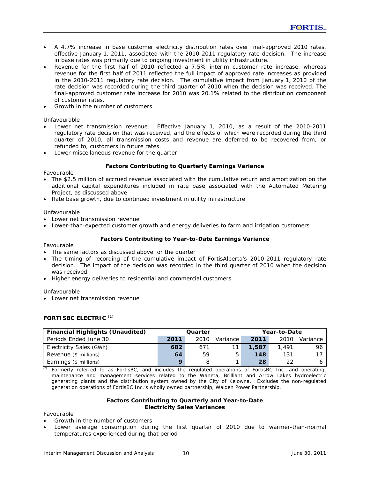- A 4.7% increase in base customer electricity distribution rates over final-approved 2010 rates, effective January 1, 2011, associated with the 2010-2011 regulatory rate decision. The increase in base rates was primarily due to ongoing investment in utility infrastructure.
- Revenue for the first half of 2010 reflected a 7.5% interim customer rate increase, whereas revenue for the first half of 2011 reflected the full impact of approved rate increases as provided in the 2010-2011 regulatory rate decision. The cumulative impact from January 1, 2010 of the rate decision was recorded during the third quarter of 2010 when the decision was received. The final-approved customer rate increase for 2010 was 20.1% related to the distribution component of customer rates.
- Growth in the number of customers

### *Unfavourable*

- Lower net transmission revenue. Effective January 1, 2010, as a result of the 2010-2011 regulatory rate decision that was received, and the effects of which were recorded during the third quarter of 2010, all transmission costs and revenue are deferred to be recovered from, or refunded to, customers in future rates.
- Lower miscellaneous revenue for the quarter

### **Factors Contributing to Quarterly Earnings Variance**

#### *Favourable*

- The \$2.5 million of accrued revenue associated with the cumulative return and amortization on the additional capital expenditures included in rate base associated with the Automated Metering Project, as discussed above
- Rate base growth, due to continued investment in utility infrastructure

#### *Unfavourable*

- Lower net transmission revenue
- Lower-than-expected customer growth and energy deliveries to farm and irrigation customers

#### **Factors Contributing to Year-to-Date Earnings Variance**

#### *Favourable*

- The same factors as discussed above for the quarter
- The timing of recording of the cumulative impact of FortisAlberta's 2010-2011 regulatory rate decision. The impact of the decision was recorded in the third quarter of 2010 when the decision was received.
- Higher energy deliveries to residential and commercial customers

#### *Unfavourable*

• Lower net transmission revenue

### **FORTISBC ELECTRIC** *(1)*

| <b>Financial Highlights (Unaudited)</b> | Year-to-Date<br>Quarter |      |          |       |       |          |
|-----------------------------------------|-------------------------|------|----------|-------|-------|----------|
| Periods Ended June 30                   | 2011                    | 2010 | Variance | 2011  | 2010  | Variance |
| Electricity Sales (GWh)                 | 682                     | 671  | 11       | 1.587 | 1,491 | 96       |
| Revenue (\$ millions)                   | 64                      | 59   |          | 148   | 131   | 17       |
| Earnings (\$ millions)                  | Q                       |      |          | 28    | 22    |          |

 $\overline{a}$  Formerly referred to as FortisBC, and includes the regulated operations of FortisBC Inc. and operating, maintenance and management services related to the Waneta, Brilliant and Arrow Lakes hydroelectric generating plants and the distribution system owned by the City of Kelowna. Excludes the non-regulated generation operations of FortisBC Inc.'s wholly owned partnership, Walden Power Partnership.

### **Factors Contributing to Quarterly and Year-to-Date Electricity Sales Variances**

#### *Favourable*

- Growth in the number of customers
- Lower average consumption during the first quarter of 2010 due to warmer-than-normal temperatures experienced during that period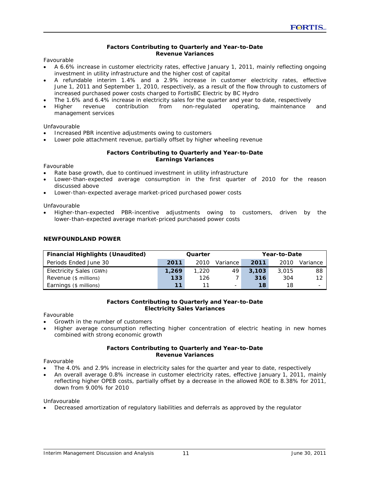### **Factors Contributing to Quarterly and Year-to-Date Revenue Variances**

### *Favourable*

- A 6.6% increase in customer electricity rates, effective January 1, 2011, mainly reflecting ongoing investment in utility infrastructure and the higher cost of capital
- A refundable interim 1.4% and a 2.9% increase in customer electricity rates, effective June 1, 2011 and September 1, 2010, respectively, as a result of the flow through to customers of increased purchased power costs charged to FortisBC Electric by BC Hydro
- The 1.6% and 6.4% increase in electricity sales for the quarter and year to date, respectively
- Higher revenue contribution from non-regulated operating, maintenance and management services

### *Unfavourable*

- Increased PBR incentive adjustments owing to customers
- Lower pole attachment revenue, partially offset by higher wheeling revenue

### **Factors Contributing to Quarterly and Year-to-Date Earnings Variances**

#### *Favourable*

- Rate base growth, due to continued investment in utility infrastructure
- Lower-than-expected average consumption in the first quarter of 2010 for the reason discussed above
- Lower-than-expected average market-priced purchased power costs

#### *Unfavourable*

• Higher-than-expected PBR-incentive adjustments owing to customers, driven by the lower-than-expected average market-priced purchased power costs

### **NEWFOUNDLAND POWER**

| <b>Financial Highlights (Unaudited)</b> | Quarter |       |          |       | Year-to-Date |                          |
|-----------------------------------------|---------|-------|----------|-------|--------------|--------------------------|
| Periods Ended June 30                   | 2011    | 2010  | Variance | 2011  | 2010         | Variance                 |
| Electricity Sales (GWh)                 | 1,269   | 1,220 | 49       | 3.103 | 3,015        | 88                       |
| Revenue (\$ millions)                   | 133     | 126   |          | 316   | 304          | 12                       |
| Earnings (\$ millions)                  | 11      |       | -        | 18    | 18           | $\overline{\phantom{a}}$ |

### **Factors Contributing to Quarterly and Year-to-Date Electricity Sales Variances**

#### *Favourable*

- Growth in the number of customers
- Higher average consumption reflecting higher concentration of electric heating in new homes combined with strong economic growth

#### **Factors Contributing to Quarterly and Year-to-Date Revenue Variances**

#### *Favourable*

- The 4.0% and 2.9% increase in electricity sales for the quarter and year to date, respectively
- An overall average 0.8% increase in customer electricity rates, effective January 1, 2011, mainly reflecting higher OPEB costs, partially offset by a decrease in the allowed ROE to 8.38% for 2011, down from 9.00% for 2010

#### *Unfavourable*

• Decreased amortization of regulatory liabilities and deferrals as approved by the regulator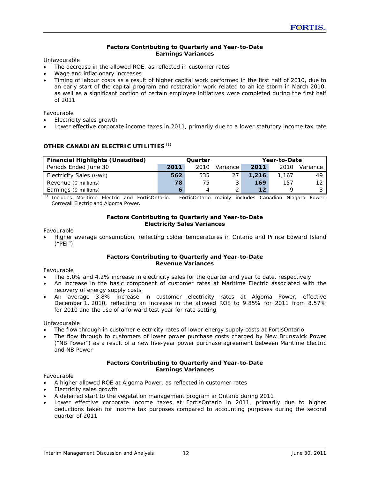### **Factors Contributing to Quarterly and Year-to-Date Earnings Variances**

### *Unfavourable*

- The decrease in the allowed ROE, as reflected in customer rates
- Wage and inflationary increases
- Timing of labour costs as a result of higher capital work performed in the first half of 2010, due to an early start of the capital program and restoration work related to an ice storm in March 2010, as well as a significant portion of certain employee initiatives were completed during the first half of 2011

### *Favourable*

- Electricity sales growth
- Lower effective corporate income taxes in 2011, primarily due to a lower statutory income tax rate

# **OTHER CANADIAN ELECTRIC UTILITIES** *(1)*

| <b>Financial Highlights (Unaudited)</b> |      | Quarter |          |                   | Year-to-Date |          |
|-----------------------------------------|------|---------|----------|-------------------|--------------|----------|
| Periods Ended June 30                   | 2011 | 2010    | Variance | 2011              | 2010         | Variance |
| Electricity Sales (GWh)                 | 562  | 535     | 27       | 1.216             | 1,167        | 49       |
| Revenue (\$ millions)                   | 78   | 75      |          | 169               | 157          | າາ       |
| Earnings (\$ millions)                  |      |         |          | $12 \overline{ }$ |              |          |

*(1)* Includes Maritime Electric and FortisOntario. FortisOntario mainly includes Canadian Niagara Power, Cornwall Electric and Algoma Power.

### **Factors Contributing to Quarterly and Year-to-Date Electricity Sales Variances**

#### *Favourable*

• Higher average consumption, reflecting colder temperatures in Ontario and Prince Edward Island  $("PEI")$ 

### **Factors Contributing to Quarterly and Year-to-Date Revenue Variances**

#### *Favourable*

- The 5.0% and 4.2% increase in electricity sales for the quarter and year to date, respectively
- An increase in the basic component of customer rates at Maritime Electric associated with the recovery of energy supply costs
- An average 3.8% increase in customer electricity rates at Algoma Power, effective December 1, 2010, reflecting an increase in the allowed ROE to 9.85% for 2011 from 8.57% for 2010 and the use of a forward test year for rate setting

#### *Unfavourable*

- The flow through in customer electricity rates of lower energy supply costs at FortisOntario
- The flow through to customers of lower power purchase costs charged by New Brunswick Power ("NB Power") as a result of a new five-year power purchase agreement between Maritime Electric and NB Power

#### **Factors Contributing to Quarterly and Year-to-Date Earnings Variances**

### *Favourable*

- A higher allowed ROE at Algoma Power, as reflected in customer rates
- Electricity sales growth
- A deferred start to the vegetation management program in Ontario during 2011
- Lower effective corporate income taxes at FortisOntario in 2011, primarily due to higher deductions taken for income tax purposes compared to accounting purposes during the second quarter of 2011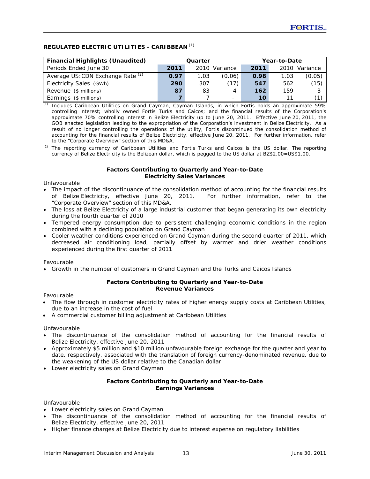# **REGULATED ELECTRIC UTILITIES - CARIBBEAN** *(1)*

| <b>Financial Highlights (Unaudited)</b> |      | Quarter |               |      | Year-to-Date |               |
|-----------------------------------------|------|---------|---------------|------|--------------|---------------|
| Periods Ended June 30                   | 2011 |         | 2010 Variance | 2011 |              | 2010 Variance |
| Average US: CDN Exchange Rate (2)       | 0.97 | 1.03    | (0.06)        | 0.98 | 1.03         | (0.05)        |
| Electricity Sales (GWh)                 | 290  | 307     | (17)          | 547  | 562          | (15)          |
| Revenue (\$ millions)                   | 87   | 83      | 4             | 162  | 159          | 3             |
| Earnings (\$ millions)                  |      |         | ۰             | 10.  |              | 1             |

*(1)* Includes Caribbean Utilities on Grand Cayman, Cayman Islands, in which Fortis holds an approximate 59% controlling interest; wholly owned Fortis Turks and Caicos; and the financial results of the Corporation's approximate 70% controlling interest in Belize Electricity up to June 20, 2011. Effective June 20, 2011, the GOB enacted legislation leading to the expropriation of the Corporation's investment in Belize Electricity. As a result of no longer controlling the operations of the utility, Fortis discontinued the consolidation method of accounting for the financial results of Belize Electricity, effective June 20, 2011. For further information, refer to the "Corporate Overview" section of this MD&A.

*(2)* The reporting currency of Caribbean Utilities and Fortis Turks and Caicos is the US dollar. The reporting currency of Belize Electricity is the Belizean dollar, which is pegged to the US dollar at BZ\$2.00=US\$1.00.

#### **Factors Contributing to Quarterly and Year-to-Date Electricity Sales Variances**

### *Unfavourable*

- The impact of the discontinuance of the consolidation method of accounting for the financial results of Belize Electricity, effective June 20, 2011. For further information, refer to the "Corporate Overview" section of this MD&A.
- The loss at Belize Electricity of a large industrial customer that began generating its own electricity during the fourth quarter of 2010
- Tempered energy consumption due to persistent challenging economic conditions in the region combined with a declining population on Grand Cayman
- Cooler weather conditions experienced on Grand Cayman during the second quarter of 2011, which decreased air conditioning load, partially offset by warmer and drier weather conditions experienced during the first quarter of 2011

### *Favourable*

• Growth in the number of customers in Grand Cayman and the Turks and Caicos Islands

### **Factors Contributing to Quarterly and Year-to-Date Revenue Variances**

### *Favourable*

- The flow through in customer electricity rates of higher energy supply costs at Caribbean Utilities, due to an increase in the cost of fuel
- A commercial customer billing adjustment at Caribbean Utilities

### *Unfavourable*

- The discontinuance of the consolidation method of accounting for the financial results of Belize Electricity, effective June 20, 2011
- Approximately \$5 million and \$10 million unfavourable foreign exchange for the quarter and year to date, respectively, associated with the translation of foreign currency-denominated revenue, due to the weakening of the US dollar relative to the Canadian dollar
- Lower electricity sales on Grand Cayman

### **Factors Contributing to Quarterly and Year-to-Date Earnings Variances**

# *Unfavourable*

- Lower electricity sales on Grand Cayman
- The discontinuance of the consolidation method of accounting for the financial results of Belize Electricity, effective June 20, 2011
- Higher finance charges at Belize Electricity due to interest expense on regulatory liabilities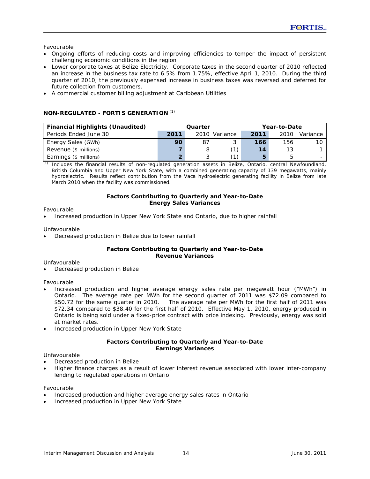### *Favourable*

- Ongoing efforts of reducing costs and improving efficiencies to temper the impact of persistent challenging economic conditions in the region
- Lower corporate taxes at Belize Electricity. Corporate taxes in the second quarter of 2010 reflected an increase in the business tax rate to 6.5% from 1.75%, effective April 1, 2010. During the third quarter of 2010, the previously expensed increase in business taxes was reversed and deferred for future collection from customers.
- A commercial customer billing adjustment at Caribbean Utilities

### **NON-REGULATED - FORTIS GENERATION** *(1)*

| <b>Financial Highlights (Unaudited)</b> | Quarter |    |               |      | Year-to-Date |          |
|-----------------------------------------|---------|----|---------------|------|--------------|----------|
| Periods Ended June 30                   | 2011    |    | 2010 Variance | 2011 | 2010         | Variance |
| Energy Sales (GWh)                      | 90      | -8 |               | 166  | 156          |          |
| Revenue (\$ millions)                   |         |    | ′1∶           | 14   | 13           |          |
| Earnings (\$ millions)                  | ົ       |    |               | 5    |              | -        |

*(1)* Includes the financial results of non-regulated generation assets in Belize, Ontario, central Newfoundland, British Columbia and Upper New York State, with a combined generating capacity of 139 megawatts, mainly hydroelectric. Results reflect contribution from the Vaca hydroelectric generating facility in Belize from late March 2010 when the facility was commissioned.

### **Factors Contributing to Quarterly and Year-to-Date Energy Sales Variances**

### *Favourable*

• Increased production in Upper New York State and Ontario, due to higher rainfall

### *Unfavourable*

• Decreased production in Belize due to lower rainfall

#### **Factors Contributing to Quarterly and Year-to-Date Revenue Variances**

### *Unfavourable*

• Decreased production in Belize

### *Favourable*

- Increased production and higher average energy sales rate per megawatt hour ("MWh") in Ontario. The average rate per MWh for the second quarter of 2011 was \$72.09 compared to \$50.72 for the same quarter in 2010. The average rate per MWh for the first half of 2011 was \$72.34 compared to \$38.40 for the first half of 2010. Effective May 1, 2010, energy produced in Ontario is being sold under a fixed-price contract with price indexing. Previously, energy was sold at market rates.
- Increased production in Upper New York State

### **Factors Contributing to Quarterly and Year-to-Date Earnings Variances**

#### *Unfavourable*

- Decreased production in Belize
- Higher finance charges as a result of lower interest revenue associated with lower inter-company lending to regulated operations in Ontario

#### *Favourable*

- Increased production and higher average energy sales rates in Ontario
- Increased production in Upper New York State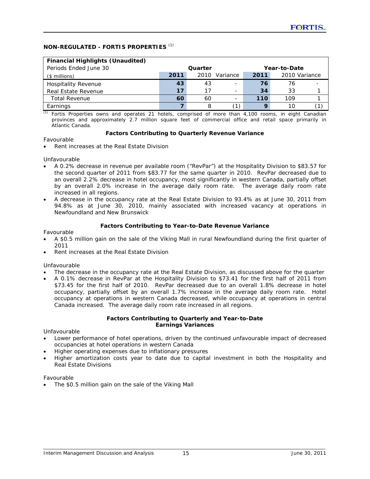# **NON-REGULATED - FORTIS PROPERTIES** *(1)*

| <b>Financial Highlights (Unaudited)</b> |                         |      |                          |      |               |  |
|-----------------------------------------|-------------------------|------|--------------------------|------|---------------|--|
| Periods Ended June 30                   | Quarter<br>Year-to-Date |      |                          |      |               |  |
| $($$ millions)                          | 2011                    | 2010 | Variance                 | 2011 | 2010 Variance |  |
| <b>Hospitality Revenue</b>              | 43                      | 43   | $\overline{\phantom{a}}$ | 76   | 76            |  |
| Real Estate Revenue                     | 17                      |      | -                        | 34   | 33            |  |
| <b>Total Revenue</b>                    | 60                      | 60   | -                        | 110  | 109           |  |
| Earnings                                |                         |      |                          | œ    | 10            |  |

*(1)* Fortis Properties owns and operates 21 hotels, comprised of more than 4,100 rooms, in eight Canadian provinces and approximately 2.7 million square feet of commercial office and retail space primarily in Atlantic Canada.

### **Factors Contributing to Quarterly Revenue Variance**

*Favourable* 

• Rent increases at the Real Estate Division

#### *Unfavourable*

- A 0.2% decrease in revenue per available room ("RevPar") at the Hospitality Division to \$83.57 for the second quarter of 2011 from \$83.77 for the same quarter in 2010. RevPar decreased due to an overall 2.2% decrease in hotel occupancy, most significantly in western Canada, partially offset by an overall 2.0% increase in the average daily room rate. The average daily room rate increased in all regions.
- A decrease in the occupancy rate at the Real Estate Division to 93.4% as at June 30, 2011 from 94.8% as at June 30, 2010, mainly associated with increased vacancy at operations in Newfoundland and New Brunswick

### **Factors Contributing to Year-to-Date Revenue Variance**

#### *Favourable*

- A \$0.5 million gain on the sale of the Viking Mall in rural Newfoundland during the first quarter of 2011
- Rent increases at the Real Estate Division

#### *Unfavourable*

- The decrease in the occupancy rate at the Real Estate Division, as discussed above for the quarter
- A 0.1% decrease in RevPar at the Hospitality Division to \$73.41 for the first half of 2011 from \$73.45 for the first half of 2010. RevPar decreased due to an overall 1.8% decrease in hotel occupancy, partially offset by an overall 1.7% increase in the average daily room rate. Hotel occupancy at operations in western Canada decreased, while occupancy at operations in central Canada increased. The average daily room rate increased in all regions.

#### **Factors Contributing to Quarterly and Year-to-Date Earnings Variances**

#### *Unfavourable*

- Lower performance of hotel operations, driven by the continued unfavourable impact of decreased occupancies at hotel operations in western Canada
- Higher operating expenses due to inflationary pressures
- Higher amortization costs year to date due to capital investment in both the Hospitality and Real Estate Divisions

#### *Favourable*

• The \$0.5 million gain on the sale of the Viking Mall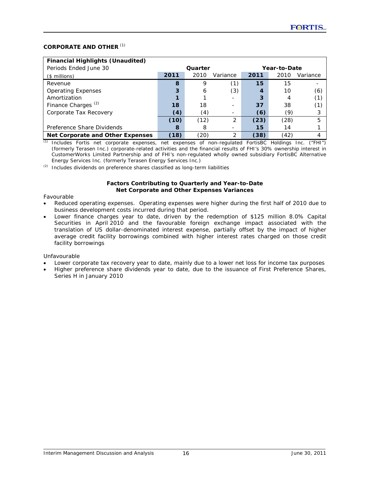# **CORPORATE AND OTHER** *(1)*

| <b>Financial Highlights (Unaudited)</b> |      |         |          |      |              |          |  |
|-----------------------------------------|------|---------|----------|------|--------------|----------|--|
| Periods Ended June 30                   |      | Quarter |          |      | Year-to-Date |          |  |
| $($$ millions)                          | 2011 | 2010    | Variance | 2011 | 2010         | Variance |  |
| Revenue                                 | 8    | 9       | (1)      | 15   | 15           |          |  |
| <b>Operating Expenses</b>               | 3    | 6       | (3)      | 4    | 10           | (6)      |  |
| Amortization                            |      |         |          | 3    | 4            | (1)      |  |
| Finance Charges $(2)$                   | 18   | 18      |          | 37   | 38           | (1)      |  |
| Corporate Tax Recovery                  | (4)  | (4)     |          | (6)  | (9)          | 3        |  |
|                                         | (10) | (12)    | 2        | (23) | (28)         | 5        |  |
| Preference Share Dividends              | 8    | 8       |          | 15   | 14           |          |  |
| Net Corporate and Other Expenses        | (18) | (20)    | 2        | (38) | (42)         | 4        |  |

*(1)* Includes Fortis net corporate expenses, net expenses of non-regulated FortisBC Holdings Inc. ("FHI") (formerly Terasen Inc.) corporate-related activities and the financial results of FHI's 30% ownership interest in CustomerWorks Limited Partnership and of FHI's non-regulated wholly owned subsidiary FortisBC Alternative Energy Services Inc. (formerly Terasen Energy Services Inc.)

*(2)* Includes dividends on preference shares classified as long-term liabilities

### **Factors Contributing to Quarterly and Year-to-Date Net Corporate and Other Expenses Variances**

### *Favourable*

- Reduced operating expenses. Operating expenses were higher during the first half of 2010 due to business development costs incurred during that period.
- Lower finance charges year to date, driven by the redemption of \$125 million 8.0% Capital Securities in April 2010 and the favourable foreign exchange impact associated with the translation of US dollar-denominated interest expense, partially offset by the impact of higher average credit facility borrowings combined with higher interest rates charged on those credit facility borrowings

#### *Unfavourable*

- Lower corporate tax recovery year to date, mainly due to a lower net loss for income tax purposes
- Higher preference share dividends year to date, due to the issuance of First Preference Shares, Series H in January 2010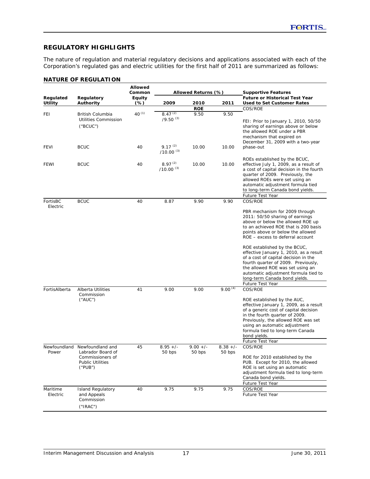# **REGULATORY HIGHLIGHTS**

The nature of regulation and material regulatory decisions and applications associated with each of the Corporation's regulated gas and electric utilities for the first half of 2011 are summarized as follows:

# **NATURE OF REGULATION**

|                             |                                                                             | <b>Allowed</b><br>Common |                                | Allowed Returns (%) |              | <b>Supportive Features</b>                                                                                                                                                                                                                                                             |  |  |
|-----------------------------|-----------------------------------------------------------------------------|--------------------------|--------------------------------|---------------------|--------------|----------------------------------------------------------------------------------------------------------------------------------------------------------------------------------------------------------------------------------------------------------------------------------------|--|--|
| Regulated<br><b>Utility</b> | Regulatory<br><b>Authority</b>                                              | Equity<br>$(\%)$         | 2009                           | 2010                | 2011         | <b>Future or Historical Test Year</b><br><b>Used to Set Customer Rates</b>                                                                                                                                                                                                             |  |  |
|                             |                                                                             |                          |                                | <b>ROE</b>          |              | COS/ROE                                                                                                                                                                                                                                                                                |  |  |
| <b>FEI</b>                  | British Columbia<br>Utilities Commission<br>("B CUC")                       | $40^{(1)}$               | $8.47^{(2)}$<br>$/9.50^{(3)}$  | 9.50                | 9.50         | FEI: Prior to January 1, 2010, 50/50<br>sharing of earnings above or below<br>the allowed ROE under a PBR<br>mechanism that expired on<br>December 31, 2009 with a two-year                                                                                                            |  |  |
| <b>FEVI</b>                 | <b>BCUC</b>                                                                 | 40                       | $9.17^{(2)}$<br>$/10.00^{(3)}$ | 10.00               | 10.00        | phase-out                                                                                                                                                                                                                                                                              |  |  |
| <b>FEWI</b>                 | <b>BCUC</b>                                                                 | 40                       | $8.97^{(2)}$<br>$/10.00^{(3)}$ | 10.00               | 10.00        | ROEs established by the BCUC,<br>effective July 1, 2009, as a result of<br>a cost of capital decision in the fourth<br>quarter of 2009. Previously, the<br>allowed ROEs were set using an<br>automatic adjustment formula tied<br>to long-term Canada bond yields.<br>Future Test Year |  |  |
| FortisBC                    | <b>BCUC</b>                                                                 | 40                       | 8.87                           | 9.90                | 9.90         | COS/ROE                                                                                                                                                                                                                                                                                |  |  |
| Electric                    |                                                                             |                          |                                |                     |              | PBR mechanism for 2009 through<br>2011: 50/50 sharing of earnings<br>above or below the allowed ROE up<br>to an achieved ROE that is 200 basis<br>points above or below the allowed<br>ROE - excess to deferral account                                                                |  |  |
|                             |                                                                             |                          |                                |                     |              | ROE established by the BCUC,<br>effective January 1, 2010, as a result<br>of a cost of capital decision in the<br>fourth quarter of 2009. Previously,<br>the allowed ROE was set using an<br>automatic adjustment formula tied to<br>long-term Canada bond yields.<br>Future Test Year |  |  |
| FortisAlberta               | Alberta Utilities                                                           | 41                       | 9.00                           | 9.00                | $9.00^{(4)}$ | COS/ROE                                                                                                                                                                                                                                                                                |  |  |
|                             | Commission<br>$(^{\prime}$ AUC $^{\prime\prime}$ )                          |                          |                                |                     |              | ROE established by the AUC,<br>effective January 1, 2009, as a result<br>of a generic cost of capital decision<br>in the fourth quarter of 2009.<br>Previously, the allowed ROE was set<br>using an automatic adjustment<br>formula tied to long-term Canada<br>bond yields.           |  |  |
| Newfoundland                | Newfoundland and                                                            | 45                       | $8.95 +/-$                     | $9.00 +/-$          | $8.38 +/-$   | Future Test Year<br>COS/ROE                                                                                                                                                                                                                                                            |  |  |
| Power                       | Labrador Board of<br>Commissioners of<br><b>Public Utilities</b><br>("PUB") |                          | 50 bps                         | 50 bps              | 50 bps       | ROE for 2010 established by the<br>PUB. Except for 2010, the allowed<br>ROE is set using an automatic<br>adjustment formula tied to long-term<br>Canada bond yields.<br>Future Test Year                                                                                               |  |  |
| Maritime<br>Electric        | <b>Island Regulatory</b><br>and Appeals<br>Commission<br>(''IRAC")          | 40                       | 9.75                           | 9.75                | 9.75         | COS/ROE<br>Future Test Year                                                                                                                                                                                                                                                            |  |  |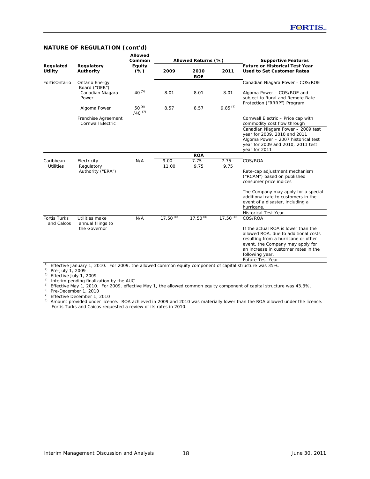| <b>Future or Historical Test Year</b><br>Regulated<br>Equity<br>Regulatory<br>$(\%)$<br><b>Used to Set Customer Rates</b><br>Utility<br>Authority<br>2009<br>2010<br>2011<br><b>ROE</b><br>FortisOntario<br><b>Ontario Energy</b><br>Board ("OEB")<br>40 $(5)$<br>8.01<br>Canadian Niagara<br>8.01<br>8.01<br>Algoma Power - COS/ROE and<br>Power<br>Protection ("RRRP") Program<br>50 $(6)$<br>$9.85^{(7)}$<br>8.57<br>8.57<br>Algoma Power<br>$(40^{ (7)}$<br>Franchise Agreement<br><b>Cornwall Electric</b><br>commodity cost flow through<br>year for 2009, 2010 and 2011<br>Algoma Power - 2007 historical test<br>year for 2009 and 2010; 2011 test<br>year for 2011<br><b>ROA</b><br>$7.75 -$<br>$7.75 -$<br>Caribbean<br>N/A<br>$9.00 -$<br>COS/ROA<br>Electricity<br>9.75<br><b>Utilities</b><br>Regulatory<br>11.00<br>9.75<br>Authority ("ERA")<br>Rate-cap adjustment mechanism<br>("RCAM") based on published<br>consumer price indices<br>additional rate to customers in the<br>event of a disaster, including a<br>hurricane.<br><b>Historical Test Year</b><br>$17.50^{(8)}$<br>$17.50^{(8)}$<br>$17.50^{(8)}$<br><b>Fortis Turks</b><br>Utilities make<br>COS/ROA<br>N/A<br>and Calcos<br>annual filings to<br>the Governor<br>event, the Company may apply for<br>an increase in customer rates in the |  |  | <b>Allowed</b><br>Common | Allowed Returns (%) | <b>Supportive Features</b>           |  |  |
|----------------------------------------------------------------------------------------------------------------------------------------------------------------------------------------------------------------------------------------------------------------------------------------------------------------------------------------------------------------------------------------------------------------------------------------------------------------------------------------------------------------------------------------------------------------------------------------------------------------------------------------------------------------------------------------------------------------------------------------------------------------------------------------------------------------------------------------------------------------------------------------------------------------------------------------------------------------------------------------------------------------------------------------------------------------------------------------------------------------------------------------------------------------------------------------------------------------------------------------------------------------------------------------------------------------------------|--|--|--------------------------|---------------------|--------------------------------------|--|--|
|                                                                                                                                                                                                                                                                                                                                                                                                                                                                                                                                                                                                                                                                                                                                                                                                                                                                                                                                                                                                                                                                                                                                                                                                                                                                                                                            |  |  |                          |                     |                                      |  |  |
|                                                                                                                                                                                                                                                                                                                                                                                                                                                                                                                                                                                                                                                                                                                                                                                                                                                                                                                                                                                                                                                                                                                                                                                                                                                                                                                            |  |  |                          |                     |                                      |  |  |
|                                                                                                                                                                                                                                                                                                                                                                                                                                                                                                                                                                                                                                                                                                                                                                                                                                                                                                                                                                                                                                                                                                                                                                                                                                                                                                                            |  |  |                          |                     | Canadian Niagara Power - COS/ROE     |  |  |
|                                                                                                                                                                                                                                                                                                                                                                                                                                                                                                                                                                                                                                                                                                                                                                                                                                                                                                                                                                                                                                                                                                                                                                                                                                                                                                                            |  |  |                          |                     | subject to Rural and Remote Rate     |  |  |
|                                                                                                                                                                                                                                                                                                                                                                                                                                                                                                                                                                                                                                                                                                                                                                                                                                                                                                                                                                                                                                                                                                                                                                                                                                                                                                                            |  |  |                          |                     |                                      |  |  |
|                                                                                                                                                                                                                                                                                                                                                                                                                                                                                                                                                                                                                                                                                                                                                                                                                                                                                                                                                                                                                                                                                                                                                                                                                                                                                                                            |  |  |                          |                     | Cornwall Electric - Price cap with   |  |  |
|                                                                                                                                                                                                                                                                                                                                                                                                                                                                                                                                                                                                                                                                                                                                                                                                                                                                                                                                                                                                                                                                                                                                                                                                                                                                                                                            |  |  |                          |                     |                                      |  |  |
|                                                                                                                                                                                                                                                                                                                                                                                                                                                                                                                                                                                                                                                                                                                                                                                                                                                                                                                                                                                                                                                                                                                                                                                                                                                                                                                            |  |  |                          |                     | Canadian Niagara Power - 2009 test   |  |  |
|                                                                                                                                                                                                                                                                                                                                                                                                                                                                                                                                                                                                                                                                                                                                                                                                                                                                                                                                                                                                                                                                                                                                                                                                                                                                                                                            |  |  |                          |                     |                                      |  |  |
|                                                                                                                                                                                                                                                                                                                                                                                                                                                                                                                                                                                                                                                                                                                                                                                                                                                                                                                                                                                                                                                                                                                                                                                                                                                                                                                            |  |  |                          |                     |                                      |  |  |
|                                                                                                                                                                                                                                                                                                                                                                                                                                                                                                                                                                                                                                                                                                                                                                                                                                                                                                                                                                                                                                                                                                                                                                                                                                                                                                                            |  |  |                          |                     |                                      |  |  |
|                                                                                                                                                                                                                                                                                                                                                                                                                                                                                                                                                                                                                                                                                                                                                                                                                                                                                                                                                                                                                                                                                                                                                                                                                                                                                                                            |  |  |                          |                     |                                      |  |  |
|                                                                                                                                                                                                                                                                                                                                                                                                                                                                                                                                                                                                                                                                                                                                                                                                                                                                                                                                                                                                                                                                                                                                                                                                                                                                                                                            |  |  |                          |                     |                                      |  |  |
|                                                                                                                                                                                                                                                                                                                                                                                                                                                                                                                                                                                                                                                                                                                                                                                                                                                                                                                                                                                                                                                                                                                                                                                                                                                                                                                            |  |  |                          |                     |                                      |  |  |
|                                                                                                                                                                                                                                                                                                                                                                                                                                                                                                                                                                                                                                                                                                                                                                                                                                                                                                                                                                                                                                                                                                                                                                                                                                                                                                                            |  |  |                          |                     |                                      |  |  |
|                                                                                                                                                                                                                                                                                                                                                                                                                                                                                                                                                                                                                                                                                                                                                                                                                                                                                                                                                                                                                                                                                                                                                                                                                                                                                                                            |  |  |                          |                     | The Company may apply for a special  |  |  |
|                                                                                                                                                                                                                                                                                                                                                                                                                                                                                                                                                                                                                                                                                                                                                                                                                                                                                                                                                                                                                                                                                                                                                                                                                                                                                                                            |  |  |                          |                     |                                      |  |  |
|                                                                                                                                                                                                                                                                                                                                                                                                                                                                                                                                                                                                                                                                                                                                                                                                                                                                                                                                                                                                                                                                                                                                                                                                                                                                                                                            |  |  |                          |                     |                                      |  |  |
|                                                                                                                                                                                                                                                                                                                                                                                                                                                                                                                                                                                                                                                                                                                                                                                                                                                                                                                                                                                                                                                                                                                                                                                                                                                                                                                            |  |  |                          |                     |                                      |  |  |
|                                                                                                                                                                                                                                                                                                                                                                                                                                                                                                                                                                                                                                                                                                                                                                                                                                                                                                                                                                                                                                                                                                                                                                                                                                                                                                                            |  |  |                          |                     |                                      |  |  |
|                                                                                                                                                                                                                                                                                                                                                                                                                                                                                                                                                                                                                                                                                                                                                                                                                                                                                                                                                                                                                                                                                                                                                                                                                                                                                                                            |  |  |                          |                     | If the actual ROA is lower than the  |  |  |
|                                                                                                                                                                                                                                                                                                                                                                                                                                                                                                                                                                                                                                                                                                                                                                                                                                                                                                                                                                                                                                                                                                                                                                                                                                                                                                                            |  |  |                          |                     | allowed ROA, due to additional costs |  |  |
|                                                                                                                                                                                                                                                                                                                                                                                                                                                                                                                                                                                                                                                                                                                                                                                                                                                                                                                                                                                                                                                                                                                                                                                                                                                                                                                            |  |  |                          |                     | resulting from a hurricane or other  |  |  |
|                                                                                                                                                                                                                                                                                                                                                                                                                                                                                                                                                                                                                                                                                                                                                                                                                                                                                                                                                                                                                                                                                                                                                                                                                                                                                                                            |  |  |                          |                     |                                      |  |  |
|                                                                                                                                                                                                                                                                                                                                                                                                                                                                                                                                                                                                                                                                                                                                                                                                                                                                                                                                                                                                                                                                                                                                                                                                                                                                                                                            |  |  |                          |                     | following year.                      |  |  |
| Future Test Year                                                                                                                                                                                                                                                                                                                                                                                                                                                                                                                                                                                                                                                                                                                                                                                                                                                                                                                                                                                                                                                                                                                                                                                                                                                                                                           |  |  |                          |                     |                                      |  |  |

### **NATURE OF REGULATION (cont'd)**

*(1)* Effective January 1, 2010. For 2009, the allowed common equity component of capital structure was 35%.

*(2)* Pre-July 1, 2009

*(3)* Effective July 1, 2009

*(4)* Interim pending finalization by the AUC

*(5)* Effective May 1, 2010. For 2009, effective May 1, the allowed common equity component of capital structure was 43.3%.

*(6)* Pre-December 1, 2010

*(7)* Effective December 1, 2010

*(8)* Amount provided under licence. ROA achieved in 2009 and 2010 was materially lower than the ROA allowed under the licence. Fortis Turks and Caicos requested a review of its rates in 2010.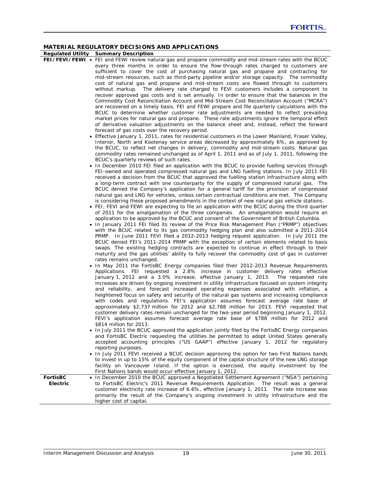### **MATERIAL REGULATORY DECISIONS AND APPLICATIONS**

| <b>Regulated Utility</b> | <b>Summary Description</b> |
|--------------------------|----------------------------|
|--------------------------|----------------------------|

- **FEI/FEVI/FEWI**  FEI and FEWI review natural gas and propane commodity and mid-stream rates with the BCUC every three months in order to ensure the flow-through rates charged to customers are sufficient to cover the cost of purchasing natural gas and propane and contracting for mid-stream resources, such as third-party pipeline and/or storage capacity. The commodity cost of natural gas and propane and mid-stream costs are flowed through to customers without markup. The delivery rate charged to FEVI customers includes a component to recover approved gas costs and is set annually. In order to ensure that the balances in the Commodity Cost Reconciliation Account and Mid-Stream Cost Reconciliation Account ("MCRA") are recovered on a timely basis, FEI and FEWI prepare and file quarterly calculations with the BCUC to determine whether customer rate adjustments are needed to reflect prevailing market prices for natural gas and propane. These rate adjustments ignore the temporal effect of derivative valuation adjustments on the balance sheet and, instead, reflect the forward forecast of gas costs over the recovery period.
	- Effective January 1, 2011, rates for residential customers in the Lower Mainland, Fraser Valley, Interior, North and Kootenay service areas decreased by approximately 6%, as approved by the BCUC, to reflect net changes in delivery, commodity and mid-stream costs. Natural gas commodity rates remained unchanged as of April 1, 2011 and as of July 1, 2011, following the BCUC's quarterly reviews of such rates.
	- In December 2010 FEI filed an application with the BCUC to provide fuelling services through FEI-owned and operated compressed natural gas and LNG fuelling stations. In July 2011 FEI received a decision from the BCUC that approved the fuelling station infrastructure along with a long-term contract with one counterparty for the supply of compressed natural gas. The BCUC denied the Company's application for a general tariff for the provision of compressed natural gas and LNG for vehicles, unless certain contractual conditions are met. The Company is considering these proposed amendments in the context of new natural gas vehicle stations.
	- FEI, FEVI and FEWI are expecting to file an application with the BCUC during the third quarter of 2011 for the amalgamation of the three companies. An amalgamation would require an application to be approved by the BCUC and consent of the Government of British Columbia.
	- In January 2011 FEI filed its review of the Price Risk Management Plan ("PRMP") objectives with the BCUC related to its gas commodity hedging plan and also submitted a 2011-2014 PRMP. In June 2011 FEVI filed a 2012-2013 hedging request application. In July 2011 the BCUC denied FEI's 2011-2014 PRMP with the exception of certain elements related to basis swaps. The existing hedging contracts are expected to continue in effect through to their maturity and the gas utilities' ability to fully recover the commodity cost of gas in customer rates remains unchanged.
	- In May 2011 the FortisBC Energy companies filed their 2012-2013 Revenue Requirements Applications. FEI requested a 2.8% increase in customer delivery rates effective January 1, 2012 and a 3.0% increase, effective January 1, 2013. The requested rate increases are driven by ongoing investment in utility infrastructure focused on system integrity and reliability, and forecast increased operating expenses associated with inflation, a heightened focus on safety and security of the natural gas systems and increasing compliance with codes and regulations. FEI's application assumes forecast average rate base of approximately \$2,737 million for 2012 and \$2,788 million for 2013. FEVI requested that customer delivery rates remain unchanged for the two-year period beginning January 1, 2012. FEVI's application assumes forecast average rate base of \$788 million for 2012 and \$814 million for 2013.
	- In July 2011 the BCUC approved the application jointly filed by the FortisBC Energy companies and FortisBC Electric requesting the utilities be permitted to adopt United States generally accepted accounting principles ("US GAAP") effective January 1, 2012 for regulatory reporting purposes.
	- In July 2011 FEVI received a BCUC decision approving the option for two First Nations bands to invest in up to 15% of the equity component of the capital structure of the new LNG storage facility on Vancouver Island. If the option is exercised, the equity investment by the First Nations bands would occur effective January 1, 2012.

**FortisBC Electric**  • In December 2010 the BCUC approved a Negotiated Settlement Agreement ("NSA") pertaining to FortisBC Electric's 2011 Revenue Requirements Application. The result was a general customer electricity rate increase of 6.6%, effective January 1, 2011. The rate increase was primarily the result of the Company's ongoing investment in utility infrastructure and the higher cost of capital.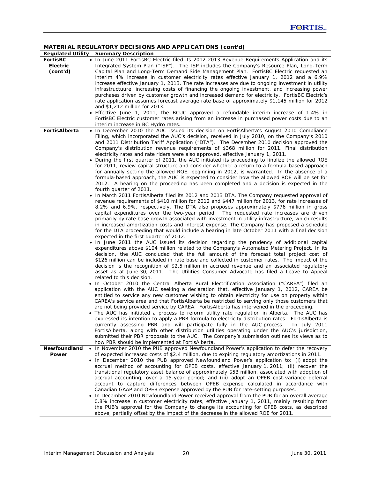# **MATERIAL REGULATORY DECISIONS AND APPLICATIONS (cont'd)**

|                 | <b>Regulated Utility Summary Description</b>                                                       |
|-----------------|----------------------------------------------------------------------------------------------------|
| <b>FortisBC</b> | • In June 2011 FortisBC Electric filed its 2012-2013 Revenue Requirements Application and its      |
| Electric        | Integrated System Plan ("ISP"). The ISP includes the Company's Resource Plan, Long-Term            |
| (cont'd)        | Capital Plan and Long-Term Demand Side Management Plan. FortisBC Electric requested an             |
|                 | interim 4% increase in customer electricity rates effective January 1, 2012 and a 6.9%             |
|                 | increase effective January 1, 2013. The rate increases are due to ongoing investment in utility    |
|                 | infrastructuure, increasing costs of financing the ongoing investment, and increasing power        |
|                 | purchases driven by customer growth and increased demand for electricity. FortisBC Electric's      |
|                 | rate application assumes forecast average rate base of approximately \$1,145 million for 2012      |
|                 | and \$1,212 million for 2013.                                                                      |
|                 | • Effective June 1, 2011, the BCUC approved a refundable interim increase of 1.4% in               |
|                 | FortisBC Electric customer rates arising from an increase in purchased power costs due to an       |
|                 | interim increase in BC Hydro rates.                                                                |
| FortisAlberta   | • In December 2010 the AUC issued its decision on FortisAlberta's August 2010 Compliance           |
|                 | Filing, which incorporated the AUC's decision, received in July 2010, on the Company's 2010        |
|                 | and 2011 Distribution Tariff Application ("DTA"). The December 2010 decision approved the          |
|                 | Company's distribution revenue requirements of \$368 million for 2011. Final distribution          |
|                 | electricity rates and rate riders were also approved, effective January 1, 2011.                   |
|                 | • During the first quarter of 2011, the AUC initiated its proceeding to finalize the allowed ROE   |
|                 |                                                                                                    |
|                 | for 2011, review capital structure and consider whether a return to a formula-based approach       |
|                 | for annually setting the allowed ROE, beginning in 2012, is warranted. In the absence of a         |
|                 | formula-based approach, the AUC is expected to consider how the allowed ROE will be set for        |
|                 | 2012. A hearing on the proceeding has been completed and a decision is expected in the             |
|                 | fourth quarter of 2011.                                                                            |
|                 | • In March 2011 FortisAlberta filed its 2012 and 2013 DTA. The Company requested approval of       |
|                 | revenue requirements of \$410 million for 2012 and \$447 million for 2013, for rate increases of   |
|                 | 8.2% and 6.9%, respectively. The DTA also proposes approximately \$776 million in gross            |
|                 | capital expenditures over the two-year period. The requested rate increases are driven             |
|                 | primarily by rate base growth associated with investment in utility infrastructure, which results  |
|                 | in increased amortization costs and interest expense. The Company has proposed a schedule          |
|                 | for the DTA proceeding that would include a hearing in late October 2011 with a final decision     |
|                 | expected in the first quarter of 2012.                                                             |
|                 | • In June 2011 the AUC issued its decision regarding the prudency of additional capital            |
|                 | expenditures above \$104 million related to the Company's Automated Metering Project. In its       |
|                 | decision, the AUC concluded that the full amount of the forecast total project cost of             |
|                 | \$126 million can be included in rate base and collected in customer rates. The impact of the      |
|                 | decision is the recognition of \$2.5 million in accrued revenue and an associated regulatory       |
|                 | asset as at June 30, 2011. The Utilities Consumer Advocate has filed a Leave to Appeal             |
|                 | related to this decision.                                                                          |
|                 | • In October 2010 the Central Alberta Rural Electrification Association ("CAREA") filed an         |
|                 | application with the AUC seeking a declaration that, effective January 1, 2012, CAREA be           |
|                 | entitled to service any new customer wishing to obtain electricity for use on property within      |
|                 | CAREA's service area and that FortisAlberta be restricted to serving only those customers that     |
|                 | are not being provided service by CAREA. FortisAlberta has intervened in the proceeding.           |
|                 | • The AUC has initiated a process to reform utility rate regulation in Alberta. The AUC has        |
|                 | expressed its intention to apply a PBR formula to electricity distribution rates. FortisAlberta is |
|                 | currently assessing PBR and will participate fully in the AUC process.<br>In July 2011             |
|                 | FortisAlberta, along with other distribution utilities operating under the AUC's jurisdiction,     |
|                 | submitted their PBR proposals to the AUC. The Company's submission outlines its views as to        |
|                 | how PBR should be implemented at FortisAlberta.                                                    |
| Newfoundland    | • In November 2010 the PUB approved Newfoundland Power's application to defer the recovery         |
| Power           | of expected increased costs of \$2.4 million, due to expiring regulatory amortizations in 2011.    |
|                 | • In December 2010 the PUB approved Newfoundland Power's application to: (i) adopt the             |
|                 | accrual method of accounting for OPEB costs, effective January 1, 2011; (ii) recover the           |
|                 | transitional regulatory asset balance of approximately \$53 million, associated with adoption of   |
|                 | accrual accounting, over a 15-year period; and (iii) adopt an OPEB cost-variance deferral          |
|                 | account to capture differences between OPEB expense calculated in accordance with                  |
|                 | Canadian GAAP and OPEB expense approved by the PUB for rate-setting purposes.                      |
|                 | • In December 2010 Newfoundland Power received approval from the PUB for an overall average        |
|                 | 0.8% increase in customer electricity rates, effective January 1, 2011, mainly resulting from      |
|                 | the PUB's approval for the Company to change its accounting for OPEB costs, as described           |
|                 | above, partially offset by the impact of the decrease in the allowed ROE for 2011.                 |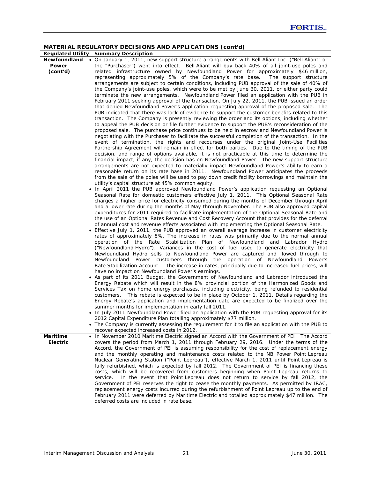# **MATERIAL REGULATORY DECISIONS AND APPLICATIONS (cont'd)**

**Regulated Utility Summary Description** 

| Newfoundland    | • On January 1, 2011, new support structure arrangements with Bell Aliant Inc. ("Bell Aliant" or                                                                                              |
|-----------------|-----------------------------------------------------------------------------------------------------------------------------------------------------------------------------------------------|
| Power           | the "Purchaser") went into effect. Bell Aliant will buy back 40% of all joint-use poles and                                                                                                   |
| (cont'd)        | related infrastructure owned by Newfoundland Power for approximately \$46 million,                                                                                                            |
|                 | representing approximately 5% of the Company's rate base. The support structure                                                                                                               |
|                 | arrangements are subject to certain conditions, including PUB approval of the sale of 40% of                                                                                                  |
|                 | the Company's joint-use poles, which were to be met by June 30, 2011, or either party could<br>terminate the new arrangements. Newfoundland Power filed an application with the PUB in        |
|                 | February 2011 seeking approval of the transaction. On July 22, 2011, the PUB issued an order                                                                                                  |
|                 | that denied Newfoundland Power's application requesting approval of the proposed sale. The                                                                                                    |
|                 | PUB indicated that there was lack of evidence to support the customer benefits related to this                                                                                                |
|                 | transaction. The Company is presently reviewing the order and its options, including whether                                                                                                  |
|                 | to appeal the PUB decision or file further evidence to support the PUB's reconsideration of the                                                                                               |
|                 | proposed sale. The purchase price continues to be held in escrow and Newfoundland Power is                                                                                                    |
|                 | negotiating with the Purchaser to facilitate the successful completion of the transaction. In the                                                                                             |
|                 | event of termination, the rights and recourses under the original Joint-Use Facilities                                                                                                        |
|                 | Partnership Agreement will remain in effect for both parties. Due to the timing of the PUB                                                                                                    |
|                 | decision, and range of options available, it is not practicable at this time to determine the                                                                                                 |
|                 | financial impact, if any, the decision has on Newfoundland Power. The new support structure                                                                                                   |
|                 | arrangements are not expected to materially impact Newfoundland Power's ability to earn a                                                                                                     |
|                 | reasonable return on its rate base in 2011. Newfoundland Power anticipates the proceeds<br>from the sale of the poles will be used to pay down credit facility borrowings and maintain the    |
|                 | utility's capital structure at 45% common equity.                                                                                                                                             |
|                 | . In April 2011 the PUB approved Newfoundland Power's application requesting an Optional                                                                                                      |
|                 | Seasonal Rate for domestic customers effective July 1, 2011. This Optional Seasonal Rate                                                                                                      |
|                 | charges a higher price for electricity consumed during the months of December through April                                                                                                   |
|                 | and a lower rate during the months of May through November. The PUB also approved capital                                                                                                     |
|                 | expenditures for 2011 required to facilitate implementation of the Optional Seasonal Rate and                                                                                                 |
|                 | the use of an Optional Rates Revenue and Cost Recovery Account that provides for the deferral                                                                                                 |
|                 | of annual cost and revenue effects associated with implementing the Optional Seasonal Rate.                                                                                                   |
|                 | • Effective July 1, 2011, the PUB approved an overall average increase in customer electricity                                                                                                |
|                 | rates of approximately 8%. The increase in rates was primarily due to the normal annual                                                                                                       |
|                 | operation of the Rate Stabilization Plan of Newfoundland and Labrador<br>Hydro                                                                                                                |
|                 | ("Newfoundland Hydro"). Variances in the cost of fuel used to generate electricity that<br>Newfoundland Hydro sells to Newfoundland Power are captured and flowed through to                  |
|                 | Newfoundland Power customers through the operation of Newfoundland Power's                                                                                                                    |
|                 | Rate Stabilization Account. The increase in rates, principally due to increased fuel prices, will                                                                                             |
|                 | have no impact on Newfoundland Power's earnings.                                                                                                                                              |
|                 | • As part of its 2011 Budget, the Government of Newfoundland and Labrador introduced the                                                                                                      |
|                 | Energy Rebate which will result in the 8% provincial portion of the Harmonized Goods and                                                                                                      |
|                 | Services Tax on home energy purchases, including electricity, being refunded to residential                                                                                                   |
|                 | customers. This rebate is expected to be in place by October 1, 2011. Details regarding the                                                                                                   |
|                 | Energy Rebate's application and implementation date are expected to be finalized over the                                                                                                     |
|                 | summer months for implementation in early fall 2011.                                                                                                                                          |
|                 | . In July 2011 Newfoundland Power filed an application with the PUB requesting approval for its                                                                                               |
|                 | 2012 Capital Expenditure Plan totalling approximately \$77 million.<br>• The Company is currently assessing the requirement for it to file an application with the PUB to                     |
|                 | recover expected increased costs in 2012.                                                                                                                                                     |
| Maritime        | • In November 2010 Maritime Electric signed an Accord with the Government of PEI. The Accord                                                                                                  |
| <b>Electric</b> | covers the period from March 1, 2011 through February 29, 2016. Under the terms of the                                                                                                        |
|                 | Accord, the Government of PEI is assuming responsibility for the cost of replacement energy                                                                                                   |
|                 | and the monthly operating and maintenance costs related to the NB Power Point Lepreau                                                                                                         |
|                 | Nuclear Generating Station ("Point Lepreau"), effective March 1, 2011 until Point Lepreau is                                                                                                  |
|                 | fully refurbished, which is expected by fall 2012. The Government of PEI is financing these                                                                                                   |
|                 | costs, which will be recovered from customers beginning when Point Lepreau returns to                                                                                                         |
|                 | In the event that Point Lepreau does not return to service by fall 2012, the<br>service.                                                                                                      |
|                 | Government of PEI reserves the right to cease the monthly payments. As permitted by IRAC,                                                                                                     |
|                 | replacement energy costs incurred during the refurbishment of Point Lepreau up to the end of<br>February 2011 were deferred by Maritime Electric and totalled approximately \$47 million. The |
|                 |                                                                                                                                                                                               |

deferred costs are included in rate base.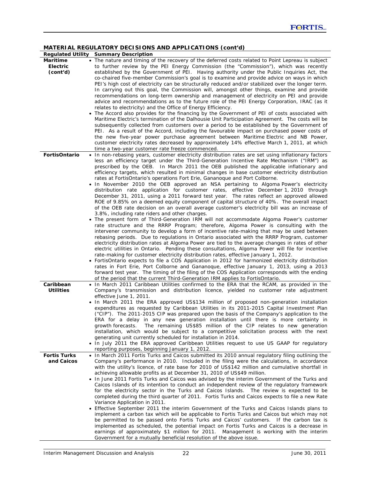# **MATERIAL REGULATORY DECISIONS AND APPLICATIONS (cont'd)**

|                                   | <b>Regulated Utility Summary Description</b>                                                                                                                                                                                                                                                                                                                                                                                                                                                                                                                                                                                                                                                                                                                                                                                                                                                                                                                                                                                                                                                                                                                                                                                                                                                                                                                                                                                                                                                                                                                                                                                                                                      |
|-----------------------------------|-----------------------------------------------------------------------------------------------------------------------------------------------------------------------------------------------------------------------------------------------------------------------------------------------------------------------------------------------------------------------------------------------------------------------------------------------------------------------------------------------------------------------------------------------------------------------------------------------------------------------------------------------------------------------------------------------------------------------------------------------------------------------------------------------------------------------------------------------------------------------------------------------------------------------------------------------------------------------------------------------------------------------------------------------------------------------------------------------------------------------------------------------------------------------------------------------------------------------------------------------------------------------------------------------------------------------------------------------------------------------------------------------------------------------------------------------------------------------------------------------------------------------------------------------------------------------------------------------------------------------------------------------------------------------------------|
| Maritime<br><b>Electric</b>       | • The nature and timing of the recovery of the deferred costs related to Point Lepreau is subject<br>to further review by the PEI Energy Commission (the "Commission"), which was recently                                                                                                                                                                                                                                                                                                                                                                                                                                                                                                                                                                                                                                                                                                                                                                                                                                                                                                                                                                                                                                                                                                                                                                                                                                                                                                                                                                                                                                                                                        |
| (cont'd)                          | established by the Government of PEI. Having authority under the Public Inquiries Act, the<br>co-chaired five-member Commission's goal is to examine and provide advice on ways in which<br>PEI's high cost of electricity can be structurally reduced and/or stabilized over the longer term.<br>In carrying out this goal, the Commission will, amongst other things, examine and provide<br>recommendations on long-term ownership and management of electricity on PEI and provide<br>advice and recommendations as to the future role of the PEI Energy Corporation, IRAC (as it                                                                                                                                                                                                                                                                                                                                                                                                                                                                                                                                                                                                                                                                                                                                                                                                                                                                                                                                                                                                                                                                                             |
|                                   | relates to electricity) and the Office of Energy Efficiency.<br>. The Accord also provides for the financing by the Government of PEI of costs associated with<br>Maritime Electric's termination of the Dalhousie Unit Participation Agreement. The costs will be<br>subsequently collected from customers over a period to be established by the Government of<br>PEI. As a result of the Accord, including the favourable impact on purchased power costs of<br>the new five-year power purchase agreement between Maritime Electric and NB Power,                                                                                                                                                                                                                                                                                                                                                                                                                                                                                                                                                                                                                                                                                                                                                                                                                                                                                                                                                                                                                                                                                                                             |
|                                   | customer electricity rates decreased by approximately 14% effective March 1, 2011, at which<br>time a two-year customer rate freeze commenced.                                                                                                                                                                                                                                                                                                                                                                                                                                                                                                                                                                                                                                                                                                                                                                                                                                                                                                                                                                                                                                                                                                                                                                                                                                                                                                                                                                                                                                                                                                                                    |
| <b>FortisOntario</b>              | • In non-rebasing years, customer electricity distribution rates are set using inflationary factors<br>less an efficiency target under the Third-Generation Incentive Rate Mechanism ("IRM") as<br>prescribed by the OEB. In March 2011 the OEB published the applicable inflationary and<br>efficiency targets, which resulted in minimal changes in base customer electricity distribution<br>rates at FortisOntario's operations Fort Erie, Gananoque and Port Colborne.<br>• In November 2010 the OEB approved an NSA pertaining to Algoma Power's electricity<br>distribution rate application for customer rates, effective December 1, 2010 through<br>December 31, 2011, using a 2011 forward test year. The rates reflect an approved allowed<br>ROE of 9.85% on a deemed equity component of capital structure of 40%. The overall impact<br>of the OEB rate decision on an overall average customer's electricity bill was an increase of<br>3.8%, including rate riders and other charges.<br>• The present form of Third-Generation IRM will not accommodate Algoma Power's customer<br>rate structure and the RRRP Program; therefore, Algoma Power is consulting with the<br>intervener community to develop a form of incentive rate-making that may be used between<br>rebasing periods. Due to regulations in Ontario associated with the RRRP Program, customer<br>electricity distribution rates at Algoma Power are tied to the average changes in rates of other<br>electric utilities in Ontario. Pending these consultations, Algoma Power will file for incentive<br>rate-making for customer electricity distribution rates, effective January 1, 2012. |
|                                   | • FortisOntario expects to file a COS Application in 2012 for harmonized electricity distribution<br>rates in Fort Erie, Port Colborne and Gananoque, effective January 1, 2013, using a 2013<br>forward test year. The timing of the filing of the COS Application corresponds with the ending<br>of the period that the current Third-Generation IRM applies to FortisOntario.                                                                                                                                                                                                                                                                                                                                                                                                                                                                                                                                                                                                                                                                                                                                                                                                                                                                                                                                                                                                                                                                                                                                                                                                                                                                                                  |
| Caribbean<br><b>Utilities</b>     | • In March 2011 Caribbean Utilities confirmed to the ERA that the RCAM, as provided in the<br>Company's transmission and distribution licence, yielded no customer rate adjustment<br>effective June 1, 2011.                                                                                                                                                                                                                                                                                                                                                                                                                                                                                                                                                                                                                                                                                                                                                                                                                                                                                                                                                                                                                                                                                                                                                                                                                                                                                                                                                                                                                                                                     |
|                                   | • In March 2011 the ERA approved US\$134 million of proposed non-generation installation<br>expenditures as requested by Caribbean Utilities in its 2011-2015 Capital Investment Plan<br>("CIP"). The 2011-2015 CIP was prepared upon the basis of the Company's application to the<br>ERA for a delay in any new generation installation until there is more certainty in<br>The remaining US\$85 million of the CIP relates to new generation<br>growth forecasts.<br>installation, which would be subject to a competitive solicitation process with the next<br>generating unit currently scheduled for installation in 2014.<br>• In July 2011 the ERA approved Caribbean Utilities request to use US GAAP for regulatory<br>reporting purposes, beginning January 1, 2012.                                                                                                                                                                                                                                                                                                                                                                                                                                                                                                                                                                                                                                                                                                                                                                                                                                                                                                  |
| <b>Fortis Turks</b><br>and Caicos | • In March 2011 Fortis Turks and Caicos submitted its 2010 annual regulatory filing outlining the<br>Company's performance in 2010. Included in the filing were the calculations, in accordance<br>with the utility's licence, of rate base for 2010 of US\$142 million and cumulative shortfall in<br>achieving allowable profits as at December 31, 2010 of US\$49 million.<br>• In June 2011 Fortis Turks and Caicos was advised by the interim Government of the Turks and<br>Caicos Islands of its intention to conduct an independent review of the regulatory framework<br>for the electricity sector in the Turks and Caicos Islands. The review is expected to be<br>completed during the third quarter of 2011. Fortis Turks and Caicos expects to file a new Rate<br>Variance Application in 2011.                                                                                                                                                                                                                                                                                                                                                                                                                                                                                                                                                                                                                                                                                                                                                                                                                                                                     |
|                                   | • Effective September 2011 the interim Government of the Turks and Caicos Islands plans to<br>implement a carbon tax which will be applicable to Fortis Turks and Caicos but which may not<br>be permitted to be passed onto Fortis Turks and Caicos' customers. If the carbon tax is<br>implemented as scheduled, the potential impact on Fortis Turks and Caicos is a decrease in<br>earnings of approximately \$1 million for 2011. Management is working with the interim<br>Government for a mutually beneficial resolution of the above issue.                                                                                                                                                                                                                                                                                                                                                                                                                                                                                                                                                                                                                                                                                                                                                                                                                                                                                                                                                                                                                                                                                                                              |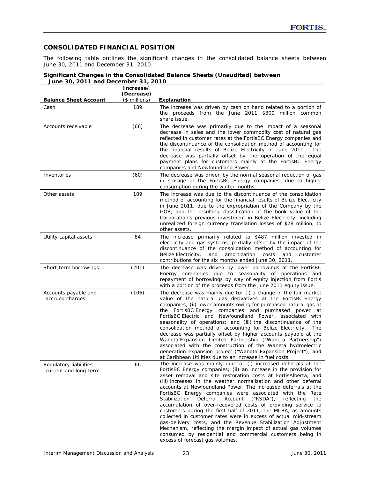# **CONSOLIDATED FINANCIAL POSITION**

The following table outlines the significant changes in the consolidated balance sheets between June 30, 2011 and December 31, 2010.

### **Significant Changes in the Consolidated Balance Sheets (Unaudited) between June 30, 2011 and December 31, 2010**

| <b>Balance Sheet Account</b>                      | Increase/<br>(Decrease)<br>(\$ millions) | Explanation                                                                                                                                                                                                                                                                                                                                                                                                                                                                                                                                                                                                                                                                                                                                                                                                                                                                                                     |
|---------------------------------------------------|------------------------------------------|-----------------------------------------------------------------------------------------------------------------------------------------------------------------------------------------------------------------------------------------------------------------------------------------------------------------------------------------------------------------------------------------------------------------------------------------------------------------------------------------------------------------------------------------------------------------------------------------------------------------------------------------------------------------------------------------------------------------------------------------------------------------------------------------------------------------------------------------------------------------------------------------------------------------|
| Cash                                              | 189                                      | The increase was driven by cash on hand related to a portion of<br>the proceeds from the June 2011 \$300 million common<br>share issue.                                                                                                                                                                                                                                                                                                                                                                                                                                                                                                                                                                                                                                                                                                                                                                         |
| Accounts receivable                               | (66)                                     | The decrease was primarily due to the impact of a seasonal<br>decrease in sales and the lower commodity cost of natural gas<br>reflected in customer rates at the FortisBC Energy companies and<br>the discontinuance of the consolidation method of accounting for<br>the financial results of Belize Electricity in June 2011.<br>The<br>decrease was partially offset by the operation of the equal<br>payment plans for customers mainly at the FortisBC Energy<br>companies and Newfoundland Power.                                                                                                                                                                                                                                                                                                                                                                                                        |
| Inventories                                       | (60)                                     | The decrease was driven by the normal seasonal reduction of gas<br>in storage at the FortisBC Energy companies, due to higher<br>consumption during the winter months.                                                                                                                                                                                                                                                                                                                                                                                                                                                                                                                                                                                                                                                                                                                                          |
| Other assets                                      | 109                                      | The increase was due to the discontinuance of the consolidation<br>method of accounting for the financial results of Belize Electricity<br>in June 2011, due to the expropriation of the Company by the<br>GOB, and the resulting classification of the book value of the<br>Corporation's previous investment in Belize Electricity, including<br>unrealized foreign currency translation losses of \$28 million, to<br>other assets.                                                                                                                                                                                                                                                                                                                                                                                                                                                                          |
| Utility capital assets                            | 84                                       | The increase primarily related to \$487 million invested in<br>electricity and gas systems, partially offset by the impact of the<br>discontinuance of the consolidation method of accounting for<br>Belize Electricity,<br>amortization<br>costs<br>and<br>and<br>customer<br>contributions for the six months ended June 30, 2011.                                                                                                                                                                                                                                                                                                                                                                                                                                                                                                                                                                            |
| Short-term borrowings                             | (201)                                    | The decrease was driven by lower borrowings at the FortisBC<br>Energy companies due to seasonality of operations and<br>repayment of borrowings by way of equity injection from Fortis<br>with a portion of the proceeds from the June 2011 equity issue.                                                                                                                                                                                                                                                                                                                                                                                                                                                                                                                                                                                                                                                       |
| Accounts payable and<br>accrued charges           | (106)                                    | The decrease was mainly due to: (i) a change in the fair market<br>value of the natural gas derivatives at the FortisBC Energy<br>companies; (ii) lower amounts owing for purchased natural gas at<br>the FortisBC Energy companies and purchased power at<br>FortisBC Electric and Newfoundland Power, associated with<br>seasonality of operations; and (iii) the discontinuance of the<br>consolidation method of accounting for Belize Electricity.<br>The<br>decrease was partially offset by higher accounts payable at the<br>Waneta Expansion Limited Partnership ("Waneta Partnership")<br>associated with the construction of the Waneta hydroelectric<br>generation expansion project ("Waneta Expansion Project"), and<br>at Caribbean Utilities due to an increase in fuel costs.                                                                                                                  |
| Regulatory liabilities -<br>current and long-term | 66                                       | The increase was mainly due to: (i) increased deferrals at the<br>FortisBC Energy companies; (ii) an increase in the provision for<br>asset removal and site restoration costs at FortisAlberta; and<br>(iii) increases in the weather normalization and other deferral<br>accounts at Newfoundland Power. The increased deferrals at the<br>FortisBC Energy companies were associated with the Rate<br>Stabilization<br>Deferral Account<br>("RSDA")<br>reflecting<br>the<br>accumulation of over-recovered costs of providing service to<br>customers during the first half of 2011, the MCRA, as amounts<br>collected in customer rates were in excess of actual mid-stream<br>gas-delivery costs, and the Revenue Stabilization Adjustment<br>Mechanism, reflecting the margin impact of actual gas volumes<br>consumed by residential and commercial customers being in<br>excess of forecast gas volumes. |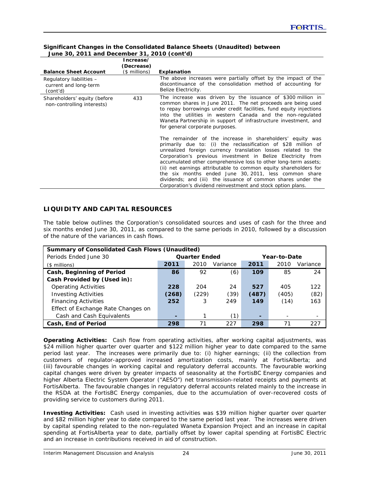|                                                               | Increase/<br>(Decrease) |                                                                                                                                                                                                                                                                                                                                                                                                                                                                                                                                                                                            |
|---------------------------------------------------------------|-------------------------|--------------------------------------------------------------------------------------------------------------------------------------------------------------------------------------------------------------------------------------------------------------------------------------------------------------------------------------------------------------------------------------------------------------------------------------------------------------------------------------------------------------------------------------------------------------------------------------------|
| <b>Balance Sheet Account</b>                                  | (\$ millions)           | Explanation                                                                                                                                                                                                                                                                                                                                                                                                                                                                                                                                                                                |
| Regulatory liabilities -<br>current and long-term<br>(cont'd) |                         | The above increases were partially offset by the impact of the<br>discontinuance of the consolidation method of accounting for<br>Belize Electricity.                                                                                                                                                                                                                                                                                                                                                                                                                                      |
| Shareholders' equity (before<br>non-controlling interests)    | 433                     | The increase was driven by the issuance of \$300 million in<br>common shares in June 2011. The net proceeds are being used<br>to repay borrowings under credit facilities, fund equity injections<br>into the utilities in western Canada and the non-regulated<br>Waneta Partnership in support of infrastructure investment, and<br>for general corporate purposes.                                                                                                                                                                                                                      |
|                                                               |                         | The remainder of the increase in shareholders' equity was<br>primarily due to: (i) the reclassification of \$28 million of<br>unrealized foreign currency translation losses related to the<br>Corporation's previous investment in Belize Electricity from<br>accumulated other comprehensive loss to other long-term assets;<br>(ii) net earnings attributable to common equity shareholders for<br>the six months ended June 30, 2011, less common share<br>dividends; and (iii) the issuance of common shares under the<br>Corporation's dividend reinvestment and stock option plans. |

### **Significant Changes in the Consolidated Balance Sheets (Unaudited) between June 30, 2011 and December 31, 2010 (cont'd)**

# **LIQUIDITY AND CAPITAL RESOURCES**

The table below outlines the Corporation's consolidated sources and uses of cash for the three and six months ended June 30, 2011, as compared to the same periods in 2010, followed by a discussion of the nature of the variances in cash flows.

| <b>Summary of Consondated Cash Flows (Onlaudited)</b> |                      |       |          |                          |                          |          |  |  |
|-------------------------------------------------------|----------------------|-------|----------|--------------------------|--------------------------|----------|--|--|
| Periods Ended June 30                                 | <b>Quarter Ended</b> |       |          |                          | Year-to-Date             |          |  |  |
| $($$ millions)                                        | 2011                 | 2010  | Variance | 2011                     | 2010                     | Variance |  |  |
| Cash, Beginning of Period                             | 86                   | 92    | (6)      | 109                      | 85                       | 24       |  |  |
| Cash Provided by (Used in):                           |                      |       |          |                          |                          |          |  |  |
| <b>Operating Activities</b>                           | 228                  | 204   | 24       | 527                      | 405                      | 122      |  |  |
| <b>Investing Activities</b>                           | (268)                | (229) | (39)     | (487)                    | (405)                    | (82)     |  |  |
| <b>Financing Activities</b>                           | 252                  | 3     | 249      | 149                      | (14)                     | 163      |  |  |
| Effect of Exchange Rate Changes on                    |                      |       |          |                          |                          |          |  |  |
| Cash and Cash Equivalents                             |                      |       | (1)      | $\overline{\phantom{0}}$ | $\overline{\phantom{a}}$ |          |  |  |
| Cash, End of Period                                   | 298                  | 71    | 227      | 298                      | 71                       | 227      |  |  |

# **Summary of Consolidated Cash Flows (Unaudited)**

**Operating Activities:** Cash flow from operating activities, after working capital adjustments, was \$24 million higher quarter over quarter and \$122 million higher year to date compared to the same period last year. The increases were primarily due to: (i) higher earnings; (ii) the collection from customers of regulator-approved increased amortization costs, mainly at FortisAlberta; and (iii) favourable changes in working capital and regulatory deferral accounts. The favourable working capital changes were driven by greater impacts of seasonality at the FortisBC Energy companies and higher Alberta Electric System Operator ("AESO") net transmission-related receipts and payments at FortisAlberta. The favourable changes in regulatory deferral accounts related mainly to the increase in the RSDA at the FortisBC Energy companies, due to the accumulation of over-recovered costs of providing service to customers during 2011.

**Investing Activities:**Cash used in investing activities was \$39 million higher quarter over quarter and \$82 million higher year to date compared to the same period last year. The increases were driven by capital spending related to the non-regulated Waneta Expansion Project and an increase in capital spending at FortisAlberta year to date, partially offset by lower capital spending at FortisBC Electric and an increase in contributions received in aid of construction.

 $\mathbf{I}$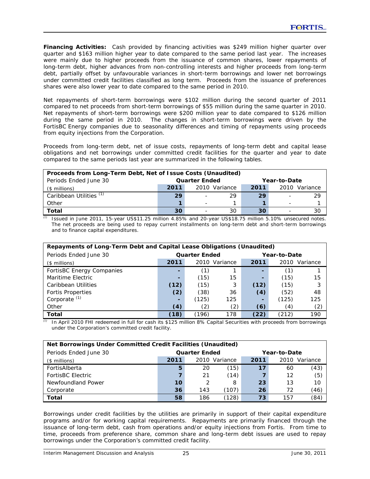**Financing Activities:**Cash provided by financing activities was \$249 million higher quarter over quarter and \$163 million higher year to date compared to the same period last year. The increases were mainly due to higher proceeds from the issuance of common shares, lower repayments of long-term debt, higher advances from non-controlling interests and higher proceeds from long-term debt, partially offset by unfavourable variances in short-term borrowings and lower net borrowings under committed credit facilities classified as long term. Proceeds from the issuance of preferences shares were also lower year to date compared to the same period in 2010.

Net repayments of short-term borrowings were \$102 million during the second quarter of 2011 compared to net proceeds from short-term borrowings of \$55 million during the same quarter in 2010. Net repayments of short-term borrowings were \$200 million year to date compared to \$126 million during the same period in 2010. The changes in short-term borrowings were driven by the FortisBC Energy companies due to seasonality differences and timing of repayments using proceeds from equity injections from the Corporation.

Proceeds from long-term debt, net of issue costs, repayments of long-term debt and capital lease obligations and net borrowings under committed credit facilities for the quarter and year to date compared to the same periods last year are summarized in the following tables.

| Proceeds from Long-Term Debt, Net of Issue Costs (Unaudited)  |      |               |    |    |  |               |  |  |
|---------------------------------------------------------------|------|---------------|----|----|--|---------------|--|--|
| Periods Ended June 30<br><b>Quarter Ended</b><br>Year-to-Date |      |               |    |    |  |               |  |  |
| $($$ millions)                                                | 2011 | 2010 Variance |    |    |  | 2010 Variance |  |  |
| Caribbean Utilities (1)                                       | 29   |               | 29 | 29 |  | 29            |  |  |
| Other                                                         |      |               |    |    |  |               |  |  |
| <b>Total</b>                                                  | 30   |               | 30 | 30 |  | 30            |  |  |

*(1)* Issued in June 2011, 15-year US\$11.25 million 4.85% and 20-year US\$18.75 million 5.10% unsecured notes. The net proceeds are being used to repay current installments on long-term debt and short-term borrowings and to finance capital expenditures.

| Repayments of Long-Term Debt and Capital Lease Obligations (Unaudited) |                      |       |               |              |       |               |  |
|------------------------------------------------------------------------|----------------------|-------|---------------|--------------|-------|---------------|--|
| Periods Ended June 30                                                  | <b>Quarter Ended</b> |       |               | Year-to-Date |       |               |  |
| $($$ millions)                                                         | 2011                 |       | 2010 Variance | 2011         |       | 2010 Variance |  |
| FortisBC Energy Companies                                              |                      | (1)   |               |              | (1)   |               |  |
| Maritime Electric                                                      |                      | (15)  | 15            |              | (15)  | 15            |  |
| Caribbean Utilities                                                    | (12)                 | (15)  | 3             | (12)         | (15)  | 3             |  |
| <b>Fortis Properties</b>                                               | (2)                  | (38)  | 36            | (4)          | (52)  | 48            |  |
| Corporate $(1)$                                                        | -                    | (125) | 125           |              | (125) | 125           |  |
| Other                                                                  | (4)                  | (2)   | (2)           | (6)          | (4)   | (2)           |  |
| <b>Total</b>                                                           | (18)                 | (196) | 178           | (22)         | (212) | 190           |  |

 $\overline{a}$  In April 2010 FHI redeemed in full for cash its \$125 million 8% Capital Securities with proceeds from borrowings under the Corporation's committed credit facility.

| Net Borrowings Under Committed Credit Facilities (Unaudited) |      |                      |       |              |     |               |  |  |
|--------------------------------------------------------------|------|----------------------|-------|--------------|-----|---------------|--|--|
| Periods Ended June 30                                        |      | <b>Quarter Ended</b> |       | Year-to-Date |     |               |  |  |
| $($$ millions)                                               | 2011 | 2010 Variance        |       |              |     | 2010 Variance |  |  |
| FortisAlberta                                                | 5    | 20                   | (15)  | 17           | 60  | (43)          |  |  |
| <b>FortisBC Electric</b>                                     |      | 21                   | (14)  |              | 12  | (5)           |  |  |
| Newfoundland Power                                           | 10   |                      | 8     | 23           | 13  | 10            |  |  |
| Corporate                                                    | 36   | 143                  | (107) | 26           | 72  | (46)          |  |  |
| <b>Total</b>                                                 | 58   | 186                  | 〔128〕 | 73           | 157 | (84)          |  |  |

Borrowings under credit facilities by the utilities are primarily in support of their capital expenditure programs and/or for working capital requirements. Repayments are primarily financed through the issuance of long-term debt, cash from operations and/or equity injections from Fortis. From time to time, proceeds from preference share, common share and long-term debt issues are used to repay borrowings under the Corporation's committed credit facility.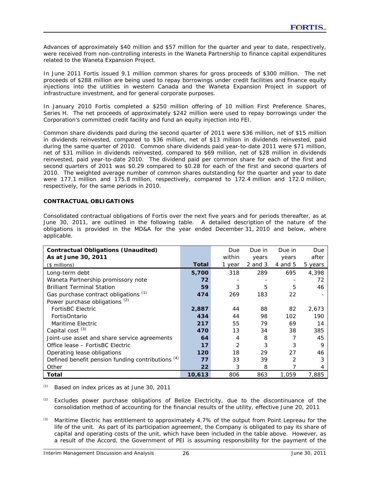Advances of approximately \$40 million and \$57 million for the quarter and year to date, respectively, were received from non-controlling interests in the Waneta Partnership to finance capital expenditures related to the Waneta Expansion Project.

In June 2011 Fortis issued 9.1 million common shares for gross proceeds of \$300 million. The net proceeds of \$288 million are being used to repay borrowings under credit facilities and finance equity injections into the utilities in western Canada and the Waneta Expansion Project in support of infrastructure investment, and for general corporate purposes.

In January 2010 Fortis completed a \$250 million offering of 10 million First Preference Shares, Series H. The net proceeds of approximately \$242 million were used to repay borrowings under the Corporation's committed credit facility and fund an equity injection into FEI.

Common share dividends paid during the second quarter of 2011 were \$36 million, net of \$15 million in dividends reinvested, compared to \$36 million, net of \$13 million in dividends reinvested, paid during the same quarter of 2010. Common share dividends paid year-to-date 2011 were \$71 million, net of \$31 million in dividends reinvested, compared to \$69 million, net of \$28 million in dividends reinvested, paid year-to-date 2010. The dividend paid per common share for each of the first and second quarters of 2011 was \$0.29 compared to \$0.28 for each of the first and second quarters of 2010. The weighted average number of common shares outstanding for the quarter and year to date were 177.1 million and 175.8 million, respectively, compared to 172.4 million and 172.0 million, respectively, for the same periods in 2010.

### **CONTRACTUAL OBLIGATIONS**

Consolidated contractual obligations of Fortis over the next five years and for periods thereafter, as at June 30, 2011, are outlined in the following table. A detailed description of the nature of the obligations is provided in the MD&A for the year ended December 31, 2010 and below, where applicable.

| <b>Contractual Obligations (Unaudited)</b>          |        | Due    | Due in      | Due in  | Due     |
|-----------------------------------------------------|--------|--------|-------------|---------|---------|
| As at June 30, 2011                                 |        | within | years       | years   | after   |
| $($$ millions)                                      | Total  | 1 year | $2$ and $3$ | 4 and 5 | 5 years |
| Long-term debt                                      | 5,700  | 318    | 289         | 695     | 4,398   |
| Waneta Partnership promissory note                  | 72     |        |             |         | 72      |
| <b>Brilliant Terminal Station</b>                   | 59     | 3      | 5           | 5       | 46      |
| Gas purchase contract obligations (1)               | 474    | 269    | 183         | 22      |         |
| Power purchase obligations (2)                      |        |        |             |         |         |
| FortisBC Electric                                   | 2,887  | 44     | 88          | 82      | 2,673   |
| FortisOntario                                       | 434    | 44     | 98          | 102     | 190     |
| Maritime Electric                                   | 217    | 55     | 79          | 69      | 14      |
| Capital cost <sup>(3)</sup>                         | 470    | 13     | 34          | 38      | 385     |
| Joint-use asset and share service agreements        | 64     | 4      | 8           |         | 45      |
| Office lease - FortisBC Electric                    | 17     | 2      | 3           | 3       | 9       |
| Operating lease obligations                         | 120    | 18     | 29          | 27      | 46      |
| Defined benefit pension funding contributions $(4)$ | 77     | 33     | 39          | 2       |         |
| Other                                               | 22     | 3      | 8           |         |         |
| Total                                               | 10,613 | 806    | 863         | 1.059   | 7,885   |

*(1)* Based on index prices as at June 30, 2011

*(2)* Excludes power purchase obligations of Belize Electricity, due to the discontinuance of the consolidation method of accounting for the financial results of the utility, effective June 20, 2011

*(3)* Maritime Electric has entitlement to approximately 4.7% of the output from Point Lepreau for the life of the unit. As part of its participation agreement, the Company is obligated to pay its share of capital and operating costs of the unit, which have been included in the table above. However, as a result of the Accord, the Government of PEI is assuming responsibility for the payment of the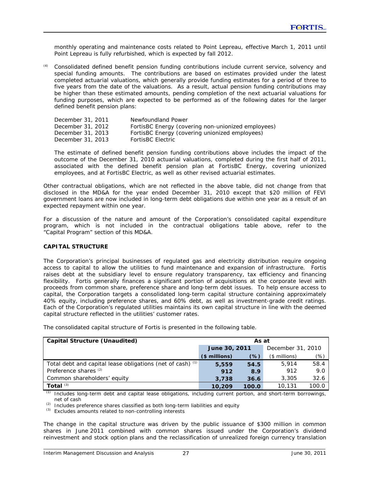monthly operating and maintenance costs related to Point Lepreau, effective March 1, 2011 until Point Lepreau is fully refurbished, which is expected by fall 2012.

*(4)* Consolidated defined benefit pension funding contributions include current service, solvency and special funding amounts. The contributions are based on estimates provided under the latest completed actuarial valuations, which generally provide funding estimates for a period of three to five years from the date of the valuations. As a result, actual pension funding contributions may be higher than these estimated amounts, pending completion of the next actuarial valuations for funding purposes, which are expected to be performed as of the following dates for the larger defined benefit pension plans:

| December 31, 2011 | Newfoundland Power                                 |
|-------------------|----------------------------------------------------|
| December 31, 2012 | FortisBC Energy (covering non-unionized employees) |
| December 31, 2013 | FortisBC Energy (covering unionized employees)     |
| December 31, 2013 | FortisBC Electric                                  |

The estimate of defined benefit pension funding contributions above includes the impact of the outcome of the December 31, 2010 actuarial valuations, completed during the first half of 2011, associated with the defined benefit pension plan at FortisBC Energy, covering unionized employees, and at FortisBC Electric, as well as other revised actuarial estimates.

Other contractual obligations, which are not reflected in the above table, did not change from that disclosed in the MD&A for the year ended December 31, 2010 except that \$20 million of FEVI government loans are now included in long-term debt obligations due within one year as a result of an expected repayment within one year.

For a discussion of the nature and amount of the Corporation's consolidated capital expenditure program, which is not included in the contractual obligations table above, refer to the "Capital Program" section of this MD&A.

### **CAPITAL STRUCTURE**

The Corporation's principal businesses of regulated gas and electricity distribution require ongoing access to capital to allow the utilities to fund maintenance and expansion of infrastructure. Fortis raises debt at the subsidiary level to ensure regulatory transparency, tax efficiency and financing flexibility. Fortis generally finances a significant portion of acquisitions at the corporate level with proceeds from common share, preference share and long-term debt issues. To help ensure access to capital, the Corporation targets a consolidated long-term capital structure containing approximately 40% equity, including preference shares, and 60% debt, as well as investment-grade credit ratings. Each of the Corporation's regulated utilities maintains its own capital structure in line with the deemed capital structure reflected in the utilities' customer rates.

| <b>Capital Structure (Unaudited)</b>                       | As at         |       |                   |       |  |
|------------------------------------------------------------|---------------|-------|-------------------|-------|--|
|                                                            | June 30, 2011 |       | December 31, 2010 |       |  |
|                                                            | (\$ millions) | (%)   | $($$ millions)    | (%)   |  |
| Total debt and capital lease obligations (net of cash) (1) | 5,559         | 54.5  | 5.914             | 58.4  |  |
| Preference shares $(2)$                                    | 912           | 8.9   | 912               | 9.0   |  |
| Common shareholders' equity                                | 3,738         | 36.6  | 3,305             | 32.6  |  |
| Total $(3)$                                                | 10,209        | 100.0 | 10,131            | 100.0 |  |

The consolidated capital structure of Fortis is presented in the following table.

*(1)* Includes long-term debt and capital lease obligations, including current portion, and short-term borrowings, net of cash

*(2)* Includes preference shares classified as both long-term liabilities and equity

*(3)* Excludes amounts related to non-controlling interests

The change in the capital structure was driven by the public issuance of \$300 million in common shares in June 2011 combined with common shares issued under the Corporation's dividend reinvestment and stock option plans and the reclassification of unrealized foreign currency translation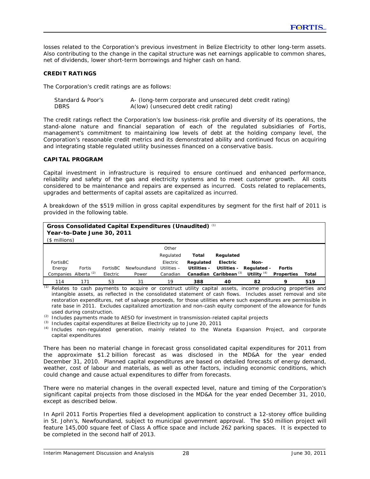losses related to the Corporation's previous investment in Belize Electricity to other long-term assets. Also contributing to the change in the capital structure was net earnings applicable to common shares, net of dividends, lower short-term borrowings and higher cash on hand.

### **CREDIT RATINGS**

The Corporation's credit ratings are as follows:

| Standard & Poor's | A- (long-term corporate and unsecured debt credit rating) |
|-------------------|-----------------------------------------------------------|
| <b>DBRS</b>       | A(low) (unsecured debt credit rating)                     |

The credit ratings reflect the Corporation's low business-risk profile and diversity of its operations, the stand-alone nature and financial separation of each of the regulated subsidiaries of Fortis, management's commitment to maintaining low levels of debt at the holding company level, the Corporation's reasonable credit metrics and its demonstrated ability and continued focus on acquiring and integrating stable regulated utility businesses financed on a conservative basis.

### **CAPITAL PROGRAM**

Capital investment in infrastructure is required to ensure continued and enhanced performance, reliability and safety of the gas and electricity systems and to meet customer growth. All costs considered to be maintenance and repairs are expensed as incurred. Costs related to replacements, upgrades and betterments of capital assets are capitalized as incurred.

A breakdown of the \$519 million in gross capital expenditures by segment for the first half of 2011 is provided in the following table.

| Gross Consolidated Capital Expenditures (Unaudited) (1)<br>Year-to-Date June 30, 2011<br>$($$ millions) |        |          |              |               |             |                          |               |                   |       |
|---------------------------------------------------------------------------------------------------------|--------|----------|--------------|---------------|-------------|--------------------------|---------------|-------------------|-------|
|                                                                                                         |        |          |              | Other         |             |                          |               |                   |       |
|                                                                                                         |        |          |              | Regulated     | Total       | Regulated                |               |                   |       |
| FortisBC                                                                                                |        |          |              | Electric      | Regulated   | <b>Electric</b>          | Non-          |                   |       |
| Energy                                                                                                  | Fortis | FortisBC | Newfoundland | Utilities $-$ | Utilities - | Utilities -              | Regulated -   | <b>Fortis</b>     |       |
| Companies Alberta <sup>(2)</sup>                                                                        |        | Electric | Power        | Canadian      |             | Canadian Caribbean $(3)$ | Utility $(4)$ | <b>Properties</b> | Total |
| 114<br>$(4)$ $ -$                                                                                       | 171    | 53       | 31           | 19            | 388         | 40                       | 82            | 9                 | 519   |

*(1)* Relates to cash payments to acquire or construct utility capital assets, income producing properties and intangible assets, as reflected in the consolidated statement of cash flows. Includes asset removal and site restoration expenditures, net of salvage proceeds, for those utilities where such expenditures are permissible in rate base in 2011. Excludes capitalized amortization and non-cash equity component of the allowance for funds used during construction.

*(2)* Includes payments made to AESO for investment in transmission-related capital projects

*(3)* Includes capital expenditures at Belize Electricity up to June 20, 2011

*(4)* Includes non-regulated generation, mainly related to the Waneta Expansion Project, and corporate capital expenditures

There has been no material change in forecast gross consolidated capital expenditures for 2011 from the approximate \$1.2 billion forecast as was disclosed in the MD&A for the year ended December 31, 2010. Planned capital expenditures are based on detailed forecasts of energy demand, weather, cost of labour and materials, as well as other factors, including economic conditions, which could change and cause actual expenditures to differ from forecasts.

There were no material changes in the overall expected level, nature and timing of the Corporation's significant capital projects from those disclosed in the MD&A for the year ended December 31, 2010, except as described below.

In April 2011 Fortis Properties filed a development application to construct a 12-storey office building in St. John's, Newfoundland, subject to municipal government approval. The \$50 million project will feature 145,000 square feet of Class A office space and include 262 parking spaces. It is expected to be completed in the second half of 2013.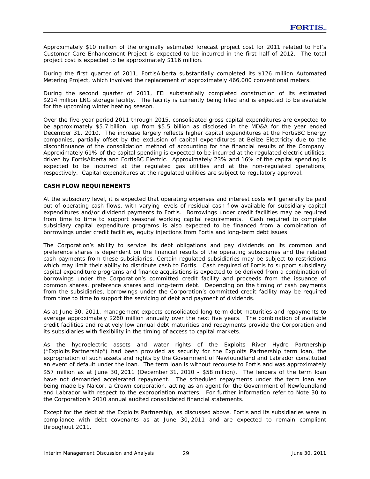Approximately \$10 million of the originally estimated forecast project cost for 2011 related to FEI's Customer Care Enhancement Project is expected to be incurred in the first half of 2012. The total project cost is expected to be approximately \$116 million.

During the first quarter of 2011, FortisAlberta substantially completed its \$126 million Automated Metering Project, which involved the replacement of approximately 466,000 conventional meters.

During the second quarter of 2011, FEI substantially completed construction of its estimated \$214 million LNG storage facility. The facility is currently being filled and is expected to be available for the upcoming winter heating season.

Over the five-year period 2011 through 2015, consolidated gross capital expenditures are expected to be approximately \$5.7 billion, up from \$5.5 billion as disclosed in the MD&A for the year ended December 31, 2010. The increase largely reflects higher capital expenditures at the FortisBC Energy companies, partially offset by the exclusion of capital expenditures at Belize Electricity due to the discontinuance of the consolidation method of accounting for the financial results of the Company. Approximately 61% of the capital spending is expected to be incurred at the regulated electric utilities, driven by FortisAlberta and FortisBC Electric. Approximately 23% and 16% of the capital spending is expected to be incurred at the regulated gas utilities and at the non-regulated operations, respectively. Capital expenditures at the regulated utilities are subject to regulatory approval.

### **CASH FLOW REQUIREMENTS**

At the subsidiary level, it is expected that operating expenses and interest costs will generally be paid out of operating cash flows, with varying levels of residual cash flow available for subsidiary capital expenditures and/or dividend payments to Fortis. Borrowings under credit facilities may be required from time to time to support seasonal working capital requirements. Cash required to complete subsidiary capital expenditure programs is also expected to be financed from a combination of borrowings under credit facilities, equity injections from Fortis and long-term debt issues.

The Corporation's ability to service its debt obligations and pay dividends on its common and preference shares is dependent on the financial results of the operating subsidiaries and the related cash payments from these subsidiaries. Certain regulated subsidiaries may be subject to restrictions which may limit their ability to distribute cash to Fortis. Cash required of Fortis to support subsidiary capital expenditure programs and finance acquisitions is expected to be derived from a combination of borrowings under the Corporation's committed credit facility and proceeds from the issuance of common shares, preference shares and long-term debt. Depending on the timing of cash payments from the subsidiaries, borrowings under the Corporation's committed credit facility may be required from time to time to support the servicing of debt and payment of dividends.

As at June 30, 2011, management expects consolidated long-term debt maturities and repayments to average approximately \$260 million annually over the next five years. The combination of available credit facilities and relatively low annual debt maturities and repayments provide the Corporation and its subsidiaries with flexibility in the timing of access to capital markets.

As the hydroelectric assets and water rights of the Exploits River Hydro Partnership ("Exploits Partnership") had been provided as security for the Exploits Partnership term loan, the expropriation of such assets and rights by the Government of Newfoundland and Labrador constituted an event of default under the loan. The term loan is without recourse to Fortis and was approximately \$57 million as at June 30, 2011 (December 31, 2010 - \$58 million). The lenders of the term loan have not demanded accelerated repayment. The scheduled repayments under the term loan are being made by Nalcor, a Crown corporation, acting as an agent for the Government of Newfoundland and Labrador with respect to the expropriation matters. For further information refer to Note 30 to the Corporation's 2010 annual audited consolidated financial statements.

Except for the debt at the Exploits Partnership, as discussed above, Fortis and its subsidiaries were in compliance with debt covenants as at June 30, 2011 and are expected to remain compliant throughout 2011.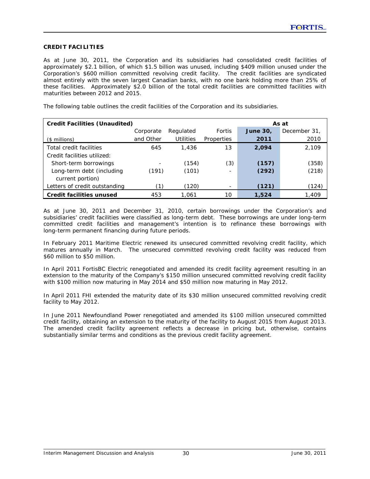### **CREDIT FACILITIES**

As at June 30, 2011, the Corporation and its subsidiaries had consolidated credit facilities of approximately \$2.1 billion, of which \$1.5 billion was unused, including \$409 million unused under the Corporation's \$600 million committed revolving credit facility. The credit facilities are syndicated almost entirely with the seven largest Canadian banks, with no one bank holding more than 25% of these facilities. Approximately \$2.0 billion of the total credit facilities are committed facilities with maturities between 2012 and 2015.

The following table outlines the credit facilities of the Corporation and its subsidiaries.

| <b>Credit Facilities (Unaudited)</b> |           |           | As at                        |                 |              |
|--------------------------------------|-----------|-----------|------------------------------|-----------------|--------------|
|                                      | Corporate | Regulated | Fortis                       | <b>June 30,</b> | December 31, |
| $($$ millions)                       | and Other | Utilities | Properties                   | 2011            | 2010         |
| Total credit facilities              | 645       | 1,436     | 13                           | 2,094           | 2,109        |
| Credit facilities utilized:          |           |           |                              |                 |              |
| Short-term borrowings                |           | (154)     | (3)                          | (157)           | (358)        |
| Long-term debt (including            | (191)     | (101)     | $\qquad \qquad \blacksquare$ | (292)           | (218)        |
| current portion)                     |           |           |                              |                 |              |
| Letters of credit outstanding        | (1)       | (120)     | $\overline{\phantom{0}}$     | (121)           | (124)        |
| Credit facilities unused             | 453       | 1,061     | 10                           | 1,524           | 1,409        |

As at June 30, 2011 and December 31, 2010, certain borrowings under the Corporation's and subsidiaries' credit facilities were classified as long-term debt. These borrowings are under long-term committed credit facilities and management's intention is to refinance these borrowings with long-term permanent financing during future periods.

In February 2011 Maritime Electric renewed its unsecured committed revolving credit facility, which matures annually in March. The unsecured committed revolving credit facility was reduced from \$60 million to \$50 million.

In April 2011 FortisBC Electric renegotiated and amended its credit facility agreement resulting in an extension to the maturity of the Company's \$150 million unsecured committed revolving credit facility with \$100 million now maturing in May 2014 and \$50 million now maturing in May 2012.

In April 2011 FHI extended the maturity date of its \$30 million unsecured committed revolving credit facility to May 2012.

In June 2011 Newfoundland Power renegotiated and amended its \$100 million unsecured committed credit facility, obtaining an extension to the maturity of the facility to August 2015 from August 2013. The amended credit facility agreement reflects a decrease in pricing but, otherwise, contains substantially similar terms and conditions as the previous credit facility agreement.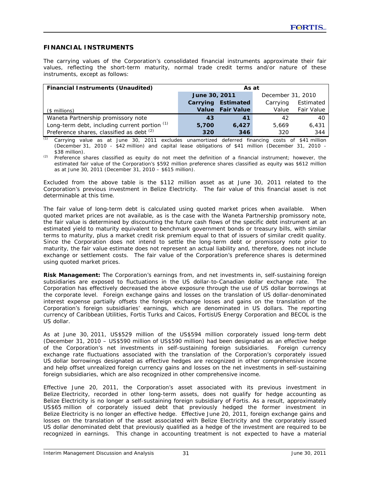# **FINANCIAL INSTRUMENTS**

The carrying values of the Corporation's consolidated financial instruments approximate their fair values, reflecting the short-term maturity, normal trade credit terms and/or nature of these instruments, except as follows:

| <b>Financial Instruments (Unaudited)</b>      | As at         |                         |                   |                   |  |
|-----------------------------------------------|---------------|-------------------------|-------------------|-------------------|--|
|                                               | June 30, 2011 |                         | December 31, 2010 |                   |  |
|                                               | Carrying      | <b>Estimated</b>        | Carrying          | Estimated         |  |
| $($$ millions)                                |               | <b>Value</b> Fair Value | Value             | <b>Fair Value</b> |  |
| Waneta Partnership promissory note            | 43            | 41                      | 42                | 40                |  |
| Long-term debt, including current portion (1) | 5,700         | 6,427                   | 5.669             | 6,431             |  |
| Preference shares, classified as debt (2)     | 320           | 346                     | 320               | 344               |  |

*(1)* Carrying value as at June 30, 2011 excludes unamortized deferred financing costs of \$41 million (December 31, 2010 - \$42 million) and capital lease obligations of \$41 million (December 31, 2010 - \$38 million).

*(2)* Preference shares classified as equity do not meet the definition of a financial instrument; however, the estimated fair value of the Corporation's \$592 million preference shares classified as equity was \$612 million as at June 30, 2011 (December 31, 2010 – \$615 million).

Excluded from the above table is the \$112 million asset as at June 30, 2011 related to the Corporation's previous investment in Belize Electricity. The fair value of this financial asset is not determinable at this time.

The fair value of long-term debt is calculated using quoted market prices when available. When quoted market prices are not available, as is the case with the Waneta Partnership promissory note, the fair value is determined by discounting the future cash flows of the specific debt instrument at an estimated yield to maturity equivalent to benchmark government bonds or treasury bills, with similar terms to maturity, plus a market credit risk premium equal to that of issuers of similar credit quality. Since the Corporation does not intend to settle the long-term debt or promissory note prior to maturity, the fair value estimate does not represent an actual liability and, therefore, does not include exchange or settlement costs. The fair value of the Corporation's preference shares is determined using quoted market prices.

**Risk Management:** The Corporation's earnings from, and net investments in, self-sustaining foreign subsidiaries are exposed to fluctuations in the US dollar-to-Canadian dollar exchange rate. The Corporation has effectively decreased the above exposure through the use of US dollar borrowings at the corporate level. Foreign exchange gains and losses on the translation of US dollar-denominated interest expense partially offsets the foreign exchange losses and gains on the translation of the Corporation's foreign subsidiaries' earnings, which are denominated in US dollars. The reporting currency of Caribbean Utilities, Fortis Turks and Caicos, FortisUS Energy Corporation and BECOL is the US dollar.

As at June 30, 2011, US\$529 million of the US\$594 million corporately issued long-term debt (December 31, 2010 – US\$590 million of US\$590 million) had been designated as an effective hedge of the Corporation's net investments in self-sustaining foreign subsidiaries. Foreign currency exchange rate fluctuations associated with the translation of the Corporation's corporately issued US dollar borrowings designated as effective hedges are recognized in other comprehensive income and help offset unrealized foreign currency gains and losses on the net investments in self-sustaining foreign subsidiaries, which are also recognized in other comprehensive income.

Effective June 20, 2011, the Corporation's asset associated with its previous investment in Belize Electricity, recorded in other long-term assets, does not qualify for hedge accounting as Belize Electricity is no longer a self-sustaining foreign subsidiary of Fortis. As a result, approximately US\$65 million of corporately issued debt that previously hedged the former investment in Belize Electricity is no longer an effective hedge. Effective June 20, 2011, foreign exchange gains and losses on the translation of the asset associated with Belize Electricity and the corporately issued US dollar denominated debt that previously qualified as a hedge of the investment are required to be recognized in earnings. This change in accounting treatment is not expected to have a material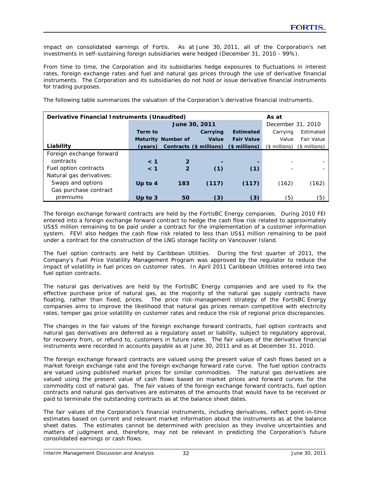impact on consolidated earnings of Fortis. As at June 30, 2011, all of the Corporation's net investments in self-sustaining foreign subsidiaries were hedged (December 31, 2010 - 99%).

From time to time, the Corporation and its subsidiaries hedge exposures to fluctuations in interest rates, foreign exchange rates and fuel and natural gas prices through the use of derivative financial instruments. The Corporation and its subsidiaries do not hold or issue derivative financial instruments for trading purposes.

The following table summarizes the valuation of the Corporation's derivative financial instruments.

|                          | Derivative Financial Instruments (Unaudited)<br>As at |                           |                         |                   |                   |                   |
|--------------------------|-------------------------------------------------------|---------------------------|-------------------------|-------------------|-------------------|-------------------|
|                          |                                                       |                           | June 30, 2011           |                   | December 31, 2010 |                   |
|                          | Term to                                               |                           | Carrying                | <b>Estimated</b>  | Carrying          | Estimated         |
|                          |                                                       | <b>Maturity Number of</b> | Value                   | <b>Fair Value</b> | Value             | <b>Fair Value</b> |
| Liability                | (years)                                               |                           | Contracts (\$ millions) | $$$ millions)     | $($$ millions)    | $($$ millions)    |
| Foreign exchange forward |                                                       |                           |                         |                   |                   |                   |
| contracts                | $\leq 1$                                              | $\overline{2}$            |                         |                   |                   |                   |
| Fuel option contracts    | $\leq 1$                                              | $\overline{2}$            | (1)                     | (1)               |                   |                   |
| Natural gas derivatives: |                                                       |                           |                         |                   |                   |                   |
| Swaps and options        | Up to $4$                                             | 183                       | (117)                   | (117)             | (162)             | (162)             |
| Gas purchase contract    |                                                       |                           |                         |                   |                   |                   |
| premiums                 | Up to $3$                                             | 50                        | (3)                     | (3)               | (5)               | (5)               |

The foreign exchange forward contracts are held by the FortisBC Energy companies. During 2010 FEI entered into a foreign exchange forward contract to hedge the cash flow risk related to approximately US\$5 million remaining to be paid under a contract for the implementation of a customer information system. FEVI also hedges the cash flow risk related to less than US\$1 million remaining to be paid under a contract for the construction of the LNG storage facility on Vancouver Island.

The fuel option contracts are held by Caribbean Utilities. During the first quarter of 2011, the Company's Fuel Price Volatility Management Program was approved by the regulator to reduce the impact of volatility in fuel prices on customer rates. In April 2011 Caribbean Utilities entered into two fuel option contracts.

The natural gas derivatives are held by the FortisBC Energy companies and are used to fix the effective purchase price of natural gas, as the majority of the natural gas supply contracts have floating, rather than fixed, prices. The price risk-management strategy of the FortisBC Energy companies aims to improve the likelihood that natural gas prices remain competitive with electricity rates, temper gas price volatility on customer rates and reduce the risk of regional price discrepancies.

The changes in the fair values of the foreign exchange forward contracts, fuel option contracts and natural gas derivatives are deferred as a regulatory asset or liability, subject to regulatory approval, for recovery from, or refund to, customers in future rates. The fair values of the derivative financial instruments were recorded in accounts payable as at June 30, 2011 and as at December 31, 2010.

The foreign exchange forward contracts are valued using the present value of cash flows based on a market foreign exchange rate and the foreign exchange forward rate curve. The fuel option contracts are valued using published market prices for similar commodities. The natural gas derivatives are valued using the present value of cash flows based on market prices and forward curves for the commodity cost of natural gas. The fair values of the foreign exchange forward contracts, fuel option contracts and natural gas derivatives are estimates of the amounts that would have to be received or paid to terminate the outstanding contracts as at the balance sheet dates.

The fair values of the Corporation's financial instruments, including derivatives, reflect point-in-time estimates based on current and relevant market information about the instruments as at the balance sheet dates. The estimates cannot be determined with precision as they involve uncertainties and matters of judgment and, therefore, may not be relevant in predicting the Corporation's future consolidated earnings or cash flows.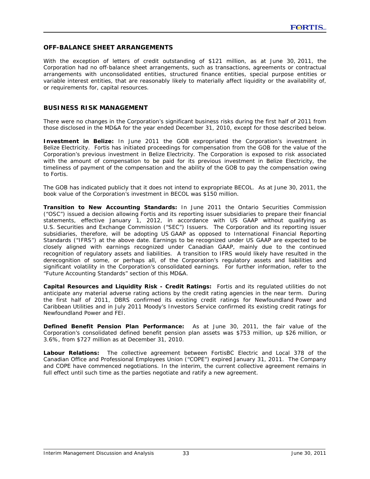# **OFF-BALANCE SHEET ARRANGEMENTS**

With the exception of letters of credit outstanding of \$121 million, as at June 30, 2011, the Corporation had no off-balance sheet arrangements, such as transactions, agreements or contractual arrangements with unconsolidated entities, structured finance entities, special purpose entities or variable interest entities, that are reasonably likely to materially affect liquidity or the availability of, or requirements for, capital resources.

### **BUSINESS RISK MANAGEMENT**

There were no changes in the Corporation's significant business risks during the first half of 2011 from those disclosed in the MD&A for the year ended December 31, 2010, except for those described below.

**Investment in Belize:** In June 2011 the GOB expropriated the Corporation's investment in Belize Electricity. Fortis has initiated proceedings for compensation from the GOB for the value of the Corporation's previous investment in Belize Electricity. The Corporation is exposed to risk associated with the amount of compensation to be paid for its previous investment in Belize Electricity, the timeliness of payment of the compensation and the ability of the GOB to pay the compensation owing to Fortis.

The GOB has indicated publicly that it does not intend to expropriate BECOL. As at June 30, 2011, the book value of the Corporation's investment in BECOL was \$150 million.

**Transition to New Accounting Standards:** In June 2011 the Ontario Securities Commission ("OSC") issued a decision allowing Fortis and its reporting issuer subsidiaries to prepare their financial statements, effective January 1, 2012, in accordance with US GAAP without qualifying as U.S. Securities and Exchange Commission ("SEC") Issuers. The Corporation and its reporting issuer subsidiaries, therefore, will be adopting US GAAP as opposed to International Financial Reporting Standards ("IFRS") at the above date. Earnings to be recognized under US GAAP are expected to be closely aligned with earnings recognized under Canadian GAAP, mainly due to the continued recognition of regulatory assets and liabilities. A transition to IFRS would likely have resulted in the derecognition of some, or perhaps all, of the Corporation's regulatory assets and liabilities and significant volatility in the Corporation's consolidated earnings. For further information, refer to the "Future Accounting Standards" section of this MD&A.

**Capital Resources and Liquidity Risk - Credit Ratings:** Fortis and its regulated utilities do not anticipate any material adverse rating actions by the credit rating agencies in the near term. During the first half of 2011, DBRS confirmed its existing credit ratings for Newfoundland Power and Caribbean Utilities and in July 2011 Moody's Investors Service confirmed its existing credit ratings for Newfoundland Power and FEI.

**Defined Benefit Pension Plan Performance:**As at June 30, 2011, the fair value of the Corporation's consolidated defined benefit pension plan assets was \$753 million, up \$26 million, or 3.6%, from \$727 million as at December 31, 2010.

**Labour Relations:** The collective agreement between FortisBC Electric and Local 378 of the Canadian Office and Professional Employees Union ("COPE") expired January 31, 2011. The Company and COPE have commenced negotiations. In the interim, the current collective agreement remains in full effect until such time as the parties negotiate and ratify a new agreement.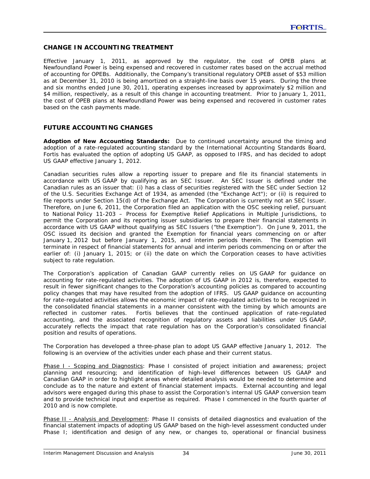# **CHANGE IN ACCOUNTING TREATMENT**

Effective January 1, 2011, as approved by the regulator, the cost of OPEB plans at Newfoundland Power is being expensed and recovered in customer rates based on the accrual method of accounting for OPEBs. Additionally, the Company's transitional regulatory OPEB asset of \$53 million as at December 31, 2010 is being amortized on a straight-line basis over 15 years. During the three and six months ended June 30, 2011, operating expenses increased by approximately \$2 million and \$4 million, respectively, as a result of this change in accounting treatment. Prior to January 1, 2011, the cost of OPEB plans at Newfoundland Power was being expensed and recovered in customer rates based on the cash payments made.

## **FUTURE ACCOUNTING CHANGES**

**Adoption of New Accounting Standards:** Due to continued uncertainty around the timing and adoption of a rate-regulated accounting standard by the International Accounting Standards Board, Fortis has evaluated the option of adopting US GAAP, as opposed to IFRS, and has decided to adopt US GAAP effective January 1, 2012.

Canadian securities rules allow a reporting issuer to prepare and file its financial statements in accordance with US GAAP by qualifying as an SEC Issuer. An SEC Issuer is defined under the Canadian rules as an issuer that: (i) has a class of securities registered with the SEC under Section 12 of the *U.S. Securities Exchange Act of 1934*, as amended (the "Exchange Act"); or (ii) is required to file reports under Section 15(d) of the Exchange Act. The Corporation is currently not an SEC Issuer. Therefore, on June 6, 2011, the Corporation filed an application with the OSC seeking relief, pursuant to National Policy 11-203 – *Process for Exemptive Relief Applications in Multiple Jurisdictions,* to permit the Corporation and its reporting issuer subsidiaries to prepare their financial statements in accordance with US GAAP without qualifying as SEC Issuers ("the Exemption"). On June 9, 2011, the OSC issued its decision and granted the Exemption for financial years commencing on or after January 1, 2012 but before January 1, 2015, and interim periods therein. The Exemption will terminate in respect of financial statements for annual and interim periods commencing on or after the earlier of: (i) January 1, 2015; or (ii) the date on which the Corporation ceases to have activities subject to rate regulation.

The Corporation's application of Canadian GAAP currently relies on US GAAP for guidance on accounting for rate-regulated activities. The adoption of US GAAP in 2012 is, therefore, expected to result in fewer significant changes to the Corporation's accounting policies as compared to accounting policy changes that may have resulted from the adoption of IFRS. US GAAP guidance on accounting for rate-regulated activities allows the economic impact of rate-regulated activities to be recognized in the consolidated financial statements in a manner consistent with the timing by which amounts are reflected in customer rates. Fortis believes that the continued application of rate-regulated accounting, and the associated recognition of regulatory assets and liabilities under US GAAP, accurately reflects the impact that rate regulation has on the Corporation's consolidated financial position and results of operations.

The Corporation has developed a three-phase plan to adopt US GAAP effective January 1, 2012. The following is an overview of the activities under each phase and their current status.

*Phase I - Scoping and Diagnostics:* Phase I consisted of project initiation and awareness; project planning and resourcing; and identification of high-level differences between US GAAP and Canadian GAAP in order to highlight areas where detailed analysis would be needed to determine and conclude as to the nature and extent of financial statement impacts. External accounting and legal advisors were engaged during this phase to assist the Corporation's internal US GAAP conversion team and to provide technical input and expertise as required. Phase I commenced in the fourth quarter of 2010 and is now complete.

*Phase II - Analysis and Development:* Phase II consists of detailed diagnostics and evaluation of the financial statement impacts of adopting US GAAP based on the high-level assessment conducted under Phase I; identification and design of any new, or changes to, operational or financial business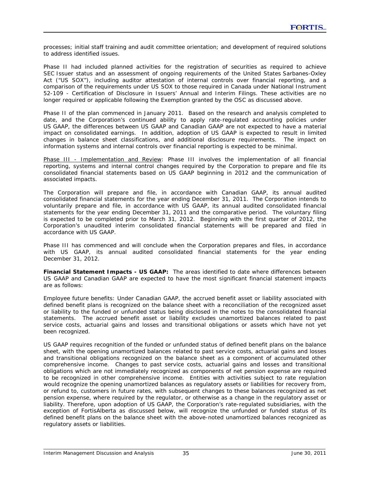processes; initial staff training and audit committee orientation; and development of required solutions to address identified issues.

Phase II had included planned activities for the registration of securities as required to achieve SEC Issuer status and an assessment of ongoing requirements of the United States *Sarbanes-Oxley Act* ("US SOX"), including auditor attestation of internal controls over financial reporting, and a comparison of the requirements under US SOX to those required in Canada under National Instrument 52-109 - *Certification of Disclosure in Issuers' Annual and Interim Filings*. These activities are no longer required or applicable following the Exemption granted by the OSC as discussed above.

Phase II of the plan commenced in January 2011. Based on the research and analysis completed to date, and the Corporation's continued ability to apply rate-regulated accounting policies under US GAAP, the differences between US GAAP and Canadian GAAP are not expected to have a material impact on consolidated earnings. In addition, adoption of US GAAP is expected to result in limited changes in balance sheet classifications, and additional disclosure requirements. The impact on information systems and internal controls over financial reporting is expected to be minimal.

*Phase III - Implementation and Review:* Phase III involves the implementation of all financial reporting, systems and internal control changes required by the Corporation to prepare and file its consolidated financial statements based on US GAAP beginning in 2012 and the communication of associated impacts.

The Corporation will prepare and file, in accordance with Canadian GAAP, its annual audited consolidated financial statements for the year ending December 31, 2011. The Corporation intends to voluntarily prepare and file, in accordance with US GAAP, its annual audited consolidated financial statements for the year ending December 31, 2011 and the comparative period. The voluntary filing is expected to be completed prior to March 31, 2012. Beginning with the first quarter of 2012, the Corporation's unaudited interim consolidated financial statements will be prepared and filed in accordance with US GAAP.

Phase III has commenced and will conclude when the Corporation prepares and files, in accordance with US GAAP, its annual audited consolidated financial statements for the year ending December 31, 2012.

**Financial Statement Impacts - US GAAP:** The areas identified to date where differences between US GAAP and Canadian GAAP are expected to have the most significant financial statement impacts are as follows:

*Employee future benefits:* Under Canadian GAAP, the accrued benefit asset or liability associated with defined benefit plans is recognized on the balance sheet with a reconciliation of the recognized asset or liability to the funded or unfunded status being disclosed in the notes to the consolidated financial statements. The accrued benefit asset or liability excludes unamortized balances related to past service costs, actuarial gains and losses and transitional obligations or assets which have not yet been recognized.

US GAAP requires recognition of the funded or unfunded status of defined benefit plans on the balance sheet, with the opening unamortized balances related to past service costs, actuarial gains and losses and transitional obligations recognized on the balance sheet as a component of accumulated other comprehensive income. Changes to past service costs, actuarial gains and losses and transitional obligations which are not immediately recognized as components of net pension expense are required to be recognized in other comprehensive income. Entities with activities subject to rate regulation would recognize the opening unamortized balances as regulatory assets or liabilities for recovery from, or refund to, customers in future rates, with subsequent changes to these balances recognized as net pension expense, where required by the regulator, or otherwise as a change in the regulatory asset or liability. Therefore, upon adoption of US GAAP, the Corporation's rate-regulated subsidiaries, with the exception of FortisAlberta as discussed below, will recognize the unfunded or funded status of its defined benefit plans on the balance sheet with the above-noted unamortized balances recognized as regulatory assets or liabilities.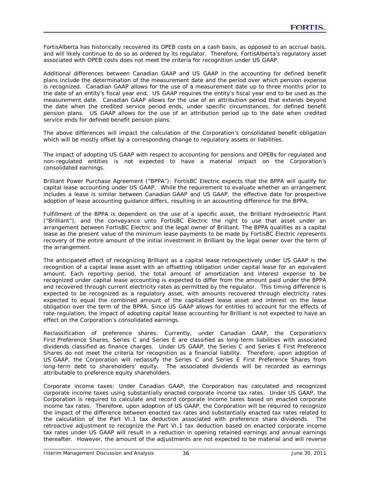FortisAlberta has historically recovered its OPEB costs on a cash basis, as opposed to an accrual basis, and will likely continue to do so as ordered by its regulator. Therefore, FortisAlberta's regulatory asset associated with OPEB costs does not meet the criteria for recognition under US GAAP.

Additional differences between Canadian GAAP and US GAAP in the accounting for defined benefit plans include the determination of the measurement date and the period over which pension expense is recognized. Canadian GAAP allows for the use of a measurement date up to three months prior to the date of an entity's fiscal year end. US GAAP requires the entity's fiscal year end to be used as the measurement date. Canadian GAAP allows for the use of an attribution period that extends beyond the date when the credited service period ends, under specific circumstances, for defined benefit pension plans. US GAAP allows for the use of an attribution period up to the date when credited service ends for defined benefit pension plans.

The above differences will impact the calculation of the Corporation's consolidated benefit obligation which will be mostly offset by a corresponding change to regulatory assets or liabilities.

The impact of adopting US GAAP with respect to accounting for pensions and OPEBs for regulated and non-regulated entities is not expected to have a material impact on the Corporation's consolidated earnings.

*Brilliant Power Purchase Agreement ("BPPA"):* FortisBC Electric expects that the BPPA will qualify for capital lease accounting under US GAAP. While the requirement to evaluate whether an arrangement includes a lease is similar between Canadian GAAP and US GAAP, the effective date for prospective adoption of lease accounting guidance differs, resulting in an accounting difference for the BPPA.

Fulfillment of the BPPA is dependent on the use of a specific asset, the Brilliant Hydroelectric Plant ("Brilliant"), and the conveyance unto FortisBC Electric the right to use that asset under an arrangement between FortisBC Electric and the legal owner of Brilliant. The BPPA qualifies as a capital lease as the present value of the minimum lease payments to be made by FortisBC Electric represents recovery of the entire amount of the initial investment in Brilliant by the legal owner over the term of the arrangement.

The anticipated effect of recognizing Brilliant as a capital lease retrospectively under US GAAP is the recognition of a capital lease asset with an offsetting obligation under capital lease for an equivalent amount. Each reporting period, the total amount of amortization and interest expense to be recognized under capital lease accounting is expected to differ from the amount paid under the BPPA and recovered through current electricity rates as permitted by the regulator. This timing difference is expected to be recognized as a regulatory asset, with amounts recovered through electricity rates expected to equal the combined amount of the capitalized lease asset and interest on the lease obligation over the term of the BPPA. Since US GAAP allows for entities to account for the effects of rate-regulation, the impact of adopting capital lease accounting for Brilliant is not expected to have an effect on the Corporation's consolidated earnings.

*Reclassification of preference shares:* Currently, under Canadian GAAP, the Corporation's First Preference Shares, Series C and Series E are classified as long-term liabilities with associated dividends classified as finance charges. Under US GAAP, the Series C and Series E First Preference Shares do not meet the criteria for recognition as a financial liability. Therefore, upon adoption of US GAAP, the Corporation will reclassify the Series C and Series E First Preference Shares from long-term debt to shareholders' equity. The associated dividends will be recorded as earnings attributable to preference equity shareholders.

*Corporate income taxes:* Under Canadian GAAP, the Corporation has calculated and recognized corporate income taxes using substantially enacted corporate income tax rates. Under US GAAP, the Corporation is required to calculate and record corporate income taxes based on enacted corporate income tax rates. Therefore, upon adoption of US GAAP, the Corporation will be required to recognize the impact of the difference between enacted tax rates and substantially enacted tax rates related to the calculation of the Part VI.1 tax deduction associated with preference share dividends. The retroactive adjustment to recognize the Part VI.1 tax deduction based on enacted corporate income tax rates under US GAAP will result in a reduction in opening retained earnings and annual earnings thereafter. However, the amount of the adjustments are not expected to be material and will reverse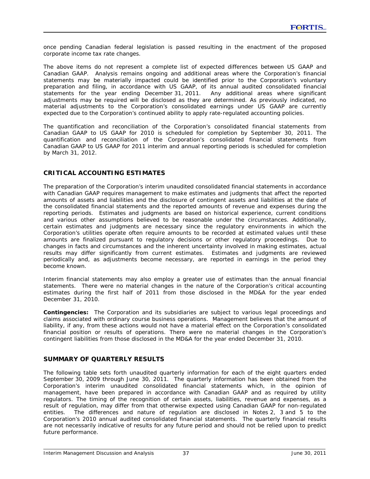once pending Canadian federal legislation is passed resulting in the enactment of the proposed corporate income tax rate changes.

The above items do not represent a complete list of expected differences between US GAAP and Canadian GAAP. Analysis remains ongoing and additional areas where the Corporation's financial statements may be materially impacted could be identified prior to the Corporation's voluntary preparation and filing, in accordance with US GAAP, of its annual audited consolidated financial statements for the year ending December 31, 2011. Any additional areas where significant adjustments may be required will be disclosed as they are determined. As previously indicated, no material adjustments to the Corporation's consolidated earnings under US GAAP are currently expected due to the Corporation's continued ability to apply rate-regulated accounting policies.

The quantification and reconciliation of the Corporation's consolidated financial statements from Canadian GAAP to US GAAP for 2010 is scheduled for completion by September 30, 2011. The quantification and reconciliation of the Corporation's consolidated financial statements from Canadian GAAP to US GAAP for 2011 interim and annual reporting periods is scheduled for completion by March 31, 2012.

# **CRITICAL ACCOUNTING ESTIMATES**

The preparation of the Corporation's interim unaudited consolidated financial statements in accordance with Canadian GAAP requires management to make estimates and judgments that affect the reported amounts of assets and liabilities and the disclosure of contingent assets and liabilities at the date of the consolidated financial statements and the reported amounts of revenue and expenses during the reporting periods. Estimates and judgments are based on historical experience, current conditions and various other assumptions believed to be reasonable under the circumstances. Additionally, certain estimates and judgments are necessary since the regulatory environments in which the Corporation's utilities operate often require amounts to be recorded at estimated values until these amounts are finalized pursuant to regulatory decisions or other regulatory proceedings. Due to changes in facts and circumstances and the inherent uncertainty involved in making estimates, actual results may differ significantly from current estimates. Estimates and judgments are reviewed periodically and, as adjustments become necessary, are reported in earnings in the period they become known.

Interim financial statements may also employ a greater use of estimates than the annual financial statements. There were no material changes in the nature of the Corporation's critical accounting estimates during the first half of 2011 from those disclosed in the MD&A for the year ended December 31, 2010.

**Contingencies:** The Corporation and its subsidiaries are subject to various legal proceedings and claims associated with ordinary course business operations. Management believes that the amount of liability, if any, from these actions would not have a material effect on the Corporation's consolidated financial position or results of operations. There were no material changes in the Corporation's contingent liabilities from those disclosed in the MD&A for the year ended December 31, 2010.

# **SUMMARY OF QUARTERLY RESULTS**

The following table sets forth unaudited quarterly information for each of the eight quarters ended September 30, 2009 through June 30, 2011. The quarterly information has been obtained from the Corporation's interim unaudited consolidated financial statements which, in the opinion of management, have been prepared in accordance with Canadian GAAP and as required by utility regulators. The timing of the recognition of certain assets, liabilities, revenue and expenses, as a result of regulation, may differ from that otherwise expected using Canadian GAAP for non-regulated entities. The differences and nature of regulation are disclosed in Notes 2, 3 and 5 to the Corporation's 2010 annual audited consolidated financial statements. The quarterly financial results are not necessarily indicative of results for any future period and should not be relied upon to predict future performance.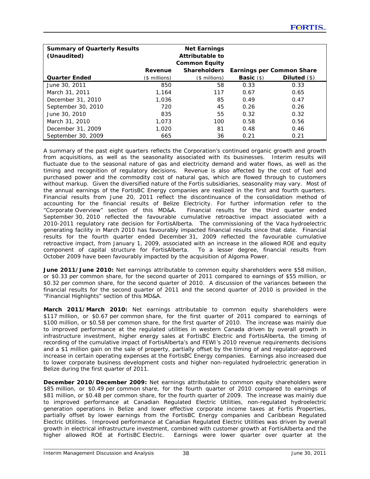| <b>Summary of Quarterly Results</b><br>(Unaudited) | Revenue        | <b>Net Earnings</b><br>Attributable to<br><b>Common Equity</b><br><b>Shareholders</b> |                      | <b>Earnings per Common Share</b> |
|----------------------------------------------------|----------------|---------------------------------------------------------------------------------------|----------------------|----------------------------------|
| <b>Quarter Ended</b>                               | $($$ millions) | $($$ millions)                                                                        | <b>Basic</b> $($ \$) | Diluted $(\$)$                   |
| June 30, 2011                                      | 850            | 58                                                                                    | 0.33                 | 0.33                             |
| March 31, 2011                                     | 1.164          | 117                                                                                   | 0.67                 | 0.65                             |
| December 31, 2010                                  | 1.036          | 85                                                                                    | 0.49                 | 0.47                             |
| September 30, 2010                                 | 720            | 45                                                                                    | 0.26                 | 0.26                             |
| June 30, 2010                                      | 835            | 55                                                                                    | 0.32                 | 0.32                             |
| March 31, 2010                                     | 1.073          | 100                                                                                   | 0.58                 | 0.56                             |
| December 31, 2009                                  | 1,020          | 81                                                                                    | 0.48                 | 0.46                             |
| September 30, 2009                                 | 665            | 36                                                                                    | 0.21                 | 0.21                             |

A summary of the past eight quarters reflects the Corporation's continued organic growth and growth from acquisitions, as well as the seasonality associated with its businesses. Interim results will fluctuate due to the seasonal nature of gas and electricity demand and water flows, as well as the timing and recognition of regulatory decisions. Revenue is also affected by the cost of fuel and purchased power and the commodity cost of natural gas, which are flowed through to customers without markup. Given the diversified nature of the Fortis subsidiaries, seasonality may vary. Most of the annual earnings of the FortisBC Energy companies are realized in the first and fourth quarters. Financial results from June 20, 2011 reflect the discontinuance of the consolidation method of accounting for the financial results of Belize Electricity. For further information refer to the "Corporate Overview" section of this MD&A. Financial results for the third quarter ended September 30, 2010 reflected the favourable cumulative retroactive impact associated with a 2010-2011 regulatory rate decision for FortisAlberta. The commissioning of the Vaca hydroelectric generating facility in March 2010 has favourably impacted financial results since that date. Financial results for the fourth quarter ended December 31, 2009 reflected the favourable cumulative retroactive impact, from January 1, 2009, associated with an increase in the allowed ROE and equity component of capital structure for FortisAlberta. To a lesser degree, financial results from October 2009 have been favourably impacted by the acquisition of Algoma Power.

**June 2011/June 2010:** Net earnings attributable to common equity shareholders were \$58 million, or \$0.33 per common share, for the second quarter of 2011 compared to earnings of \$55 million, or \$0.32 per common share, for the second quarter of 2010. A discussion of the variances between the financial results for the second quarter of 2011 and the second quarter of 2010 is provided in the "Financial Highlights" section of this MD&A.

**March 2011/March 2010:** Net earnings attributable to common equity shareholders were \$117 million, or \$0.67 per common share, for the first quarter of 2011 compared to earnings of \$100 million, or \$0.58 per common share, for the first quarter of 2010. The increase was mainly due to improved performance at the regulated utilities in western Canada driven by overall growth in infrastructure investment, higher energy sales at FortisBC Electric and FortisAlberta, the timing of recording of the cumulative impact of FortisAlberta's and FEWI's 2010 revenue requirements decisions and a \$1 million gain on the sale of property, partially offset by the timing of and regulator-approved increase in certain operating expenses at the FortisBC Energy companies. Earnings also increased due to lower corporate business development costs and higher non-regulated hydroelectric generation in Belize during the first quarter of 2011.

**December 2010/December 2009:** Net earnings attributable to common equity shareholders were \$85 million, or \$0.49 per common share, for the fourth quarter of 2010 compared to earnings of \$81 million, or \$0.48 per common share, for the fourth quarter of 2009. The increase was mainly due to improved performance at Canadian Regulated Electric Utilities, non-regulated hydroelectric generation operations in Belize and lower effective corporate income taxes at Fortis Properties, partially offset by lower earnings from the FortisBC Energy companies and Caribbean Regulated Electric Utilities. Improved performance at Canadian Regulated Electric Utilities was driven by overall growth in electrical infrastructure investment, combined with customer growth at FortisAlberta and the higher allowed ROE at FortisBC Electric. Earnings were lower quarter over quarter at the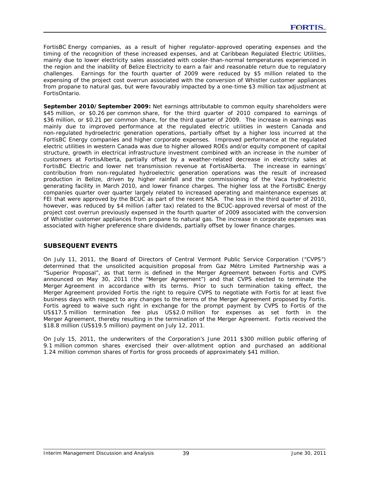FortisBC Energy companies, as a result of higher regulator-approved operating expenses and the timing of the recognition of these increased expenses, and at Caribbean Regulated Electric Utilities, mainly due to lower electricity sales associated with cooler-than-normal temperatures experienced in the region and the inability of Belize Electricity to earn a fair and reasonable return due to regulatory challenges. Earnings for the fourth quarter of 2009 were reduced by \$5 million related to the expensing of the project cost overrun associated with the conversion of Whistler customer appliances from propane to natural gas, but were favourably impacted by a one-time \$3 million tax adjustment at FortisOntario.

**September 2010/September 2009:** Net earnings attributable to common equity shareholders were \$45 million, or \$0.26 per common share, for the third quarter of 2010 compared to earnings of \$36 million, or \$0.21 per common share, for the third quarter of 2009. The increase in earnings was mainly due to improved performance at the regulated electric utilities in western Canada and non-regulated hydroelectric generation operations, partially offset by a higher loss incurred at the FortisBC Energy companies and higher corporate expenses. Improved performance at the regulated electric utilities in western Canada was due to higher allowed ROEs and/or equity component of capital structure, growth in electrical infrastructure investment combined with an increase in the number of customers at FortisAlberta, partially offset by a weather-related decrease in electricity sales at FortisBC Electric and lower net transmission revenue at FortisAlberta. The increase in earnings' contribution from non-regulated hydroelectric generation operations was the result of increased production in Belize, driven by higher rainfall and the commissioning of the Vaca hydroelectric generating facility in March 2010, and lower finance charges. The higher loss at the FortisBC Energy companies quarter over quarter largely related to increased operating and maintenance expenses at FEI that were approved by the BCUC as part of the recent NSA. The loss in the third quarter of 2010, however, was reduced by \$4 million (after tax) related to the BCUC-approved reversal of most of the project cost overrun previously expensed in the fourth quarter of 2009 associated with the conversion of Whistler customer appliances from propane to natural gas. The increase in corporate expenses was associated with higher preference share dividends, partially offset by lower finance charges.

# **SUBSEQUENT EVENTS**

On July 11, 2011, the Board of Directors of Central Vermont Public Service Corporation ("CVPS") determined that the unsolicited acquisition proposal from Gaz Métro Limited Partnership was a "Superior Proposal", as that term is defined in the Merger Agreement between Fortis and CVPS announced on May 30, 2011 (the "Merger Agreement") and that CVPS elected to terminate the Merger Agreement in accordance with its terms. Prior to such termination taking effect, the Merger Agreement provided Fortis the right to require CVPS to negotiate with Fortis for at least five business days with respect to any changes to the terms of the Merger Agreement proposed by Fortis. Fortis agreed to waive such right in exchange for the prompt payment by CVPS to Fortis of the US\$17.5 million termination fee plus US\$2.0 million for expenses as set forth in the Merger Agreement, thereby resulting in the termination of the Merger Agreement. Fortis received the \$18.8 million (US\$19.5 million) payment on July 12, 2011.

On July 15, 2011, the underwriters of the Corporation's June 2011 \$300 million public offering of 9.1 million common shares exercised their over-allotment option and purchased an additional 1.24 million common shares of Fortis for gross proceeds of approximately \$41 million.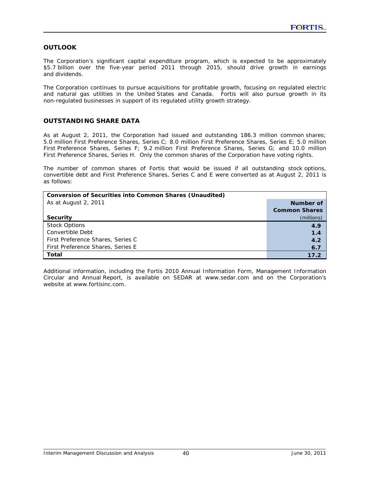### **OUTLOOK**

The Corporation's significant capital expenditure program, which is expected to be approximately \$5.7 billion over the five-year period 2011 through 2015, should drive growth in earnings and dividends.

The Corporation continues to pursue acquisitions for profitable growth, focusing on regulated electric and natural gas utilities in the United States and Canada. Fortis will also pursue growth in its non-regulated businesses in support of its regulated utility growth strategy.

# **OUTSTANDING SHARE DATA**

As at August 2, 2011, the Corporation had issued and outstanding 186.3 million common shares; 5.0 million First Preference Shares, Series C; 8.0 million First Preference Shares, Series E; 5.0 million First Preference Shares, Series F; 9.2 million First Preference Shares, Series G; and 10.0 million First Preference Shares, Series H. Only the common shares of the Corporation have voting rights.

The number of common shares of Fortis that would be issued if all outstanding stock options, convertible debt and First Preference Shares, Series C and E were converted as at August 2, 2011 is as follows:

| <b>Conversion of Securities into Common Shares (Unaudited)</b> |                      |  |  |  |  |
|----------------------------------------------------------------|----------------------|--|--|--|--|
| As at August 2, 2011                                           | Number of            |  |  |  |  |
|                                                                | <b>Common Shares</b> |  |  |  |  |
| <b>Security</b>                                                | (millions)           |  |  |  |  |
| <b>Stock Options</b>                                           | 4.9                  |  |  |  |  |
| Convertible Debt                                               | 1.4                  |  |  |  |  |
| First Preference Shares, Series C                              | 4.2                  |  |  |  |  |
| First Preference Shares, Series E                              | 6.7                  |  |  |  |  |
| <b>Total</b>                                                   | 17.2                 |  |  |  |  |

Additional information, including the Fortis 2010 Annual Information Form, Management Information Circular and Annual Report, is available on SEDAR at www.sedar.com and on the Corporation's website at www.fortisinc.com.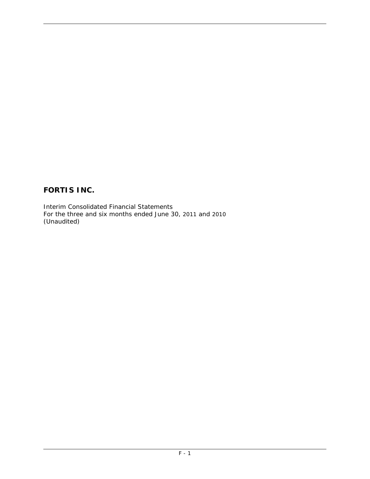# **FORTIS INC.**

Interim Consolidated Financial Statements For the three and six months ended June 30, 2011 and 2010 (Unaudited)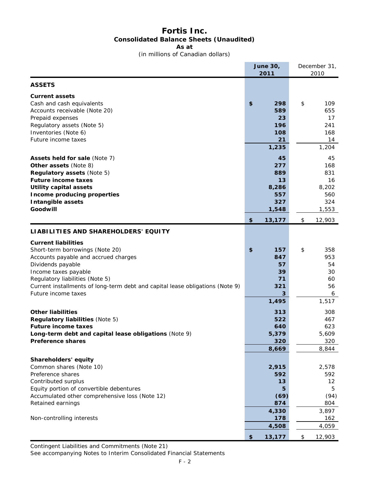# **Fortis Inc. Consolidated Balance Sheets (Unaudited) As at**

(in millions of Canadian dollars)

|                                                                               | <b>June 30,</b> |                            | December 31,    |
|-------------------------------------------------------------------------------|-----------------|----------------------------|-----------------|
|                                                                               | 2011            |                            | 2010            |
| <b>ASSETS</b>                                                                 |                 |                            |                 |
| <b>Current assets</b>                                                         |                 |                            |                 |
| Cash and cash equivalents                                                     | \$<br>298       | \$                         | 109             |
| Accounts receivable (Note 20)                                                 | 589             |                            | 655             |
| Prepaid expenses                                                              | 23              |                            | 17              |
| Regulatory assets (Note 5)                                                    | 196             |                            | 241             |
| Inventories (Note 6)                                                          | 108             |                            | 168             |
| Future income taxes                                                           | 21              |                            | 14              |
|                                                                               | 1,235           |                            | 1,204           |
| Assets held for sale (Note 7)                                                 | 45              |                            | 45              |
| <b>Other assets (Note 8)</b>                                                  | 277             |                            | 168             |
| <b>Regulatory assets (Note 5)</b>                                             | 889             |                            | 831             |
| <b>Future income taxes</b>                                                    | 13              |                            | 16              |
| <b>Utility capital assets</b>                                                 | 8,286           |                            | 8,202           |
| Income producing properties                                                   | 557             |                            | 560             |
| Intangible assets                                                             | 327             |                            | 324             |
| Goodwill                                                                      | 1,548           |                            | 1,553           |
|                                                                               | \$<br>13,177    | \$                         | 12,903          |
| LIABILITIES AND SHAREHOLDERS' EQUITY                                          |                 |                            |                 |
|                                                                               |                 |                            |                 |
| <b>Current liabilities</b>                                                    |                 |                            |                 |
| Short-term borrowings (Note 20)                                               | \$<br>157       | \$                         | 358             |
| Accounts payable and accrued charges                                          | 847             |                            | 953             |
| Dividends payable                                                             | 57              |                            | 54              |
| Income taxes payable                                                          | 39              |                            | 30              |
| Regulatory liabilities (Note 5)                                               | 71              |                            | 60              |
| Current installments of long-term debt and capital lease obligations (Note 9) | 321             |                            | 56              |
| Future income taxes                                                           | 3               |                            | 6               |
|                                                                               | 1,495           |                            | 1,517           |
| <b>Other liabilities</b>                                                      | 313             |                            | 308             |
| <b>Regulatory liabilities (Note 5)</b>                                        | 522             |                            | 467             |
| <b>Future income taxes</b>                                                    | 640             |                            | 623             |
| Long-term debt and capital lease obligations (Note 9)                         | 5,379           |                            | 5,609           |
| <b>Preference shares</b>                                                      | 320             |                            | 320             |
|                                                                               | 8,669           |                            | 8,844           |
| Shareholders' equity                                                          |                 |                            |                 |
| Common shares (Note 10)                                                       | 2,915           |                            | 2,578           |
| Preference shares                                                             | 592             |                            | 592             |
| Contributed surplus                                                           | 13              |                            | 12 <sup>2</sup> |
| Equity portion of convertible debentures                                      | 5               |                            | 5               |
| Accumulated other comprehensive loss (Note 12)                                | (69)            |                            | (94)            |
| Retained earnings                                                             | 874             |                            | 804             |
|                                                                               | 4,330           |                            | 3,897           |
| Non-controlling interests                                                     | 178             |                            | 162             |
|                                                                               | 4,508           |                            | 4,059           |
|                                                                               |                 |                            |                 |
|                                                                               | \$<br>13,177    | $\boldsymbol{\mathsf{\$}}$ | 12,903          |

Contingent Liabilities and Commitments (Note 21)

See accompanying Notes to Interim Consolidated Financial Statements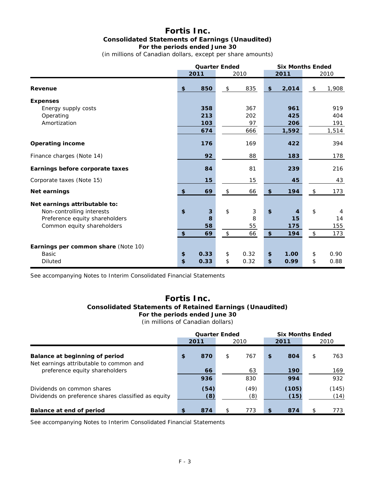# **Fortis Inc. Consolidated Statements of Earnings (Unaudited) For the periods ended June 30**

(in millions of Canadian dollars, except per share amounts)

|                                            |                           | <b>Quarter Ended</b>    |                            |      |                           | <b>Six Months Ended</b> |                            |                |
|--------------------------------------------|---------------------------|-------------------------|----------------------------|------|---------------------------|-------------------------|----------------------------|----------------|
|                                            |                           | 2011                    |                            | 2010 |                           | 2011                    | 2010                       |                |
| <b>Revenue</b>                             | $\boldsymbol{\mathsf{s}}$ | 850                     | \$                         | 835  | \$                        | 2,014                   | \$                         | 1,908          |
| <b>Expenses</b>                            |                           |                         |                            |      |                           |                         |                            |                |
| Energy supply costs                        |                           | 358                     |                            | 367  |                           | 961                     |                            | 919            |
| Operating                                  |                           | 213                     |                            | 202  |                           | 425                     |                            | 404            |
| Amortization                               |                           | 103                     |                            | 97   |                           | 206                     |                            | 191            |
|                                            |                           | 674                     |                            | 666  |                           | 1,592                   |                            | 1,514          |
| <b>Operating income</b>                    |                           | 176                     |                            | 169  |                           | 422                     |                            | 394            |
| Finance charges (Note 14)                  |                           | 92                      |                            | 88   |                           | 183                     |                            | 178            |
| Earnings before corporate taxes            |                           | 84                      |                            | 81   |                           | 239                     |                            | 216            |
| Corporate taxes (Note 15)                  |                           | 15                      |                            | 15   |                           | 45                      |                            | 43             |
| <b>Net earnings</b>                        | \$                        | 69                      | $\boldsymbol{\mathsf{\$}}$ | 66   | $\boldsymbol{\mathsf{s}}$ | 194                     | $\boldsymbol{\$}$          | 173            |
| Net earnings attributable to:              |                           |                         |                            |      |                           |                         |                            |                |
| Non-controlling interests                  | \$                        | $\overline{\mathbf{3}}$ | $\mathfrak{L}$             | 3    | $\boldsymbol{\mathsf{s}}$ | 4                       | \$                         | $\overline{4}$ |
| Preference equity shareholders             |                           | 8                       |                            | 8    |                           | 15                      |                            | 14             |
| Common equity shareholders                 |                           | 58                      |                            | 55   |                           | 175                     |                            | 155            |
|                                            | $\boldsymbol{\mathsf{s}}$ | 69                      | $\sqrt{2}$                 | 66   | $\boldsymbol{\$}$         | 194                     | $\boldsymbol{\mathsf{\$}}$ | 173            |
| <b>Earnings per common share (Note 10)</b> |                           |                         |                            |      |                           |                         |                            |                |
| <b>Basic</b>                               | \$                        | 0.33                    | \$                         | 0.32 | \$                        | 1.00                    | \$                         | 0.90           |
| <b>Diluted</b>                             | \$                        | 0.33                    | \$                         | 0.32 | \$                        | 0.99                    | \$                         | 0.88           |

See accompanying Notes to Interim Consolidated Financial Statements

# **Fortis Inc. Consolidated Statements of Retained Earnings (Unaudited) For the periods ended June 30**

(in millions of Canadian dollars)

|                                                                                   | <b>Quarter Ended</b> |             |      |             | <b>Six Months Ended</b> |               |      |               |
|-----------------------------------------------------------------------------------|----------------------|-------------|------|-------------|-------------------------|---------------|------|---------------|
|                                                                                   | 2011                 |             | 2010 |             | 2011                    |               | 2010 |               |
| Balance at beginning of period<br>Net earnings attributable to common and         | \$                   | 870         | \$   | 767         | \$                      | 804           | \$   | 763           |
| preference equity shareholders                                                    |                      | 66<br>936   |      | 63<br>830   |                         | 190<br>994    |      | 169<br>932    |
| Dividends on common shares<br>Dividends on preference shares classified as equity |                      | (54)<br>(8) |      | (49)<br>(8) |                         | (105)<br>(15) |      | (145)<br>(14) |
| Balance at end of period                                                          | \$                   | 874         |      | 773         | \$.                     | 874           |      | 773           |

See accompanying Notes to Interim Consolidated Financial Statements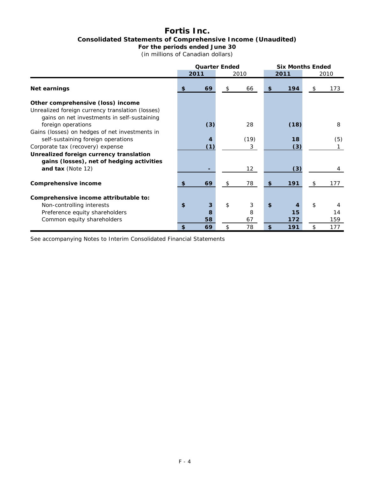# **Fortis Inc. Consolidated Statements of Comprehensive Income (Unaudited) For the periods ended June 30**

(in millions of Canadian dollars)

|                                                                                                 | <b>Quarter Ended</b> |    |                 | <b>Six Months Ended</b> |      |      |     |
|-------------------------------------------------------------------------------------------------|----------------------|----|-----------------|-------------------------|------|------|-----|
|                                                                                                 | 2011                 |    | 2010            |                         | 2011 | 2010 |     |
| Net earnings                                                                                    | \$<br>69             | \$ | 66              | \$                      | 194  | \$   | 173 |
| Other comprehensive (loss) income                                                               |                      |    |                 |                         |      |      |     |
| Unrealized foreign currency translation (losses)<br>gains on net investments in self-sustaining |                      |    |                 |                         |      |      |     |
| foreign operations                                                                              | (3)                  |    | 28              |                         | (18) |      | 8   |
| Gains (losses) on hedges of net investments in<br>self-sustaining foreign operations            | 4                    |    | (19)            |                         | 18   |      | (5) |
| Corporate tax (recovery) expense                                                                | (1)                  |    | 3               |                         | (3)  |      |     |
| Unrealized foreign currency translation<br>gains (losses), net of hedging activities            |                      |    |                 |                         |      |      |     |
| and tax (Note 12)                                                                               |                      |    | 12 <sup>2</sup> |                         | (3)  |      | 4   |
| Comprehensive income                                                                            | \$<br>69             | \$ | 78              | \$                      | 191  | \$   | 177 |
| Comprehensive income attributable to:                                                           |                      |    |                 |                         |      |      |     |
| Non-controlling interests                                                                       | \$<br>3              | \$ | 3               | \$                      | 4    | \$   | 4   |
| Preference equity shareholders                                                                  | 8                    |    | 8               |                         | 15   |      | 14  |
| Common equity shareholders                                                                      | 58                   |    | 67              |                         | 172  |      | 159 |
|                                                                                                 | \$<br>69             | \$ | 78              | \$                      | 191  | \$   | 177 |

See accompanying Notes to Interim Consolidated Financial Statements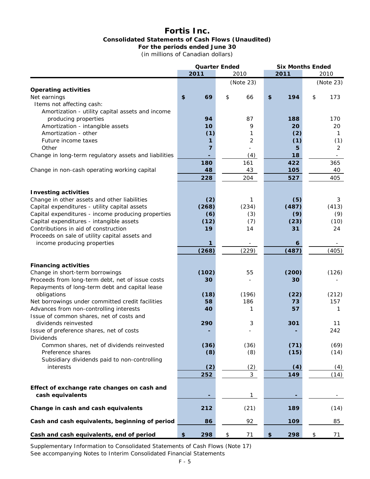# **Fortis Inc. Consolidated Statements of Cash Flows (Unaudited) For the periods ended June 30**

(in millions of Canadian dollars)

|                                                               | <b>Quarter Ended</b> |       |    |              | <b>Six Months Ended</b> |       |                            |           |
|---------------------------------------------------------------|----------------------|-------|----|--------------|-------------------------|-------|----------------------------|-----------|
|                                                               |                      | 2011  |    | 2010         | 2011                    |       |                            | 2010      |
|                                                               |                      |       |    | (Note 23)    |                         |       |                            | (Note 23) |
| <b>Operating activities</b>                                   |                      |       |    |              |                         |       |                            |           |
| Net earnings                                                  | \$                   | 69    | \$ | 66           | \$                      | 194   | \$                         | 173       |
| Items not affecting cash:                                     |                      |       |    |              |                         |       |                            |           |
| Amortization - utility capital assets and income              |                      |       |    |              |                         |       |                            |           |
| producing properties                                          |                      | 94    |    | 87           |                         | 188   |                            | 170       |
| Amortization - intangible assets                              |                      | 10    |    | 9            |                         | 20    |                            | 20        |
| Amortization - other                                          |                      | (1)   |    | 1            |                         | (2)   |                            | 1         |
| Future income taxes                                           |                      |       |    | 2            |                         | (1)   |                            | (1)       |
| Other                                                         |                      | 7     |    |              |                         | 5     |                            | 2         |
| Change in long-term regulatory assets and liabilities         |                      |       |    | (4)          |                         | 18    |                            |           |
|                                                               |                      | 180   |    | 161          |                         | 422   |                            | 365       |
| Change in non-cash operating working capital                  |                      | 48    |    | 43           |                         | 105   |                            | 40        |
|                                                               |                      | 228   |    | 204          |                         | 527   |                            | 405       |
|                                                               |                      |       |    |              |                         |       |                            |           |
| <b>Investing activities</b>                                   |                      |       |    |              |                         |       |                            |           |
| Change in other assets and other liabilities                  |                      | (2)   |    | 1            |                         | (5)   |                            | 3         |
| Capital expenditures - utility capital assets                 |                      | (268) |    | (234)        |                         | (487) |                            | (413)     |
| Capital expenditures - income producing properties            |                      | (6)   |    | (3)          |                         | (9)   |                            | (9)       |
| Capital expenditures - intangible assets                      |                      | (12)  |    | (7)          |                         | (23)  |                            | (10)      |
| Contributions in aid of construction                          |                      | 19    |    | 14           |                         | 31    |                            | 24        |
| Proceeds on sale of utility capital assets and                |                      |       |    |              |                         |       |                            |           |
| income producing properties                                   |                      | 1     |    |              |                         | 6     |                            |           |
|                                                               |                      | (268) |    | (229)        |                         | (487) |                            | (405)     |
|                                                               |                      |       |    |              |                         |       |                            |           |
| <b>Financing activities</b>                                   |                      |       |    |              |                         |       |                            |           |
| Change in short-term borrowings                               |                      | (102) |    | 55           |                         | (200) |                            | (126)     |
| Proceeds from long-term debt, net of issue costs              |                      | 30    |    |              |                         | 30    |                            |           |
| Repayments of long-term debt and capital lease<br>obligations |                      | (18)  |    | (196)        |                         | (22)  |                            | (212)     |
| Net borrowings under committed credit facilities              |                      | 58    |    | 186          |                         | 73    |                            | 157       |
| Advances from non-controlling interests                       |                      | 40    |    | 1            |                         | 57    |                            | 1         |
| Issue of common shares, net of costs and                      |                      |       |    |              |                         |       |                            |           |
| dividends reinvested                                          |                      | 290   |    | 3            |                         | 301   |                            | 11        |
| Issue of preference shares, net of costs                      |                      |       |    |              |                         |       |                            | 242       |
| Dividends                                                     |                      |       |    |              |                         |       |                            |           |
| Common shares, net of dividends reinvested                    |                      | (36)  |    | (36)         |                         | (71)  |                            | (69)      |
| Preference shares                                             |                      | (8)   |    | (8)          |                         | (15)  |                            | (14)      |
| Subsidiary dividends paid to non-controlling                  |                      |       |    |              |                         |       |                            |           |
| interests                                                     |                      | (2)   |    | (2)          |                         | (4)   |                            | (4)       |
|                                                               |                      | 252   |    | 3            |                         | 149   |                            | (14)      |
|                                                               |                      |       |    |              |                         |       |                            |           |
| Effect of exchange rate changes on cash and                   |                      |       |    |              |                         |       |                            |           |
| cash equivalents                                              |                      | ٠     |    | $\mathbf{1}$ |                         |       |                            |           |
|                                                               |                      |       |    |              |                         |       |                            |           |
| Change in cash and cash equivalents                           |                      | 212   |    | (21)         |                         | 189   |                            | (14)      |
| Cash and cash equivalents, beginning of period                |                      | 86    |    | 92           |                         | 109   |                            | 85        |
|                                                               |                      |       |    |              |                         |       |                            |           |
| Cash and cash equivalents, end of period                      | \$                   | 298   | \$ | 71           | \$                      | 298   | $\boldsymbol{\mathsf{\$}}$ | 71        |

 Supplementary Information to Consolidated Statements of Cash Flows (Note 17) See accompanying Notes to Interim Consolidated Financial Statements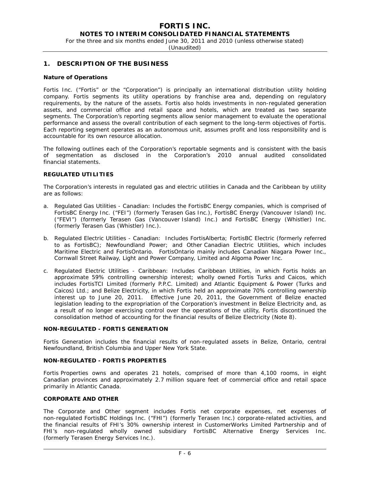For the three and six months ended June 30, 2011 and 2010 (unless otherwise stated)

(Unaudited)

### **1. DESCRIPTION OF THE BUSINESS**

### **Nature of Operations**

Fortis Inc. ("Fortis" or the "Corporation") is principally an international distribution utility holding company. Fortis segments its utility operations by franchise area and, depending on regulatory requirements, by the nature of the assets. Fortis also holds investments in non-regulated generation assets, and commercial office and retail space and hotels, which are treated as two separate segments. The Corporation's reporting segments allow senior management to evaluate the operational performance and assess the overall contribution of each segment to the long-term objectives of Fortis. Each reporting segment operates as an autonomous unit, assumes profit and loss responsibility and is accountable for its own resource allocation.

The following outlines each of the Corporation's reportable segments and is consistent with the basis of segmentation as disclosed in the Corporation's 2010 annual audited consolidated financial statements.

### **REGULATED UTILITIES**

The Corporation's interests in regulated gas and electric utilities in Canada and the Caribbean by utility are as follows:

- a. *Regulated Gas Utilities Canadian:* Includes the FortisBC Energy companies, which is comprised of FortisBC Energy Inc. ("FEI") (formerly Terasen Gas Inc.), FortisBC Energy (Vancouver Island) Inc. ("FEVI") (formerly Terasen Gas (Vancouver Island) Inc.) and FortisBC Energy (Whistler) Inc. (formerly Terasen Gas (Whistler) Inc.).
- b. *Regulated Electric Utilities Canadian:* Includes FortisAlberta; FortisBC Electric (formerly referred to as FortisBC); Newfoundland Power; and Other Canadian Electric Utilities, which includes Maritime Electric and FortisOntario. FortisOntario mainly includes Canadian Niagara Power Inc., Cornwall Street Railway, Light and Power Company, Limited and Algoma Power Inc.
- c. *Regulated Electric Utilities Caribbean:* Includes Caribbean Utilities, in which Fortis holds an approximate 59% controlling ownership interest; wholly owned Fortis Turks and Caicos, which includes FortisTCI Limited (formerly P.P.C. Limited) and Atlantic Equipment & Power (Turks and Caicos) Ltd.; and Belize Electricity, in which Fortis held an approximate 70% controlling ownership interest up to June 20, 2011. Effective June 20, 2011, the Government of Belize enacted legislation leading to the expropriation of the Corporation's investment in Belize Electricity and, as a result of no longer exercising control over the operations of the utility, Fortis discontinued the consolidation method of accounting for the financial results of Belize Electricity (Note 8).

#### **NON-REGULATED - FORTIS GENERATION**

Fortis Generation includes the financial results of non-regulated assets in Belize, Ontario, central Newfoundland, British Columbia and Upper New York State.

### **NON-REGULATED - FORTIS PROPERTIES**

Fortis Properties owns and operates 21 hotels, comprised of more than 4,100 rooms, in eight Canadian provinces and approximately 2.7 million square feet of commercial office and retail space primarily in Atlantic Canada.

# **CORPORATE AND OTHER**

The Corporate and Other segment includes Fortis net corporate expenses, net expenses of non-regulated FortisBC Holdings Inc. ("FHI") (formerly Terasen Inc.) corporate-related activities, and the financial results of FHI's 30% ownership interest in CustomerWorks Limited Partnership and of FHI's non-regulated wholly owned subsidiary FortisBC Alternative Energy Services Inc. (formerly Terasen Energy Services Inc.).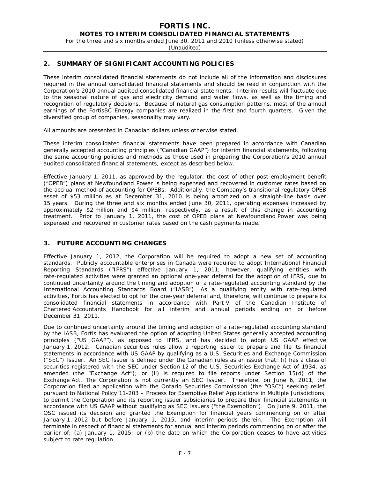For the three and six months ended June 30, 2011 and 2010 (unless otherwise stated)

(Unaudited)

## **2. SUMMARY OF SIGNIFICANT ACCOUNTING POLICIES**

These interim consolidated financial statements do not include all of the information and disclosures required in the annual consolidated financial statements and should be read in conjunction with the Corporation's 2010 annual audited consolidated financial statements. Interim results will fluctuate due to the seasonal nature of gas and electricity demand and water flows, as well as the timing and recognition of regulatory decisions. Because of natural gas consumption patterns, most of the annual earnings of the FortisBC Energy companies are realized in the first and fourth quarters. Given the diversified group of companies, seasonality may vary.

All amounts are presented in Canadian dollars unless otherwise stated.

These interim consolidated financial statements have been prepared in accordance with Canadian generally accepted accounting principles ("Canadian GAAP") for interim financial statements, following the same accounting policies and methods as those used in preparing the Corporation's 2010 annual audited consolidated financial statements, except as described below.

Effective January 1, 2011, as approved by the regulator, the cost of other post-employment benefit ("OPEB") plans at Newfoundland Power is being expensed and recovered in customer rates based on the accrual method of accounting for OPEBs. Additionally, the Company's transitional regulatory OPEB asset of \$53 million as at December 31, 2010 is being amortized on a straight-line basis over 15 years. During the three and six months ended June 30, 2011, operating expenses increased by approximately \$2 million and \$4 million, respectively, as a result of this change in accounting treatment. Prior to January 1, 2011, the cost of OPEB plans at Newfoundland Power was being expensed and recovered in customer rates based on the cash payments made.

# **3. FUTURE ACCOUNTING CHANGES**

Effective January 1, 2012, the Corporation will be required to adopt a new set of accounting standards. Publicly accountable enterprises in Canada were required to adopt International Financial Reporting Standards ("IFRS") effective January 1, 2011; however, qualifying entities with rate-regulated activities were granted an optional one-year deferral for the adoption of IFRS, due to continued uncertainty around the timing and adoption of a rate-regulated accounting standard by the International Accounting Standards Board ("IASB"). As a qualifying entity with rate-regulated activities, Fortis has elected to opt for the one-year deferral and, therefore, will continue to prepare its consolidated financial statements in accordance with Part V of the Canadian Institute of Chartered Accountants Handbook for all interim and annual periods ending on or before December 31, 2011.

Due to continued uncertainty around the timing and adoption of a rate-regulated accounting standard by the IASB, Fortis has evaluated the option of adopting United States generally accepted accounting principles ("US GAAP"), as opposed to IFRS, and has decided to adopt US GAAP effective January 1, 2012. Canadian securities rules allow a reporting issuer to prepare and file its financial statements in accordance with US GAAP by qualifying as a U.S. Securities and Exchange Commission ("SEC") Issuer. An SEC Issuer is defined under the Canadian rules as an issuer that: (i) has a class of securities registered with the SEC under Section 12 of the *U.S*. *Securities Exchange Act of 1934*, as amended (the "Exchange Act"); or (ii) is required to file reports under Section 15(d) of the Exchange Act. The Corporation is not currently an SEC Issuer. Therefore, on June 6, 2011, the Corporation filed an application with the Ontario Securities Commission (the "OSC") seeking relief, pursuant to National Policy 11-203 – *Process for Exemptive Relief Applications in Multiple Jurisdictions,*  to permit the Corporation and its reporting issuer subsidiaries to prepare their financial statements in accordance with US GAAP without qualifying as SEC Issuers ("the Exemption"). On June 9, 2011, the OSC issued its decision and granted the Exemption for financial years commencing on or after January 1, 2012 but before January 1, 2015, and interim periods therein. The Exemption will terminate in respect of financial statements for annual and interim periods commencing on or after the earlier of: (a) January 1, 2015; or (b) the date on which the Corporation ceases to have activities subject to rate regulation.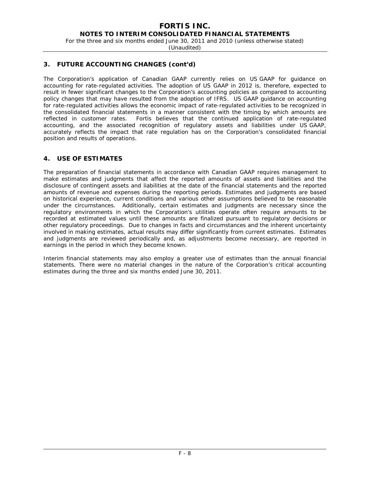For the three and six months ended June 30, 2011 and 2010 (unless otherwise stated)

(Unaudited)

# **3. FUTURE ACCOUNTING CHANGES (cont'd)**

The Corporation's application of Canadian GAAP currently relies on US GAAP for guidance on accounting for rate-regulated activities. The adoption of US GAAP in 2012 is, therefore, expected to result in fewer significant changes to the Corporation's accounting policies as compared to accounting policy changes that may have resulted from the adoption of IFRS. US GAAP guidance on accounting for rate-regulated activities allows the economic impact of rate-regulated activities to be recognized in the consolidated financial statements in a manner consistent with the timing by which amounts are reflected in customer rates. Fortis believes that the continued application of rate-regulated accounting, and the associated recognition of regulatory assets and liabilities under US GAAP, accurately reflects the impact that rate regulation has on the Corporation's consolidated financial position and results of operations.

# **4. USE OF ESTIMATES**

The preparation of financial statements in accordance with Canadian GAAP requires management to make estimates and judgments that affect the reported amounts of assets and liabilities and the disclosure of contingent assets and liabilities at the date of the financial statements and the reported amounts of revenue and expenses during the reporting periods. Estimates and judgments are based on historical experience, current conditions and various other assumptions believed to be reasonable under the circumstances. Additionally, certain estimates and judgments are necessary since the regulatory environments in which the Corporation's utilities operate often require amounts to be recorded at estimated values until these amounts are finalized pursuant to regulatory decisions or other regulatory proceedings. Due to changes in facts and circumstances and the inherent uncertainty involved in making estimates, actual results may differ significantly from current estimates. Estimates and judgments are reviewed periodically and, as adjustments become necessary, are reported in earnings in the period in which they become known.

Interim financial statements may also employ a greater use of estimates than the annual financial statements. There were no material changes in the nature of the Corporation's critical accounting estimates during the three and six months ended June 30, 2011.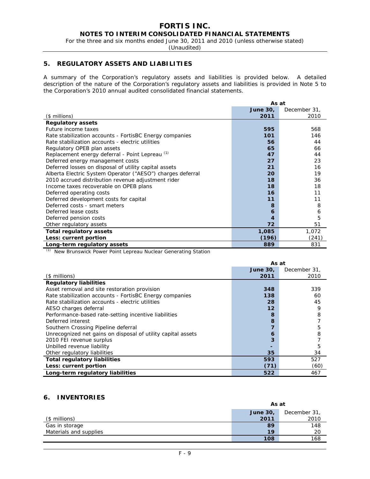For the three and six months ended June 30, 2011 and 2010 (unless otherwise stated)

(Unaudited)

# **5. REGULATORY ASSETS AND LIABILITIES**

A summary of the Corporation's regulatory assets and liabilities is provided below. A detailed description of the nature of the Corporation's regulatory assets and liabilities is provided in Note 5 to the Corporation's 2010 annual audited consolidated financial statements.

|                                                            | As at           |              |  |
|------------------------------------------------------------|-----------------|--------------|--|
|                                                            | <b>June 30,</b> | December 31, |  |
| $($$ millions)                                             | 2011            | 2010         |  |
| <b>Regulatory assets</b>                                   |                 |              |  |
| Future income taxes                                        | 595             | 568          |  |
| Rate stabilization accounts - FortisBC Energy companies    | 101             | 146          |  |
| Rate stabilization accounts - electric utilities           | 56              | 44           |  |
| Regulatory OPEB plan assets                                | 65              | 66           |  |
| Replacement energy deferral - Point Lepreau (1)            | 47              | 44           |  |
| Deferred energy management costs                           | 27              | 23           |  |
| Deferred losses on disposal of utility capital assets      | 21              | 16           |  |
| Alberta Electric System Operator ("AESO") charges deferral | 20              | 19           |  |
| 2010 accrued distribution revenue adjustment rider         | 18              | 36           |  |
| Income taxes recoverable on OPEB plans                     | 18              | 18           |  |
| Deferred operating costs                                   | 16              | 11           |  |
| Deferred development costs for capital                     | 11              | 11           |  |
| Deferred costs - smart meters                              | 8               | 8            |  |
| Deferred lease costs                                       | 6               | 6            |  |
| Deferred pension costs                                     | 4               | 5            |  |
| Other regulatory assets                                    | 72              | 51           |  |
| <b>Total regulatory assets</b>                             | 1,085           | 1,072        |  |
| Less: current portion                                      | (196)           | (241)        |  |
| Long-term regulatory assets                                | 889             | 831          |  |

*(1)* New Brunswick Power Point Lepreau Nuclear Generating Station

|                                                              | As at           |              |  |
|--------------------------------------------------------------|-----------------|--------------|--|
|                                                              | <b>June 30,</b> | December 31, |  |
| $($$ millions)                                               | 2011            | 2010         |  |
| <b>Regulatory liabilities</b>                                |                 |              |  |
| Asset removal and site restoration provision                 | 348             | 339          |  |
| Rate stabilization accounts - FortisBC Energy companies      | 138             | 60           |  |
| Rate stabilization accounts - electric utilities             | 28              | 45           |  |
| AESO charges deferral                                        | 12              | 9            |  |
| Performance-based rate-setting incentive liabilities         | 8               | 8            |  |
| Deferred interest                                            | 8               |              |  |
| Southern Crossing Pipeline deferral                          |                 | 5            |  |
| Unrecognized net gains on disposal of utility capital assets | 6               | 8            |  |
| 2010 FEI revenue surplus                                     | 3               |              |  |
| Unbilled revenue liability                                   |                 | 5            |  |
| Other regulatory liabilities                                 | 35              | 34           |  |
| <b>Total regulatory liabilities</b>                          | 593             | 527          |  |
| Less: current portion                                        | (71)            | (60)         |  |
| Long-term regulatory liabilities                             | 522             | 467          |  |

# **6. INVENTORIES**

|                        | As at           |              |
|------------------------|-----------------|--------------|
|                        | <b>June 30,</b> | December 31, |
| $($$ millions)         | 2011            | 2010         |
| Gas in storage         | 89              | 148          |
| Materials and supplies | 19              | 20           |
|                        | 108             | 168          |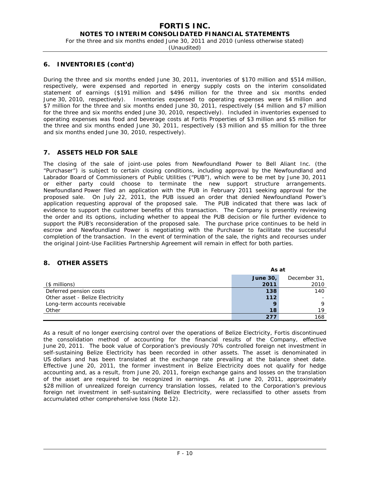For the three and six months ended June 30, 2011 and 2010 (unless otherwise stated)

(Unaudited)

# **6. INVENTORIES (cont'd)**

During the three and six months ended June 30, 2011, inventories of \$170 million and \$514 million, respectively, were expensed and reported in energy supply costs on the interim consolidated statement of earnings (\$191 million and \$496 million for the three and six months ended June 30, 2010, respectively). Inventories expensed to operating expenses were \$4 million and \$7 million for the three and six months ended June 30, 2011, respectively (\$4 million and \$7 million for the three and six months ended June 30, 2010, respectively). Included in inventories expensed to operating expenses was food and beverage costs at Fortis Properties of \$3 million and \$5 million for the three and six months ended June 30, 2011, respectively (\$3 million and \$5 million for the three and six months ended June 30, 2010, respectively).

# **7. ASSETS HELD FOR SALE**

The closing of the sale of joint-use poles from Newfoundland Power to Bell Aliant Inc. (the "Purchaser") is subject to certain closing conditions, including approval by the Newfoundland and Labrador Board of Commissioners of Public Utilities ("PUB"), which were to be met by June 30, 2011 or either party could choose to terminate the new support structure arrangements. Newfoundland Power filed an application with the PUB in February 2011 seeking approval for the proposed sale. On July 22, 2011, the PUB issued an order that denied Newfoundland Power's application requesting approval of the proposed sale. The PUB indicated that there was lack of evidence to support the customer benefits of this transaction. The Company is presently reviewing the order and its options, including whether to appeal the PUB decision or file further evidence to support the PUB's reconsideration of the proposed sale. The purchase price continues to be held in escrow and Newfoundland Power is negotiating with the Purchaser to facilitate the successful completion of the transaction. In the event of termination of the sale, the rights and recourses under the original Joint-Use Facilities Partnership Agreement will remain in effect for both parties.

# **8. OTHER ASSETS**

|                                  | As at           |              |  |  |
|----------------------------------|-----------------|--------------|--|--|
|                                  | <b>June 30,</b> | December 31, |  |  |
| $($$ millions)                   | 2011            | 2010         |  |  |
| Deferred pension costs           | 138             | 140          |  |  |
| Other asset - Belize Electricity | 112             |              |  |  |
| Long-term accounts receivable    |                 | Q            |  |  |
| Other                            | 18              | 19           |  |  |
|                                  | 277             | 168          |  |  |

As a result of no longer exercising control over the operations of Belize Electricity, Fortis discontinued the consolidation method of accounting for the financial results of the Company, effective June 20, 2011. The book value of Corporation's previously 70% controlled foreign net investment in self-sustaining Belize Electricity has been recorded in other assets. The asset is denominated in US dollars and has been translated at the exchange rate prevailing at the balance sheet date. Effective June 20, 2011, the former investment in Belize Electricity does not qualify for hedge accounting and, as a result, from June 20, 2011, foreign exchange gains and losses on the translation of the asset are required to be recognized in earnings. As at June 20, 2011, approximately \$28 million of unrealized foreign currency translation losses, related to the Corporation's previous foreign net investment in self-sustaining Belize Electricity, were reclassified to other assets from accumulated other comprehensive loss (Note 12).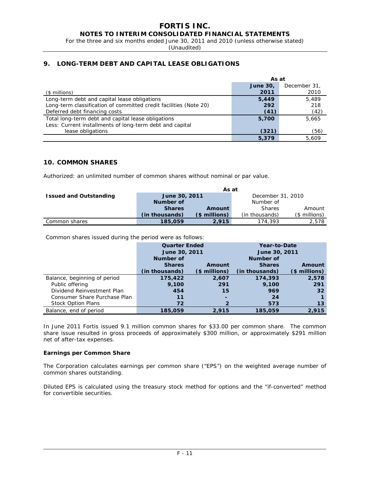For the three and six months ended June 30, 2011 and 2010 (unless otherwise stated)

(Unaudited)

# **9. LONG-TERM DEBT AND CAPITAL LEASE OBLIGATIONS**

|                                                                   | As at           |              |  |  |
|-------------------------------------------------------------------|-----------------|--------------|--|--|
|                                                                   | <b>June 30,</b> | December 31, |  |  |
| $($$ millions)                                                    | 2011            | 2010         |  |  |
| Long-term debt and capital lease obligations                      | 5,449           | 5.489        |  |  |
| Long-term classification of committed credit facilities (Note 20) | 292             | 218          |  |  |
| Deferred debt financing costs                                     | (41)            | (42)         |  |  |
| Total long-term debt and capital lease obligations                | 5,700           | 5,665        |  |  |
| Less: Current installments of long-term debt and capital          |                 |              |  |  |
| lease obligations                                                 | (321)           | (56)         |  |  |
|                                                                   | 5,379           | 5.609        |  |  |

## **10. COMMON SHARES**

Authorized: an unlimited number of common shares without nominal or par value.

|                               |                | As at         |                   |               |  |
|-------------------------------|----------------|---------------|-------------------|---------------|--|
| <b>Issued and Outstanding</b> | June 30, 2011  |               | December 31, 2010 |               |  |
|                               | Number of      |               | Number of         |               |  |
|                               | <b>Shares</b>  | Amount        | <b>Shares</b>     | Amount        |  |
|                               | (in thousands) | $$$ millions) | (in thousands)    | (\$ millions) |  |
| Common shares                 | 185,059        | 2.915         | 174,393           | 2.578         |  |

Common shares issued during the period were as follows:

|                              | <b>Quarter Ended</b> |               | Year-to-Date   |                 |  |
|------------------------------|----------------------|---------------|----------------|-----------------|--|
|                              | June 30, 2011        |               | June 30, 2011  |                 |  |
|                              | Number of            |               | Number of      |                 |  |
|                              | <b>Shares</b>        | Amount        | <b>Shares</b>  | Amount          |  |
|                              | (in thousands)       | (\$ millions) | (in thousands) | $$$ millions)   |  |
| Balance, beginning of period | 175,422              | 2,607         | 174,393        | 2,578           |  |
| Public offering              | 9,100                | 291           | 9.100          | 291             |  |
| Dividend Reinvestment Plan   | 454                  | 15            | 969            | 32 <sub>2</sub> |  |
| Consumer Share Purchase Plan | 11                   |               | -24            |                 |  |
| <b>Stock Option Plans</b>    | 72.                  | 2             | 573            | 13              |  |
| Balance, end of period       | 185,059              | 2,915         | 185,059        | 2.915           |  |

In June 2011 Fortis issued 9.1 million common shares for \$33.00 per common share. The common share issue resulted in gross proceeds of approximately \$300 million, or approximately \$291 million net of after-tax expenses.

### **Earnings per Common Share**

The Corporation calculates earnings per common share ("EPS") on the weighted average number of common shares outstanding.

Diluted EPS is calculated using the treasury stock method for options and the "if-converted" method for convertible securities.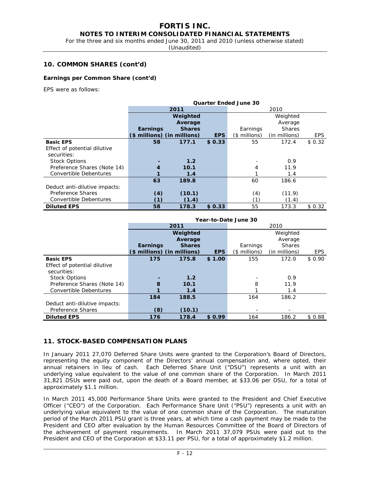# **FORTIS INC.**

### **NOTES TO INTERIM CONSOLIDATED FINANCIAL STATEMENTS**

For the three and six months ended June 30, 2011 and 2010 (unless otherwise stated)

(Unaudited)

# **10. COMMON SHARES (cont'd)**

### **Earnings per Common Share (cont'd)**

EPS were as follows:

|                               |                 | <b>Quarter Ended June 30</b> |            |                |               |            |  |  |  |
|-------------------------------|-----------------|------------------------------|------------|----------------|---------------|------------|--|--|--|
|                               |                 | 2011                         |            |                | 2010          |            |  |  |  |
|                               |                 | Weighted                     |            |                | Weighted      |            |  |  |  |
|                               |                 | Average                      |            | Average        |               |            |  |  |  |
|                               | <b>Earnings</b> | <b>Shares</b>                |            | Earnings       | <b>Shares</b> |            |  |  |  |
|                               |                 | (\$ millions) (in millions)  | <b>EPS</b> | $($$ millions) | (in millions) | <b>EPS</b> |  |  |  |
| <b>Basic EPS</b>              | 58              | 177.1                        | \$0.33     | 55             | 172.4         | \$0.32     |  |  |  |
| Effect of potential dilutive  |                 |                              |            |                |               |            |  |  |  |
| securities:                   |                 |                              |            |                |               |            |  |  |  |
| <b>Stock Options</b>          |                 | 1.2                          |            |                | 0.9           |            |  |  |  |
| Preference Shares (Note 14)   | 4               | 10.1                         |            | 4              | 11.9          |            |  |  |  |
| <b>Convertible Debentures</b> |                 | 1.4                          |            |                | 1.4           |            |  |  |  |
|                               | 63              | 189.8                        |            | 60             | 186.6         |            |  |  |  |
| Deduct anti-dilutive impacts: |                 |                              |            |                |               |            |  |  |  |
| Preference Shares             | (4)             | (10.1)                       |            | (4)            | (11.9)        |            |  |  |  |
| Convertible Debentures        | (1)             | (1.4)                        |            | (1)            | (1.4)         |            |  |  |  |
| <b>Diluted EPS</b>            | 58              | 178.3                        | \$0.33     | 55             | 173.3         | \$0.32     |  |  |  |

|                               |          |                             |            | Year-to-Date June 30 |               |            |
|-------------------------------|----------|-----------------------------|------------|----------------------|---------------|------------|
|                               |          | 2011                        |            |                      | 2010          |            |
|                               |          | Weighted                    |            |                      | Weighted      |            |
|                               |          | Average                     |            |                      | Average       |            |
|                               | Earnings | <b>Shares</b>               |            | Earnings             | <b>Shares</b> |            |
|                               |          | (\$ millions) (in millions) | <b>EPS</b> | $($$ millions)       | (in millions) | <b>EPS</b> |
| <b>Basic EPS</b>              | 175      | 175.8                       | \$1.00     | 155                  | 172.0         | \$0.90     |
| Effect of potential dilutive  |          |                             |            |                      |               |            |
| securities:                   |          |                             |            |                      |               |            |
| <b>Stock Options</b>          |          | 1.2                         |            |                      | 0.9           |            |
| Preference Shares (Note 14)   | 8        | 10.1                        |            | 8                    | 11.9          |            |
| Convertible Debentures        |          | 1.4                         |            |                      | 1.4           |            |
|                               | 184      | 188.5                       |            | 164                  | 186.2         |            |
| Deduct anti-dilutive impacts: |          |                             |            |                      |               |            |
| Preference Shares             | (8)      | (10.1)                      |            |                      |               |            |
| <b>Diluted EPS</b>            | 176      | 178.4                       | \$0.99     | 164                  | 186.2         | \$0.88     |

### **11. STOCK-BASED COMPENSATION PLANS**

In January 2011 27,070 Deferred Share Units were granted to the Corporation's Board of Directors, representing the equity component of the Directors' annual compensation and, where opted, their annual retainers in lieu of cash. Each Deferred Share Unit ("DSU") represents a unit with an underlying value equivalent to the value of one common share of the Corporation. In March 2011 31,821 DSUs were paid out, upon the death of a Board member, at \$33.06 per DSU, for a total of approximately \$1.1 million.

In March 2011 45,000 Performance Share Units were granted to the President and Chief Executive Officer ("CEO") of the Corporation. Each Performance Share Unit ("PSU") represents a unit with an underlying value equivalent to the value of one common share of the Corporation. The maturation period of the March 2011 PSU grant is three years, at which time a cash payment may be made to the President and CEO after evaluation by the Human Resources Committee of the Board of Directors of the achievement of payment requirements. In March 2011 37,079 PSUs were paid out to the President and CEO of the Corporation at \$33.11 per PSU, for a total of approximately \$1.2 million.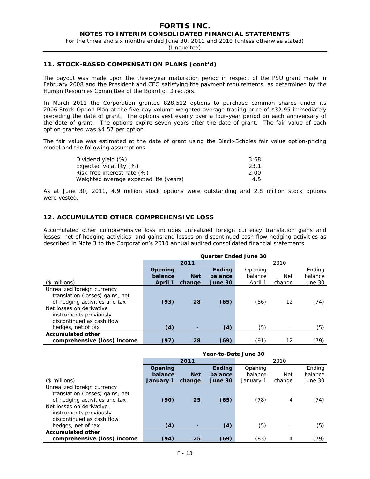For the three and six months ended June 30, 2011 and 2010 (unless otherwise stated)

(Unaudited)

### **11. STOCK-BASED COMPENSATION PLANS (cont'd)**

The payout was made upon the three-year maturation period in respect of the PSU grant made in February 2008 and the President and CEO satisfying the payment requirements, as determined by the Human Resources Committee of the Board of Directors.

In March 2011 the Corporation granted 828,512 options to purchase common shares under its 2006 Stock Option Plan at the five-day volume weighted average trading price of \$32.95 immediately preceding the date of grant. The options vest evenly over a four-year period on each anniversary of the date of grant. The options expire seven years after the date of grant. The fair value of each option granted was \$4.57 per option.

The fair value was estimated at the date of grant using the Black-Scholes fair value option-pricing model and the following assumptions:

| Dividend yield (%)                     | 3.68 |
|----------------------------------------|------|
| Expected volatility (%)                | 23.1 |
| Risk-free interest rate (%)            | 2.00 |
| Weighted average expected life (years) | 4.5  |

As at June 30, 2011, 4.9 million stock options were outstanding and 2.8 million stock options were vested.

## **12. ACCUMULATED OTHER COMPREHENSIVE LOSS**

Accumulated other comprehensive loss includes unrealized foreign currency translation gains and losses, net of hedging activities, and gains and losses on discontinued cash flow hedging activities as described in Note 3 to the Corporation's 2010 annual audited consolidated financial statements.

|                                                                                                                                                                                    | Quarter Ended June 30 |            |               |         |        |         |  |  |
|------------------------------------------------------------------------------------------------------------------------------------------------------------------------------------|-----------------------|------------|---------------|---------|--------|---------|--|--|
|                                                                                                                                                                                    |                       | 2011       |               | 2010    |        |         |  |  |
|                                                                                                                                                                                    | Opening               |            | <b>Ending</b> | Opening |        | Ending  |  |  |
|                                                                                                                                                                                    | balance               | <b>Net</b> | balance       | balance | Net    | balance |  |  |
| $($$ millions)                                                                                                                                                                     | <b>April 1</b>        | change     | June 30       | April 1 | change | June 30 |  |  |
| Unrealized foreign currency<br>translation (losses) gains, net<br>of hedging activities and tax<br>Net losses on derivative<br>instruments previously<br>discontinued as cash flow | (93)                  | 28         | (65)          | (86)    | 12     | (74)    |  |  |
| hedges, net of tax                                                                                                                                                                 | (4)                   |            | (4)           | (5)     |        | (5)     |  |  |
| <b>Accumulated other</b>                                                                                                                                                           |                       |            |               |         |        |         |  |  |
| comprehensive (loss) income                                                                                                                                                        | (97)                  | 28         | (69)          | (91)    | 12     | (79)    |  |  |

|                                 | Year-to-Date June 30 |            |               |           |        |         |  |  |
|---------------------------------|----------------------|------------|---------------|-----------|--------|---------|--|--|
|                                 |                      | 2011       |               | 2010      |        |         |  |  |
|                                 | Opening              |            | <b>Ending</b> | Opening   |        | Ending  |  |  |
|                                 | balance              | <b>Net</b> | balance       | balance   | Net    | balance |  |  |
| (\$ millions)                   | January 1            | change     | June 30       | January 1 | change | June 30 |  |  |
| Unrealized foreign currency     |                      |            |               |           |        |         |  |  |
| translation (losses) gains, net |                      |            |               |           |        |         |  |  |
| of hedging activities and tax   | (90)                 | 25         | (65)          | (78)      | 4      | (74)    |  |  |
| Net losses on derivative        |                      |            |               |           |        |         |  |  |
| instruments previously          |                      |            |               |           |        |         |  |  |
| discontinued as cash flow       |                      |            |               |           |        |         |  |  |
| hedges, net of tax              | $\left( 4\right)$    |            | (4)           | (5)       |        | (5)     |  |  |
| <b>Accumulated other</b>        |                      |            |               |           |        |         |  |  |
| comprehensive (loss) income     | (94)                 | 25         | (69)          | (83)      | 4      | (79)    |  |  |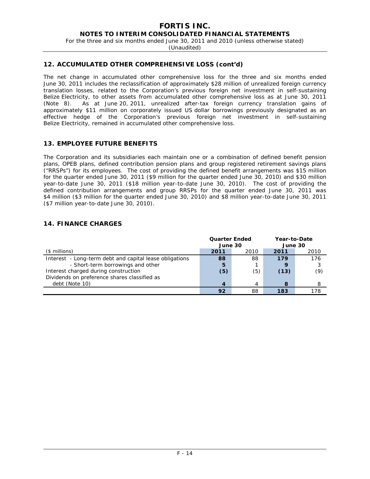For the three and six months ended June 30, 2011 and 2010 (unless otherwise stated)

(Unaudited)

# **12. ACCUMULATED OTHER COMPREHENSIVE LOSS (cont'd)**

The net change in accumulated other comprehensive loss for the three and six months ended June 30, 2011 includes the reclassification of approximately \$28 million of unrealized foreign currency translation losses, related to the Corporation's previous foreign net investment in self-sustaining Belize Electricity, to other assets from accumulated other comprehensive loss as at June 30, 2011 (Note 8). As at June 20, 2011, unrealized after-tax foreign currency translation gains of approximately \$11 million on corporately issued US dollar borrowings previously designated as an effective hedge of the Corporation's previous foreign net investment in self-sustaining Belize Electricity, remained in accumulated other comprehensive loss.

## **13. EMPLOYEE FUTURE BENEFITS**

The Corporation and its subsidiaries each maintain one or a combination of defined benefit pension plans, OPEB plans, defined contribution pension plans and group registered retirement savings plans ("RRSPs") for its employees. The cost of providing the defined benefit arrangements was \$15 million for the quarter ended June 30, 2011 (\$9 million for the quarter ended June 30, 2010) and \$30 million year-to-date June 30, 2011 (\$18 million year-to-date June 30, 2010). The cost of providing the defined contribution arrangements and group RRSPs for the quarter ended June 30, 2011 was \$4 million (\$3 million for the quarter ended June 30, 2010) and \$8 million year-to-date June 30, 2011 (\$7 million year-to-date June 30, 2010).

# **14. FINANCE CHARGES**

|                                                         | <b>Quarter Ended</b><br>June 30 |      | Year-to-Date<br>June 30 |      |  |
|---------------------------------------------------------|---------------------------------|------|-------------------------|------|--|
| $($$ millions)                                          | 2011                            | 2010 | 2011                    | 2010 |  |
| Interest - Long-term debt and capital lease obligations | 88                              | 88   | 179                     | 176  |  |
| - Short-term borrowings and other                       | 5                               |      | 9                       |      |  |
| Interest charged during construction                    | (5)                             | (5)  | (13)                    | (9)  |  |
| Dividends on preference shares classified as            |                                 |      |                         |      |  |
| debt (Note 10)                                          |                                 | 4    | 8                       | 8    |  |
|                                                         | 92                              | 88   | 183                     | 178  |  |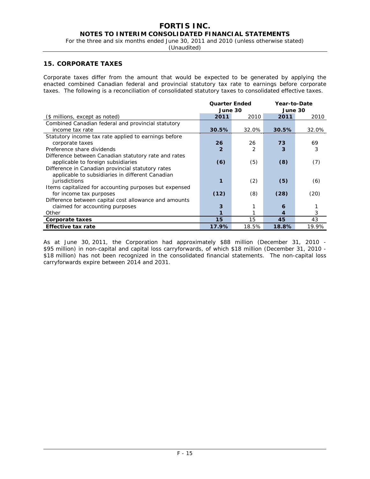# **FORTIS INC.**

**NOTES TO INTERIM CONSOLIDATED FINANCIAL STATEMENTS** 

For the three and six months ended June 30, 2011 and 2010 (unless otherwise stated)

(Unaudited)

## **15. CORPORATE TAXES**

Corporate taxes differ from the amount that would be expected to be generated by applying the enacted combined Canadian federal and provincial statutory tax rate to earnings before corporate taxes. The following is a reconciliation of consolidated statutory taxes to consolidated effective taxes.

|                                                        | <b>Quarter Ended</b> |       | Year-to-Date |       |  |
|--------------------------------------------------------|----------------------|-------|--------------|-------|--|
|                                                        | June 30              |       | June 30      |       |  |
| (\$ millions, except as noted)                         | 2011                 | 2010  | 2011         | 2010  |  |
| Combined Canadian federal and provincial statutory     |                      |       |              |       |  |
| income tax rate                                        | 30.5%                | 32.0% | 30.5%        | 32.0% |  |
| Statutory income tax rate applied to earnings before   |                      |       |              |       |  |
| corporate taxes                                        | 26                   | 26    | 73           | 69    |  |
| Preference share dividends                             | $\overline{2}$       | 2     | 3            | 3     |  |
| Difference between Canadian statutory rate and rates   |                      |       |              |       |  |
| applicable to foreign subsidiaries                     | (6)                  | (5)   | (8)          | (7)   |  |
| Difference in Canadian provincial statutory rates      |                      |       |              |       |  |
| applicable to subsidiaries in different Canadian       |                      |       |              |       |  |
| jurisdictions                                          | 1                    | (2)   | (5)          | (6)   |  |
| Items capitalized for accounting purposes but expensed |                      |       |              |       |  |
| for income tax purposes                                | (12)                 | (8)   | (28)         | (20)  |  |
| Difference between capital cost allowance and amounts  |                      |       |              |       |  |
| claimed for accounting purposes                        | 3                    |       | 6            |       |  |
| Other                                                  |                      |       | 4            | 3     |  |
| Corporate taxes                                        | 15                   | 15    | 45           | 43    |  |
| <b>Effective tax rate</b>                              | 17.9%                | 18.5% | 18.8%        | 19.9% |  |

As at June 30, 2011, the Corporation had approximately \$88 million (December 31, 2010 - \$95 million) in non-capital and capital loss carryforwards, of which \$18 million (December 31, 2010 - \$18 million) has not been recognized in the consolidated financial statements. The non-capital loss carryforwards expire between 2014 and 2031.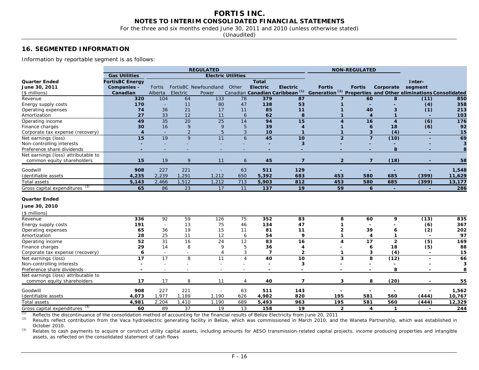For the three and six months ended June 30, 2011 and 2010 (unless otherwise stated)

(Unaudited)

### **16. SEGMENTED INFORMATION**

Information by reportable segment is as follows:

| <b>Gas Utilities</b><br><b>Electric Utilities</b><br><b>FortisBC Energy</b><br><b>Total</b><br>Inter-<br>FortisBC Newfoundland<br>Other<br><b>Electric</b><br><b>Electric</b><br>Corporate<br><b>Companies -</b><br>Fortis<br><b>Fortis</b><br><b>Fortis</b><br>segment<br>Generation <sup>(2)</sup> Properties and Other eliminations Consolidated<br>Canadian Canadian Caribbean (1)<br>Electric<br>Canadian<br>Alberta<br>(\$ millions)<br>Power<br>78<br>320<br>104<br>64<br>133<br>379<br>87<br>60<br>(11)<br>850<br>$\overline{7}$<br>8<br>170<br>11<br>80<br>47<br>138<br>53<br>358<br>(4)<br>$\overline{\phantom{a}}$<br>21<br>85<br>11<br>40<br>213<br>74<br>36<br>17<br>11<br>3<br>(1)<br>27<br>33<br>12<br>11<br>62<br>8<br>103<br>4<br>$\mathbf{1}$<br>6<br>35<br>$\overline{20}$<br>25<br>15<br>$\overline{176}$<br>49<br>14<br>94<br>16<br>$\overline{4}$<br>(6)<br>$\boldsymbol{A}$<br>30<br>16<br>9<br>9<br>39<br>92<br>5<br>$\overline{4}$<br>6<br>18<br>(6)<br>$\overline{2}$<br>5<br>3<br>15<br>$\boldsymbol{4}$<br>3<br>$\mathbf{1}$<br>(4)<br>10<br>19<br>$\overline{7}$<br>69<br>15<br>9<br>11<br>45<br>10<br>$\overline{2}$<br>(10)<br>6<br>3<br>3<br>÷,<br>ä,<br>$\blacksquare$<br>8<br>8<br>$\overline{a}$<br>9<br>$\overline{7}$<br>common equity shareholders<br>15<br>19<br>45<br>$\overline{7}$<br>$\overline{2}$<br>(18)<br>58<br>11<br>6<br>Goodwill<br>908<br>227<br>221<br>129<br>1,548<br>63<br>511<br>$\overline{\phantom{a}}$<br>2,239<br>1,291<br>5,392<br>Identifiable assets<br>4,235<br>1,212<br>650<br>683<br>453<br>580<br>685<br>(399)<br>11,629<br>2,466<br>1,512<br>1,212<br>713<br>812<br>453<br>580<br>685<br><b>Total assets</b><br>5,143<br>5,903<br>(399)<br>13,177<br>(3)<br>Gross capital expenditures<br>65<br>86<br>23<br>17<br>137<br>19<br>59<br>6<br>286<br>11<br>$\overline{\phantom{a}}$<br><b>Quarter Ended</b><br>June 30, 2010<br>$($$ millions)<br>92<br>59<br>75<br>336<br>126<br>352<br>83<br>60<br>9<br>(13)<br>835<br>Revenue<br>8<br>13<br>75<br>134<br>47<br>367<br>191<br>46<br>(6)<br>Energy supply costs<br>1<br>÷.<br>202<br>65<br>36<br>19<br>15<br>81<br>11<br>$\mathbf{2}$<br>39<br>(2)<br>11<br>6<br>28<br>25<br>9<br>97<br>11<br>12<br>6<br>54<br>1<br>4<br>1<br>31<br>52<br>16<br>12<br>83<br>169<br>24<br>16<br>17<br>$\overline{2}$<br>(5)<br>$\boldsymbol{A}$<br>29<br>9<br>5<br>36<br>18<br>88<br>14<br>8<br>6<br>(5)<br>4<br>6<br>$\overline{2}$<br>3<br>15<br>3<br>$\overline{7}$<br>(4)<br>$\overline{4}$<br>$\mathbf{1}$<br>$\overline{\phantom{a}}$<br>$\sim$<br>$\overline{17}$<br>$\overline{17}$<br>$\overline{\mathbf{3}}$<br>8<br>11<br>40<br>10<br>8<br>66<br>$\overline{4}$<br>(12)<br>$\overline{\phantom{a}}$<br>3<br>3<br>$\overline{\phantom{0}}$<br>$\overline{\phantom{0}}$<br>$\overline{a}$<br>8<br>8<br>$\overline{\phantom{0}}$<br>$\overline{\phantom{a}}$<br>$\sim$<br>$\overline{\phantom{a}}$<br>$\overline{\phantom{a}}$<br>17<br>(20)<br>17<br>8<br>11<br>40<br>$\overline{ }$<br>3<br>8<br>55<br>common equity shareholders<br>$\overline{4}$<br>221<br>Goodwill<br>908<br>227<br>63<br>511<br>1,562<br>143<br>$\sim$<br>$\overline{\phantom{0}}$<br>$\overline{a}$<br>$\overline{\phantom{a}}$<br>1,189<br>1,190<br>820<br>581<br>Identifiable assets<br>4,073<br>1,977<br>626<br>4,982<br>195<br>560<br>(444)<br>10,767<br>2,204<br>689<br>581<br>560<br>4,981<br>1,410<br>1,190<br>5,493<br>963<br>195<br>(444)<br>12,329<br>Total assets<br>Gross capital expenditures (3)<br>37<br>89<br>19<br>13<br>158<br>19<br>$\overline{2}$<br>244<br>60<br>4<br>$\mathbf{1}$<br>$\blacksquare$ |                                     |  | <b>REGULATED</b> |  | <b>NON-REGULATED</b> |  |  |  |
|-----------------------------------------------------------------------------------------------------------------------------------------------------------------------------------------------------------------------------------------------------------------------------------------------------------------------------------------------------------------------------------------------------------------------------------------------------------------------------------------------------------------------------------------------------------------------------------------------------------------------------------------------------------------------------------------------------------------------------------------------------------------------------------------------------------------------------------------------------------------------------------------------------------------------------------------------------------------------------------------------------------------------------------------------------------------------------------------------------------------------------------------------------------------------------------------------------------------------------------------------------------------------------------------------------------------------------------------------------------------------------------------------------------------------------------------------------------------------------------------------------------------------------------------------------------------------------------------------------------------------------------------------------------------------------------------------------------------------------------------------------------------------------------------------------------------------------------------------------------------------------------------------------------------------------------------------------------------------------------------------------------------------------------------------------------------------------------------------------------------------------------------------------------------------------------------------------------------------------------------------------------------------------------------------------------------------------------------------------------------------------------------------------------------------------------------------------------------------------------------------------------------------------------------------------------------------------------------------------------------------------------------------------------------------------------------------------------------------------------------------------------------------------------------------------------------------------------------------------------------------------------------------------------------------------------------------------------------------------------------------------------------------------------------------------------------------------------------------------------------------------------------------------------------------------------------------------------------------------------------------------------------------------------------------------------------------------------------------------------------------------------------------------------------------------------------------------------------------------------------------------------------------------------------------------------------------------------------------------------|-------------------------------------|--|------------------|--|----------------------|--|--|--|
|                                                                                                                                                                                                                                                                                                                                                                                                                                                                                                                                                                                                                                                                                                                                                                                                                                                                                                                                                                                                                                                                                                                                                                                                                                                                                                                                                                                                                                                                                                                                                                                                                                                                                                                                                                                                                                                                                                                                                                                                                                                                                                                                                                                                                                                                                                                                                                                                                                                                                                                                                                                                                                                                                                                                                                                                                                                                                                                                                                                                                                                                                                                                                                                                                                                                                                                                                                                                                                                                                                                                                                                                           |                                     |  |                  |  |                      |  |  |  |
|                                                                                                                                                                                                                                                                                                                                                                                                                                                                                                                                                                                                                                                                                                                                                                                                                                                                                                                                                                                                                                                                                                                                                                                                                                                                                                                                                                                                                                                                                                                                                                                                                                                                                                                                                                                                                                                                                                                                                                                                                                                                                                                                                                                                                                                                                                                                                                                                                                                                                                                                                                                                                                                                                                                                                                                                                                                                                                                                                                                                                                                                                                                                                                                                                                                                                                                                                                                                                                                                                                                                                                                                           | <b>Quarter Ended</b>                |  |                  |  |                      |  |  |  |
|                                                                                                                                                                                                                                                                                                                                                                                                                                                                                                                                                                                                                                                                                                                                                                                                                                                                                                                                                                                                                                                                                                                                                                                                                                                                                                                                                                                                                                                                                                                                                                                                                                                                                                                                                                                                                                                                                                                                                                                                                                                                                                                                                                                                                                                                                                                                                                                                                                                                                                                                                                                                                                                                                                                                                                                                                                                                                                                                                                                                                                                                                                                                                                                                                                                                                                                                                                                                                                                                                                                                                                                                           | June 30, 2011                       |  |                  |  |                      |  |  |  |
|                                                                                                                                                                                                                                                                                                                                                                                                                                                                                                                                                                                                                                                                                                                                                                                                                                                                                                                                                                                                                                                                                                                                                                                                                                                                                                                                                                                                                                                                                                                                                                                                                                                                                                                                                                                                                                                                                                                                                                                                                                                                                                                                                                                                                                                                                                                                                                                                                                                                                                                                                                                                                                                                                                                                                                                                                                                                                                                                                                                                                                                                                                                                                                                                                                                                                                                                                                                                                                                                                                                                                                                                           |                                     |  |                  |  |                      |  |  |  |
|                                                                                                                                                                                                                                                                                                                                                                                                                                                                                                                                                                                                                                                                                                                                                                                                                                                                                                                                                                                                                                                                                                                                                                                                                                                                                                                                                                                                                                                                                                                                                                                                                                                                                                                                                                                                                                                                                                                                                                                                                                                                                                                                                                                                                                                                                                                                                                                                                                                                                                                                                                                                                                                                                                                                                                                                                                                                                                                                                                                                                                                                                                                                                                                                                                                                                                                                                                                                                                                                                                                                                                                                           | Revenue                             |  |                  |  |                      |  |  |  |
|                                                                                                                                                                                                                                                                                                                                                                                                                                                                                                                                                                                                                                                                                                                                                                                                                                                                                                                                                                                                                                                                                                                                                                                                                                                                                                                                                                                                                                                                                                                                                                                                                                                                                                                                                                                                                                                                                                                                                                                                                                                                                                                                                                                                                                                                                                                                                                                                                                                                                                                                                                                                                                                                                                                                                                                                                                                                                                                                                                                                                                                                                                                                                                                                                                                                                                                                                                                                                                                                                                                                                                                                           | Energy supply costs                 |  |                  |  |                      |  |  |  |
|                                                                                                                                                                                                                                                                                                                                                                                                                                                                                                                                                                                                                                                                                                                                                                                                                                                                                                                                                                                                                                                                                                                                                                                                                                                                                                                                                                                                                                                                                                                                                                                                                                                                                                                                                                                                                                                                                                                                                                                                                                                                                                                                                                                                                                                                                                                                                                                                                                                                                                                                                                                                                                                                                                                                                                                                                                                                                                                                                                                                                                                                                                                                                                                                                                                                                                                                                                                                                                                                                                                                                                                                           | Operating expenses                  |  |                  |  |                      |  |  |  |
|                                                                                                                                                                                                                                                                                                                                                                                                                                                                                                                                                                                                                                                                                                                                                                                                                                                                                                                                                                                                                                                                                                                                                                                                                                                                                                                                                                                                                                                                                                                                                                                                                                                                                                                                                                                                                                                                                                                                                                                                                                                                                                                                                                                                                                                                                                                                                                                                                                                                                                                                                                                                                                                                                                                                                                                                                                                                                                                                                                                                                                                                                                                                                                                                                                                                                                                                                                                                                                                                                                                                                                                                           | Amortization                        |  |                  |  |                      |  |  |  |
|                                                                                                                                                                                                                                                                                                                                                                                                                                                                                                                                                                                                                                                                                                                                                                                                                                                                                                                                                                                                                                                                                                                                                                                                                                                                                                                                                                                                                                                                                                                                                                                                                                                                                                                                                                                                                                                                                                                                                                                                                                                                                                                                                                                                                                                                                                                                                                                                                                                                                                                                                                                                                                                                                                                                                                                                                                                                                                                                                                                                                                                                                                                                                                                                                                                                                                                                                                                                                                                                                                                                                                                                           | Operating income                    |  |                  |  |                      |  |  |  |
|                                                                                                                                                                                                                                                                                                                                                                                                                                                                                                                                                                                                                                                                                                                                                                                                                                                                                                                                                                                                                                                                                                                                                                                                                                                                                                                                                                                                                                                                                                                                                                                                                                                                                                                                                                                                                                                                                                                                                                                                                                                                                                                                                                                                                                                                                                                                                                                                                                                                                                                                                                                                                                                                                                                                                                                                                                                                                                                                                                                                                                                                                                                                                                                                                                                                                                                                                                                                                                                                                                                                                                                                           | Finance charges                     |  |                  |  |                      |  |  |  |
|                                                                                                                                                                                                                                                                                                                                                                                                                                                                                                                                                                                                                                                                                                                                                                                                                                                                                                                                                                                                                                                                                                                                                                                                                                                                                                                                                                                                                                                                                                                                                                                                                                                                                                                                                                                                                                                                                                                                                                                                                                                                                                                                                                                                                                                                                                                                                                                                                                                                                                                                                                                                                                                                                                                                                                                                                                                                                                                                                                                                                                                                                                                                                                                                                                                                                                                                                                                                                                                                                                                                                                                                           | Corporate tax expense (recovery)    |  |                  |  |                      |  |  |  |
|                                                                                                                                                                                                                                                                                                                                                                                                                                                                                                                                                                                                                                                                                                                                                                                                                                                                                                                                                                                                                                                                                                                                                                                                                                                                                                                                                                                                                                                                                                                                                                                                                                                                                                                                                                                                                                                                                                                                                                                                                                                                                                                                                                                                                                                                                                                                                                                                                                                                                                                                                                                                                                                                                                                                                                                                                                                                                                                                                                                                                                                                                                                                                                                                                                                                                                                                                                                                                                                                                                                                                                                                           | Net earnings (loss)                 |  |                  |  |                      |  |  |  |
|                                                                                                                                                                                                                                                                                                                                                                                                                                                                                                                                                                                                                                                                                                                                                                                                                                                                                                                                                                                                                                                                                                                                                                                                                                                                                                                                                                                                                                                                                                                                                                                                                                                                                                                                                                                                                                                                                                                                                                                                                                                                                                                                                                                                                                                                                                                                                                                                                                                                                                                                                                                                                                                                                                                                                                                                                                                                                                                                                                                                                                                                                                                                                                                                                                                                                                                                                                                                                                                                                                                                                                                                           | Non-controlling interests           |  |                  |  |                      |  |  |  |
|                                                                                                                                                                                                                                                                                                                                                                                                                                                                                                                                                                                                                                                                                                                                                                                                                                                                                                                                                                                                                                                                                                                                                                                                                                                                                                                                                                                                                                                                                                                                                                                                                                                                                                                                                                                                                                                                                                                                                                                                                                                                                                                                                                                                                                                                                                                                                                                                                                                                                                                                                                                                                                                                                                                                                                                                                                                                                                                                                                                                                                                                                                                                                                                                                                                                                                                                                                                                                                                                                                                                                                                                           | Preference share dividends          |  |                  |  |                      |  |  |  |
|                                                                                                                                                                                                                                                                                                                                                                                                                                                                                                                                                                                                                                                                                                                                                                                                                                                                                                                                                                                                                                                                                                                                                                                                                                                                                                                                                                                                                                                                                                                                                                                                                                                                                                                                                                                                                                                                                                                                                                                                                                                                                                                                                                                                                                                                                                                                                                                                                                                                                                                                                                                                                                                                                                                                                                                                                                                                                                                                                                                                                                                                                                                                                                                                                                                                                                                                                                                                                                                                                                                                                                                                           | Net earnings (loss) attributable to |  |                  |  |                      |  |  |  |
|                                                                                                                                                                                                                                                                                                                                                                                                                                                                                                                                                                                                                                                                                                                                                                                                                                                                                                                                                                                                                                                                                                                                                                                                                                                                                                                                                                                                                                                                                                                                                                                                                                                                                                                                                                                                                                                                                                                                                                                                                                                                                                                                                                                                                                                                                                                                                                                                                                                                                                                                                                                                                                                                                                                                                                                                                                                                                                                                                                                                                                                                                                                                                                                                                                                                                                                                                                                                                                                                                                                                                                                                           |                                     |  |                  |  |                      |  |  |  |
|                                                                                                                                                                                                                                                                                                                                                                                                                                                                                                                                                                                                                                                                                                                                                                                                                                                                                                                                                                                                                                                                                                                                                                                                                                                                                                                                                                                                                                                                                                                                                                                                                                                                                                                                                                                                                                                                                                                                                                                                                                                                                                                                                                                                                                                                                                                                                                                                                                                                                                                                                                                                                                                                                                                                                                                                                                                                                                                                                                                                                                                                                                                                                                                                                                                                                                                                                                                                                                                                                                                                                                                                           |                                     |  |                  |  |                      |  |  |  |
|                                                                                                                                                                                                                                                                                                                                                                                                                                                                                                                                                                                                                                                                                                                                                                                                                                                                                                                                                                                                                                                                                                                                                                                                                                                                                                                                                                                                                                                                                                                                                                                                                                                                                                                                                                                                                                                                                                                                                                                                                                                                                                                                                                                                                                                                                                                                                                                                                                                                                                                                                                                                                                                                                                                                                                                                                                                                                                                                                                                                                                                                                                                                                                                                                                                                                                                                                                                                                                                                                                                                                                                                           |                                     |  |                  |  |                      |  |  |  |
|                                                                                                                                                                                                                                                                                                                                                                                                                                                                                                                                                                                                                                                                                                                                                                                                                                                                                                                                                                                                                                                                                                                                                                                                                                                                                                                                                                                                                                                                                                                                                                                                                                                                                                                                                                                                                                                                                                                                                                                                                                                                                                                                                                                                                                                                                                                                                                                                                                                                                                                                                                                                                                                                                                                                                                                                                                                                                                                                                                                                                                                                                                                                                                                                                                                                                                                                                                                                                                                                                                                                                                                                           |                                     |  |                  |  |                      |  |  |  |
|                                                                                                                                                                                                                                                                                                                                                                                                                                                                                                                                                                                                                                                                                                                                                                                                                                                                                                                                                                                                                                                                                                                                                                                                                                                                                                                                                                                                                                                                                                                                                                                                                                                                                                                                                                                                                                                                                                                                                                                                                                                                                                                                                                                                                                                                                                                                                                                                                                                                                                                                                                                                                                                                                                                                                                                                                                                                                                                                                                                                                                                                                                                                                                                                                                                                                                                                                                                                                                                                                                                                                                                                           |                                     |  |                  |  |                      |  |  |  |
|                                                                                                                                                                                                                                                                                                                                                                                                                                                                                                                                                                                                                                                                                                                                                                                                                                                                                                                                                                                                                                                                                                                                                                                                                                                                                                                                                                                                                                                                                                                                                                                                                                                                                                                                                                                                                                                                                                                                                                                                                                                                                                                                                                                                                                                                                                                                                                                                                                                                                                                                                                                                                                                                                                                                                                                                                                                                                                                                                                                                                                                                                                                                                                                                                                                                                                                                                                                                                                                                                                                                                                                                           |                                     |  |                  |  |                      |  |  |  |
|                                                                                                                                                                                                                                                                                                                                                                                                                                                                                                                                                                                                                                                                                                                                                                                                                                                                                                                                                                                                                                                                                                                                                                                                                                                                                                                                                                                                                                                                                                                                                                                                                                                                                                                                                                                                                                                                                                                                                                                                                                                                                                                                                                                                                                                                                                                                                                                                                                                                                                                                                                                                                                                                                                                                                                                                                                                                                                                                                                                                                                                                                                                                                                                                                                                                                                                                                                                                                                                                                                                                                                                                           |                                     |  |                  |  |                      |  |  |  |
|                                                                                                                                                                                                                                                                                                                                                                                                                                                                                                                                                                                                                                                                                                                                                                                                                                                                                                                                                                                                                                                                                                                                                                                                                                                                                                                                                                                                                                                                                                                                                                                                                                                                                                                                                                                                                                                                                                                                                                                                                                                                                                                                                                                                                                                                                                                                                                                                                                                                                                                                                                                                                                                                                                                                                                                                                                                                                                                                                                                                                                                                                                                                                                                                                                                                                                                                                                                                                                                                                                                                                                                                           |                                     |  |                  |  |                      |  |  |  |
|                                                                                                                                                                                                                                                                                                                                                                                                                                                                                                                                                                                                                                                                                                                                                                                                                                                                                                                                                                                                                                                                                                                                                                                                                                                                                                                                                                                                                                                                                                                                                                                                                                                                                                                                                                                                                                                                                                                                                                                                                                                                                                                                                                                                                                                                                                                                                                                                                                                                                                                                                                                                                                                                                                                                                                                                                                                                                                                                                                                                                                                                                                                                                                                                                                                                                                                                                                                                                                                                                                                                                                                                           |                                     |  |                  |  |                      |  |  |  |
|                                                                                                                                                                                                                                                                                                                                                                                                                                                                                                                                                                                                                                                                                                                                                                                                                                                                                                                                                                                                                                                                                                                                                                                                                                                                                                                                                                                                                                                                                                                                                                                                                                                                                                                                                                                                                                                                                                                                                                                                                                                                                                                                                                                                                                                                                                                                                                                                                                                                                                                                                                                                                                                                                                                                                                                                                                                                                                                                                                                                                                                                                                                                                                                                                                                                                                                                                                                                                                                                                                                                                                                                           |                                     |  |                  |  |                      |  |  |  |
|                                                                                                                                                                                                                                                                                                                                                                                                                                                                                                                                                                                                                                                                                                                                                                                                                                                                                                                                                                                                                                                                                                                                                                                                                                                                                                                                                                                                                                                                                                                                                                                                                                                                                                                                                                                                                                                                                                                                                                                                                                                                                                                                                                                                                                                                                                                                                                                                                                                                                                                                                                                                                                                                                                                                                                                                                                                                                                                                                                                                                                                                                                                                                                                                                                                                                                                                                                                                                                                                                                                                                                                                           |                                     |  |                  |  |                      |  |  |  |
|                                                                                                                                                                                                                                                                                                                                                                                                                                                                                                                                                                                                                                                                                                                                                                                                                                                                                                                                                                                                                                                                                                                                                                                                                                                                                                                                                                                                                                                                                                                                                                                                                                                                                                                                                                                                                                                                                                                                                                                                                                                                                                                                                                                                                                                                                                                                                                                                                                                                                                                                                                                                                                                                                                                                                                                                                                                                                                                                                                                                                                                                                                                                                                                                                                                                                                                                                                                                                                                                                                                                                                                                           | Operating expenses                  |  |                  |  |                      |  |  |  |
|                                                                                                                                                                                                                                                                                                                                                                                                                                                                                                                                                                                                                                                                                                                                                                                                                                                                                                                                                                                                                                                                                                                                                                                                                                                                                                                                                                                                                                                                                                                                                                                                                                                                                                                                                                                                                                                                                                                                                                                                                                                                                                                                                                                                                                                                                                                                                                                                                                                                                                                                                                                                                                                                                                                                                                                                                                                                                                                                                                                                                                                                                                                                                                                                                                                                                                                                                                                                                                                                                                                                                                                                           | Amortization                        |  |                  |  |                      |  |  |  |
|                                                                                                                                                                                                                                                                                                                                                                                                                                                                                                                                                                                                                                                                                                                                                                                                                                                                                                                                                                                                                                                                                                                                                                                                                                                                                                                                                                                                                                                                                                                                                                                                                                                                                                                                                                                                                                                                                                                                                                                                                                                                                                                                                                                                                                                                                                                                                                                                                                                                                                                                                                                                                                                                                                                                                                                                                                                                                                                                                                                                                                                                                                                                                                                                                                                                                                                                                                                                                                                                                                                                                                                                           | Operating income                    |  |                  |  |                      |  |  |  |
|                                                                                                                                                                                                                                                                                                                                                                                                                                                                                                                                                                                                                                                                                                                                                                                                                                                                                                                                                                                                                                                                                                                                                                                                                                                                                                                                                                                                                                                                                                                                                                                                                                                                                                                                                                                                                                                                                                                                                                                                                                                                                                                                                                                                                                                                                                                                                                                                                                                                                                                                                                                                                                                                                                                                                                                                                                                                                                                                                                                                                                                                                                                                                                                                                                                                                                                                                                                                                                                                                                                                                                                                           | Finance charges                     |  |                  |  |                      |  |  |  |
|                                                                                                                                                                                                                                                                                                                                                                                                                                                                                                                                                                                                                                                                                                                                                                                                                                                                                                                                                                                                                                                                                                                                                                                                                                                                                                                                                                                                                                                                                                                                                                                                                                                                                                                                                                                                                                                                                                                                                                                                                                                                                                                                                                                                                                                                                                                                                                                                                                                                                                                                                                                                                                                                                                                                                                                                                                                                                                                                                                                                                                                                                                                                                                                                                                                                                                                                                                                                                                                                                                                                                                                                           | Corporate tax expense (recovery)    |  |                  |  |                      |  |  |  |
|                                                                                                                                                                                                                                                                                                                                                                                                                                                                                                                                                                                                                                                                                                                                                                                                                                                                                                                                                                                                                                                                                                                                                                                                                                                                                                                                                                                                                                                                                                                                                                                                                                                                                                                                                                                                                                                                                                                                                                                                                                                                                                                                                                                                                                                                                                                                                                                                                                                                                                                                                                                                                                                                                                                                                                                                                                                                                                                                                                                                                                                                                                                                                                                                                                                                                                                                                                                                                                                                                                                                                                                                           | Net earnings (loss)                 |  |                  |  |                      |  |  |  |
|                                                                                                                                                                                                                                                                                                                                                                                                                                                                                                                                                                                                                                                                                                                                                                                                                                                                                                                                                                                                                                                                                                                                                                                                                                                                                                                                                                                                                                                                                                                                                                                                                                                                                                                                                                                                                                                                                                                                                                                                                                                                                                                                                                                                                                                                                                                                                                                                                                                                                                                                                                                                                                                                                                                                                                                                                                                                                                                                                                                                                                                                                                                                                                                                                                                                                                                                                                                                                                                                                                                                                                                                           | Non-controlling interests           |  |                  |  |                      |  |  |  |
|                                                                                                                                                                                                                                                                                                                                                                                                                                                                                                                                                                                                                                                                                                                                                                                                                                                                                                                                                                                                                                                                                                                                                                                                                                                                                                                                                                                                                                                                                                                                                                                                                                                                                                                                                                                                                                                                                                                                                                                                                                                                                                                                                                                                                                                                                                                                                                                                                                                                                                                                                                                                                                                                                                                                                                                                                                                                                                                                                                                                                                                                                                                                                                                                                                                                                                                                                                                                                                                                                                                                                                                                           | Preference share dividends          |  |                  |  |                      |  |  |  |
|                                                                                                                                                                                                                                                                                                                                                                                                                                                                                                                                                                                                                                                                                                                                                                                                                                                                                                                                                                                                                                                                                                                                                                                                                                                                                                                                                                                                                                                                                                                                                                                                                                                                                                                                                                                                                                                                                                                                                                                                                                                                                                                                                                                                                                                                                                                                                                                                                                                                                                                                                                                                                                                                                                                                                                                                                                                                                                                                                                                                                                                                                                                                                                                                                                                                                                                                                                                                                                                                                                                                                                                                           | Net earnings (loss) attributable to |  |                  |  |                      |  |  |  |
|                                                                                                                                                                                                                                                                                                                                                                                                                                                                                                                                                                                                                                                                                                                                                                                                                                                                                                                                                                                                                                                                                                                                                                                                                                                                                                                                                                                                                                                                                                                                                                                                                                                                                                                                                                                                                                                                                                                                                                                                                                                                                                                                                                                                                                                                                                                                                                                                                                                                                                                                                                                                                                                                                                                                                                                                                                                                                                                                                                                                                                                                                                                                                                                                                                                                                                                                                                                                                                                                                                                                                                                                           |                                     |  |                  |  |                      |  |  |  |
|                                                                                                                                                                                                                                                                                                                                                                                                                                                                                                                                                                                                                                                                                                                                                                                                                                                                                                                                                                                                                                                                                                                                                                                                                                                                                                                                                                                                                                                                                                                                                                                                                                                                                                                                                                                                                                                                                                                                                                                                                                                                                                                                                                                                                                                                                                                                                                                                                                                                                                                                                                                                                                                                                                                                                                                                                                                                                                                                                                                                                                                                                                                                                                                                                                                                                                                                                                                                                                                                                                                                                                                                           |                                     |  |                  |  |                      |  |  |  |
|                                                                                                                                                                                                                                                                                                                                                                                                                                                                                                                                                                                                                                                                                                                                                                                                                                                                                                                                                                                                                                                                                                                                                                                                                                                                                                                                                                                                                                                                                                                                                                                                                                                                                                                                                                                                                                                                                                                                                                                                                                                                                                                                                                                                                                                                                                                                                                                                                                                                                                                                                                                                                                                                                                                                                                                                                                                                                                                                                                                                                                                                                                                                                                                                                                                                                                                                                                                                                                                                                                                                                                                                           |                                     |  |                  |  |                      |  |  |  |
|                                                                                                                                                                                                                                                                                                                                                                                                                                                                                                                                                                                                                                                                                                                                                                                                                                                                                                                                                                                                                                                                                                                                                                                                                                                                                                                                                                                                                                                                                                                                                                                                                                                                                                                                                                                                                                                                                                                                                                                                                                                                                                                                                                                                                                                                                                                                                                                                                                                                                                                                                                                                                                                                                                                                                                                                                                                                                                                                                                                                                                                                                                                                                                                                                                                                                                                                                                                                                                                                                                                                                                                                           |                                     |  |                  |  |                      |  |  |  |
|                                                                                                                                                                                                                                                                                                                                                                                                                                                                                                                                                                                                                                                                                                                                                                                                                                                                                                                                                                                                                                                                                                                                                                                                                                                                                                                                                                                                                                                                                                                                                                                                                                                                                                                                                                                                                                                                                                                                                                                                                                                                                                                                                                                                                                                                                                                                                                                                                                                                                                                                                                                                                                                                                                                                                                                                                                                                                                                                                                                                                                                                                                                                                                                                                                                                                                                                                                                                                                                                                                                                                                                                           |                                     |  |                  |  |                      |  |  |  |

*(1)* Reflects the discontinuance of the consolidation method of accounting for the financial results of Belize Electricity from June 20, 2011<br>(2) Besults reflect contribution from the Vaca hydroelectric generating facili

Results reflect contribution from the Vaca hydroelectric generating facility in Belize, which was commissioned in March 2010, and the Waneta Partnership, which was established in October 2010.

 *(3)* Relates to cash payments to acquire or construct utility capital assets, including amounts for AESO transmission-related capital projects, income producing properties and intangible assets, as reflected on the consolidated statement of cash flows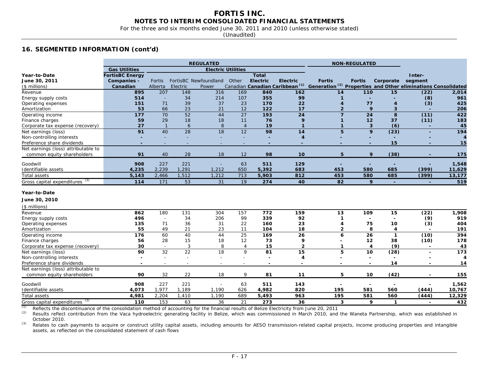For the three and six months ended June 30, 2011 and 2010 (unless otherwise stated)

(Unaudited)

# **16. SEGMENTED INFORMATION (cont'd)**

|                                     |                          |                |          | <b>REGULATED</b>      |                           |                 |                                            |                                                                          | <b>NON-REGULATED</b>     |                          |                |        |
|-------------------------------------|--------------------------|----------------|----------|-----------------------|---------------------------|-----------------|--------------------------------------------|--------------------------------------------------------------------------|--------------------------|--------------------------|----------------|--------|
|                                     | <b>Gas Utilities</b>     |                |          |                       | <b>Electric Utilities</b> |                 |                                            |                                                                          |                          |                          |                |        |
| Year-to-Date                        | <b>FortisBC Energy</b>   |                |          |                       |                           | <b>Total</b>    |                                            |                                                                          |                          |                          | Inter-         |        |
| June 30, 2011                       | Companies -              | Fortis         |          | FortisBC Newfoundland | Other                     | <b>Electric</b> | <b>Electric</b>                            | <b>Fortis</b>                                                            | <b>Fortis</b>            | Corporate                | segment        |        |
| (\$ millions)                       | Canadian                 | Alberta        | Electric | Power                 |                           |                 | Canadian Canadian Caribbean <sup>(1)</sup> | Generation <sup>(2)</sup> Properties and Other eliminations Consolidated |                          |                          |                |        |
| Revenue                             | 895                      | 207            | 148      | 316                   | 169                       | 840             | 162                                        | 14                                                                       | 110                      | 15                       | (22)           | 2,014  |
| Energy supply costs                 | 514                      | $\sim$         | 34       | 214                   | 107                       | 355             | 99                                         | -1                                                                       |                          |                          | (8)            | 961    |
| Operating expenses                  | 151                      | 71             | 39       | 37                    | 23                        | 170             | 22                                         | 4                                                                        | 77                       | 4                        | (3)            | 425    |
| Amortization                        | 53                       | 66             | 23       | 21                    | 12                        | 122             | 17                                         | $\overline{2}$                                                           | 9                        | 3                        |                | 206    |
| Operating income                    | 177                      | 70             | 52       | 44                    | 27                        | 193             | 24                                         | $\overline{7}$                                                           | 24                       | 8                        | (11)           | 422    |
| Finance charges                     | 59                       | 29             | 18       | 18                    | 11                        | 76              | 9                                          | 1                                                                        | 12                       | 37                       | (11)           | 183    |
| Corporate tax expense (recovery)    | 27                       | $\overline{1}$ | 6        | 8                     | $\overline{4}$            | 19              | $\mathbf{1}$                               | 1                                                                        |                          | (6)<br>$\overline{3}$    | $\blacksquare$ | 45     |
| Net earnings (loss)                 | 91                       | 40             | 28       | 18                    | 12                        | 98              | 14                                         | 5                                                                        |                          | 9<br>(23)                |                | 194    |
| Non-controlling interests           |                          |                |          |                       |                           |                 | $\overline{4}$                             |                                                                          | $\overline{\phantom{a}}$ |                          |                |        |
| Preference share dividends          |                          |                |          |                       |                           |                 |                                            |                                                                          |                          | 15                       |                | 15     |
| Net earnings (loss) attributable to |                          |                |          |                       |                           |                 |                                            |                                                                          |                          |                          |                |        |
| common equity shareholders          | 91                       | 40             | 28       | 18                    | 12                        | 98              | 10                                         | 5                                                                        |                          | 9<br>(38)                |                | 175    |
| Goodwill                            | 908                      | 227            | 221      | ÷.                    | 63                        | 511             | 129                                        |                                                                          | $\blacksquare$           |                          |                | 1,548  |
| Identifiable assets                 | 4,235                    | 2,239          | 1,291    | 1,212                 | 650                       | 5,392           | 683                                        | 453                                                                      | 580                      | 685                      | (399)          | 11,629 |
| Total assets                        | 5,143                    | 2,466          | 1,512    | 1,212                 | 713                       | 5,903           | 812                                        | 453                                                                      | 580                      | 685                      | (399)          | 13,177 |
| Gross capital expenditures          | 114                      | 171            | 53       | 31                    | 19                        | 274             | 40                                         | 82                                                                       |                          | 9                        |                | 519    |
|                                     |                          |                |          |                       |                           |                 |                                            |                                                                          |                          |                          |                |        |
| Year-to-Date                        |                          |                |          |                       |                           |                 |                                            |                                                                          |                          |                          |                |        |
| June 30, 2010                       |                          |                |          |                       |                           |                 |                                            |                                                                          |                          |                          |                |        |
| (\$ millions)                       |                          |                |          |                       |                           |                 |                                            |                                                                          |                          |                          |                |        |
| Revenue                             | 862                      | 180            | 131      | 304                   | 157                       | 772             | 159                                        | 13                                                                       | 109                      | 15                       | (22)           | 1,908  |
| Energy supply costs                 | 496                      |                | 34       | 206                   | 99                        | 339             | 92                                         | 1                                                                        |                          |                          | (9)            | 919    |
| Operating expenses                  | 135                      | 71             | 36       | 31                    | 22                        | 160             | 23                                         | 4                                                                        | 75                       | 10                       | (3)            | 404    |
| Amortization                        | 55                       | 49             | 21       | 23                    | 11                        | 104             | 18                                         | 2                                                                        |                          | 8<br>4                   |                | 191    |
| Operating income                    | 176                      | 60             | 40       | 44                    | 25                        | 169             | 26                                         | 6                                                                        | 26                       | $\mathbf{1}$             | (10)           | 394    |
| Finance charges                     | 56                       | 28             | 15       | 18                    | 12                        | 73              | 9                                          |                                                                          | 12                       | 38                       | (10)           | 178    |
| Corporate tax expense (recovery)    | 30                       | $\sim$         | 3        | 8                     | 4                         | 15              | $\overline{2}$                             | -1                                                                       | 4                        | (9)                      |                | 43     |
| Net earnings (loss)                 | 90                       | 32             | 22       | 18                    | 9                         | 81              | 15                                         | 5                                                                        | 10                       | (28)                     | $\overline{a}$ | 173    |
| Non-controlling interests           | $\overline{\phantom{a}}$ | $\sim$         |          | $\sim$                |                           |                 | 4                                          |                                                                          | $\blacksquare$           | $\overline{\phantom{a}}$ |                | 4      |
| Preference share dividends          | $\overline{\phantom{0}}$ | $\sim$         |          |                       |                           |                 |                                            |                                                                          | $\overline{\phantom{a}}$ | 14                       |                | 14     |
| Net earnings (loss) attributable to |                          |                |          |                       |                           |                 |                                            |                                                                          |                          |                          |                |        |
| common equity shareholders          | 90                       | 32             | 22       | 18                    | 9                         | 81              | 11                                         | 5                                                                        | 10                       | (42)                     |                | 155    |
| Goodwill                            | 908                      | 227            | 221      | ÷.                    | 63                        | 511             | 143                                        |                                                                          | $\overline{\phantom{0}}$ |                          |                | 1,562  |
| Identifiable assets                 | 4,073                    | 1,977          | 1,189    | 1,190                 | 626                       | 4,982           | 820                                        | 195                                                                      | 581                      | 560                      | (444)          | 10,767 |
| Total assets                        | 4,981                    | 2.204          | 1,410    | 1,190                 | 689                       | 5,493           | 963                                        | 195                                                                      | 581                      | 560                      | (444)          | 12,329 |
| Gross capital expenditures (3)      | 110                      | 153            | 63       | 36                    | 21                        | 273             | 36                                         | 3                                                                        |                          | 9<br>$\mathbf{1}$        | $\blacksquare$ | 432    |

*(1)* Reflects the discontinuance of the consolidation method of accounting for the financial results of Belize Electricity from June 20, 2011<br><sup>(2)</sup> Besults reflect contribution from the Vaca by color preceding facility in

Results reflect contribution from the Vaca hydroelectric generating facility in Belize, which was commissioned in March 2010, and the Waneta Partnership, which was established in October 2010.

 *(3)* Relates to cash payments to acquire or construct utility capital assets, including amounts for AESO transmission-related capital projects, income producing properties and intangible assets, as reflected on the consolidated statement of cash flows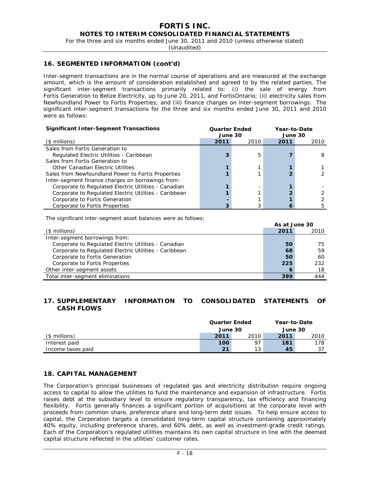For the three and six months ended June 30, 2011 and 2010 (unless otherwise stated)

(Unaudited)

### **16. SEGMENTED INFORMATION (cont'd)**

Inter-segment transactions are in the normal course of operations and are measured at the exchange amount, which is the amount of consideration established and agreed to by the related parties. The significant inter-segment transactions primarily related to: (i) the sale of energy from Fortis Generation to Belize Electricity, up to June 20, 2011, and FortisOntario; (ii) electricity sales from Newfoundland Power to Fortis Properties; and (iii) finance charges on inter-segment borrowings. The significant inter-segment transactions for the three and six months ended June 30, 2011 and 2010 were as follows:

| <b>Significant Inter-Segment Transactions</b>         |      | <b>Quarter Ended</b><br>Year-to-Date<br>June 30<br>June 30 |      |      |  |
|-------------------------------------------------------|------|------------------------------------------------------------|------|------|--|
| (\$ millions)                                         | 2011 | 2010                                                       | 2011 | 2010 |  |
| Sales from Fortis Generation to                       |      |                                                            |      |      |  |
| Regulated Electric Utilities - Caribbean              |      | 5                                                          |      | 8    |  |
| Sales from Fortis Generation to                       |      |                                                            |      |      |  |
| Other Canadian Electric Utilities                     |      |                                                            |      |      |  |
| Sales from Newfoundland Power to Fortis Properties    |      |                                                            |      |      |  |
| Inter-segment finance charges on borrowings from:     |      |                                                            |      |      |  |
| Corporate to Regulated Electric Utilities - Canadian  |      |                                                            |      |      |  |
| Corporate to Regulated Electric Utilities - Caribbean |      |                                                            |      |      |  |
| Corporate to Fortis Generation                        |      |                                                            |      |      |  |
| Corporate to Fortis Properties                        |      |                                                            |      |      |  |

The significant inter-segment asset balances were as follows:

|                                                       | As at June 30 |      |
|-------------------------------------------------------|---------------|------|
| (\$ millions)                                         | 2011          | 2010 |
| Inter-segment borrowings from:                        |               |      |
| Corporate to Regulated Electric Utilities - Canadian  | 50            | 75   |
| Corporate to Regulated Electric Utilities - Caribbean | 68            | 59   |
| Corporate to Fortis Generation                        | 50            | 60   |
| Corporate to Fortis Properties                        | 225           | 232  |
| Other inter-segment assets                            |               | 18   |
| Total inter-segment eliminations                      | 399           | 444  |

## **17. SUPPLEMENTARY INFORMATION TO CONSOLIDATED STATEMENTS OF CASH FLOWS**

|                   | <b>Quarter Ended</b> |      | Year-to-Date<br>June 30 |      |  |
|-------------------|----------------------|------|-------------------------|------|--|
|                   | June 30              |      |                         |      |  |
| (\$ millions)     | 2011                 | 2010 | 2011                    | 2010 |  |
| Interest paid     | 100                  | 97   | 181                     | 178  |  |
| Income taxes paid | 21                   | 13   | 45                      | 37   |  |

### **18. CAPITAL MANAGEMENT**

The Corporation's principal businesses of regulated gas and electricity distribution require ongoing access to capital to allow the utilities to fund the maintenance and expansion of infrastructure. Fortis raises debt at the subsidiary level to ensure regulatory transparency, tax efficiency and financing flexibility. Fortis generally finances a significant portion of acquisitions at the corporate level with proceeds from common share, preference share and long-term debt issues. To help ensure access to capital, the Corporation targets a consolidated long-term capital structure containing approximately 40% equity, including preference shares, and 60% debt, as well as investment-grade credit ratings. Each of the Corporation's regulated utilities maintains its own capital structure in line with the deemed capital structure reflected in the utilities' customer rates.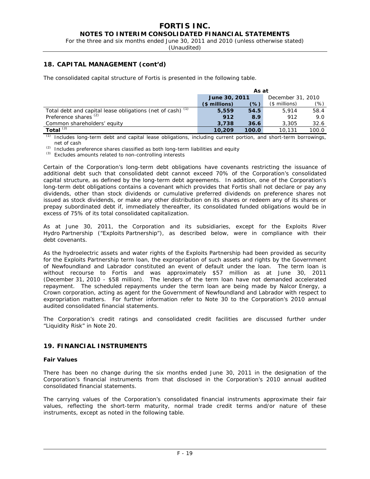For the three and six months ended June 30, 2011 and 2010 (unless otherwise stated)

(Unaudited)

# **18. CAPITAL MANAGEMENT (cont'd)**

The consolidated capital structure of Fortis is presented in the following table.

|                                                            | As at         |       |                   |       |
|------------------------------------------------------------|---------------|-------|-------------------|-------|
|                                                            | June 30, 2011 |       | December 31, 2010 |       |
|                                                            | $$$ millions) | (%)   | $($$ millions)    | (%)   |
| Total debt and capital lease obligations (net of cash) (1) | 5,559         | 54.5  | 5.914             | 58.4  |
| Preference shares <sup>(2)</sup>                           | 912           | 8.9   | 912               | 9.0   |
| Common shareholders' equity                                | 3,738         | 36.6  | 3,305             | 32.6  |
| Total $(3)$                                                | 10,209        | 100.0 | 10.131            | 100.0 |

*(1)* Includes long-term debt and capital lease obligations, including current portion, and short-term borrowings, net of cash

*(2)* Includes preference shares classified as both long-term liabilities and equity

*(3)* Excludes amounts related to non-controlling interests

Certain of the Corporation's long-term debt obligations have covenants restricting the issuance of additional debt such that consolidated debt cannot exceed 70% of the Corporation's consolidated capital structure, as defined by the long-term debt agreements. In addition, one of the Corporation's long-term debt obligations contains a covenant which provides that Fortis shall not declare or pay any dividends, other than stock dividends or cumulative preferred dividends on preference shares not issued as stock dividends, or make any other distribution on its shares or redeem any of its shares or prepay subordinated debt if, immediately thereafter, its consolidated funded obligations would be in excess of 75% of its total consolidated capitalization.

As at June 30, 2011, the Corporation and its subsidiaries, except for the Exploits River Hydro Partnership ("Exploits Partnership"), as described below, were in compliance with their debt covenants.

As the hydroelectric assets and water rights of the Exploits Partnership had been provided as security for the Exploits Partnership term loan, the expropriation of such assets and rights by the Government of Newfoundland and Labrador constituted an event of default under the loan. The term loan is without recourse to Fortis and was approximately \$57 million as at June 30, 2011 (December 31, 2010 - \$58 million). The lenders of the term loan have not demanded accelerated repayment. The scheduled repayments under the term loan are being made by Nalcor Energy, a Crown corporation, acting as agent for the Government of Newfoundland and Labrador with respect to expropriation matters. For further information refer to Note 30 to the Corporation's 2010 annual audited consolidated financial statements.

The Corporation's credit ratings and consolidated credit facilities are discussed further under "Liquidity Risk" in Note 20.

# **19. FINANCIAL INSTRUMENTS**

### **Fair Values**

There has been no change during the six months ended June 30, 2011 in the designation of the Corporation's financial instruments from that disclosed in the Corporation's 2010 annual audited consolidated financial statements.

The carrying values of the Corporation's consolidated financial instruments approximate their fair values, reflecting the short-term maturity, normal trade credit terms and/or nature of these instruments, except as noted in the following table.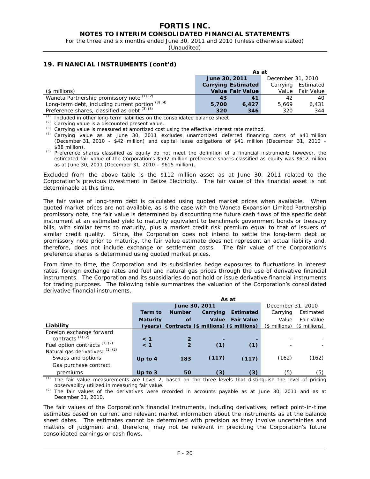For the three and six months ended June 30, 2011 and 2010 (unless otherwise stated)

(Unaudited)

# **19. FINANCIAL INSTRUMENTS (cont'd)**

|                                                       | As at                     |                         |                   |                    |
|-------------------------------------------------------|---------------------------|-------------------------|-------------------|--------------------|
|                                                       | June 30, 2011             |                         | December 31, 2010 |                    |
|                                                       | <b>Carrying Estimated</b> |                         |                   | Carrying Estimated |
| (\$ millions)                                         |                           | <b>Value Fair Value</b> | Value             | Fair Value         |
| Waneta Partnership promissory note $\sqrt{(7/2)^2}$   | 43                        | 41                      | 42                | 40                 |
| Long-term debt, including current portion $(3)$ $(4)$ | 5,700                     | 6.427                   | 5.669             | 6,431              |
| Preference shares, classified as debt $(3)(5)$        | 320                       | 346                     | 320               | 344                |

*(1)* Included in other long-term liabilities on the consolidated balance sheet

*(2)* Carrying value is a discounted present value.

*(3)* Carrying value is measured at amortized cost using the effective interest rate method.

*(4)* Carrying value as at June 30, 2011 excludes unamortized deferred financing costs of \$41 million (December 31, 2010 - \$42 million) and capital lease obligations of \$41 million (December 31, 2010 - \$38 million).

*(5)* Preference shares classified as equity do not meet the definition of a financial instrument; however, the estimated fair value of the Corporation's \$592 million preference shares classified as equity was \$612 million as at June 30, 2011 (December 31, 2010 – \$615 million).

Excluded from the above table is the \$112 million asset as at June 30, 2011 related to the Corporation's previous investment in Belize Electricity. The fair value of this financial asset is not determinable at this time.

The fair value of long-term debt is calculated using quoted market prices when available. When quoted market prices are not available, as is the case with the Waneta Expansion Limited Partnership promissory note, the fair value is determined by discounting the future cash flows of the specific debt instrument at an estimated yield to maturity equivalent to benchmark government bonds or treasury bills, with similar terms to maturity, plus a market credit risk premium equal to that of issuers of similar credit quality. Since, the Corporation does not intend to settle the long-term debt or promissory note prior to maturity, the fair value estimate does not represent an actual liability and, therefore, does not include exchange or settlement costs. The fair value of the Corporation's preference shares is determined using quoted market prices.

From time to time, the Corporation and its subsidiaries hedge exposures to fluctuations in interest rates, foreign exchange rates and fuel and natural gas prices through the use of derivative financial instruments. The Corporation and its subsidiaries do not hold or issue derivative financial instruments for trading purposes. The following table summarizes the valuation of the Corporation's consolidated derivative financial instruments.

|                                   | As at           |                |                                               |                   |                   |               |
|-----------------------------------|-----------------|----------------|-----------------------------------------------|-------------------|-------------------|---------------|
|                                   |                 |                | June 30, 2011                                 |                   | December 31, 2010 |               |
|                                   | Term to         | <b>Number</b>  | Carrying                                      | <b>Estimated</b>  | Carrying          | Estimated     |
|                                   | <b>Maturity</b> | <b>of</b>      | Value                                         | <b>Fair Value</b> | Value             | Fair Value    |
| Liability                         |                 |                | (years) Contracts (\$ millions) (\$ millions) |                   | (\$ millions)     | (\$ millions) |
| Foreign exchange forward          |                 |                |                                               |                   |                   |               |
| contracts $(1)$ $(2)$             | $\leq 1$        |                |                                               |                   |                   |               |
| Fuel option contracts $(1)$ $(2)$ | < 1             | $\overline{2}$ | (1)                                           | (1)               |                   |               |
| Natural gas derivatives: (1) (2)  |                 |                |                                               |                   |                   |               |
| Swaps and options                 | Up to $4$       | 183            | (117)                                         | (117)             | (162)             | (162)         |
| Gas purchase contract             |                 |                |                                               |                   |                   |               |
| premiums                          | Up to $3$       | 50             | (3)                                           | $\left(3\right)$  | (5)               | (5)           |

*(1)* The fair value measurements are Level 2, based on the three levels that distinguish the level of pricing observability utilized in measuring fair value.

*(2)* The fair values of the derivatives were recorded in accounts payable as at June 30, 2011 and as at December 31, 2010.

 The fair values of the Corporation's financial instruments, including derivatives, reflect point-in-time estimates based on current and relevant market information about the instruments as at the balance sheet dates. The estimates cannot be determined with precision as they involve uncertainties and matters of judgment and, therefore, may not be relevant in predicting the Corporation's future consolidated earnings or cash flows.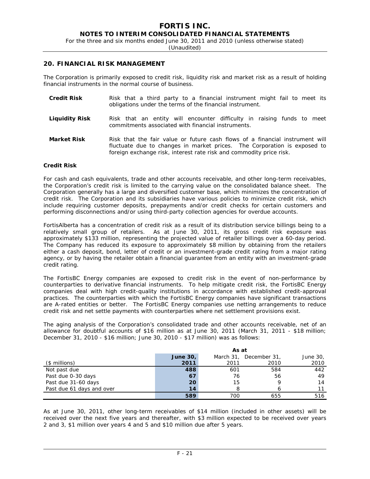For the three and six months ended June 30, 2011 and 2010 (unless otherwise stated)

(Unaudited)

### **20. FINANCIAL RISK MANAGEMENT**

The Corporation is primarily exposed to credit risk, liquidity risk and market risk as a result of holding financial instruments in the normal course of business.

| <b>Credit Risk</b> | Risk that a third party to a financial instrument might fail to meet its<br>obligations under the terms of the financial instrument.                                                                                            |
|--------------------|---------------------------------------------------------------------------------------------------------------------------------------------------------------------------------------------------------------------------------|
| Liquidity Risk     | Risk that an entity will encounter difficulty in raising funds to meet<br>commitments associated with financial instruments.                                                                                                    |
| <b>Market Risk</b> | Risk that the fair value or future cash flows of a financial instrument will<br>fluctuate due to changes in market prices. The Corporation is exposed to<br>foreign exchange risk, interest rate risk and commodity price risk. |

#### **Credit Risk**

For cash and cash equivalents, trade and other accounts receivable, and other long-term receivables, the Corporation's credit risk is limited to the carrying value on the consolidated balance sheet. The Corporation generally has a large and diversified customer base, which minimizes the concentration of credit risk. The Corporation and its subsidiaries have various policies to minimize credit risk, which include requiring customer deposits, prepayments and/or credit checks for certain customers and performing disconnections and/or using third-party collection agencies for overdue accounts.

FortisAlberta has a concentration of credit risk as a result of its distribution service billings being to a relatively small group of retailers. As at June 30, 2011, its gross credit risk exposure was approximately \$133 million, representing the projected value of retailer billings over a 60-day period. The Company has reduced its exposure to approximately \$8 million by obtaining from the retailers either a cash deposit, bond, letter of credit or an investment-grade credit rating from a major rating agency, or by having the retailer obtain a financial guarantee from an entity with an investment-grade credit rating.

The FortisBC Energy companies are exposed to credit risk in the event of non-performance by counterparties to derivative financial instruments. To help mitigate credit risk, the FortisBC Energy companies deal with high credit-quality institutions in accordance with established credit-approval practices. The counterparties with which the FortisBC Energy companies have significant transactions are A-rated entities or better. The FortisBC Energy companies use netting arrangements to reduce credit risk and net settle payments with counterparties where net settlement provisions exist.

The aging analysis of the Corporation's consolidated trade and other accounts receivable, net of an allowance for doubtful accounts of \$16 million as at June 30, 2011 (March 31, 2011 - \$18 million; December 31, 2010 - \$16 million; June 30, 2010 - \$17 million) was as follows:

|                           | As at           |      |                        |          |
|---------------------------|-----------------|------|------------------------|----------|
|                           | <b>June 30,</b> |      | March 31, December 31, | June 30, |
| $($$ millions)            | 2011            | 2011 | 2010                   | 2010     |
| Not past due              | 488             | 601  | 584                    | 442      |
| Past due 0-30 days        | 67              | 76   | 56                     | 49       |
| Past due 31-60 days       | 20              | 15   | Q                      | 14       |
| Past due 61 days and over | 14              | 8    |                        |          |
|                           | 589             | 700  | 655                    | 516      |

As at June 30, 2011, other long-term receivables of \$14 million (included in other assets) will be received over the next five years and thereafter, with \$3 million expected to be received over years 2 and 3, \$1 million over years 4 and 5 and \$10 million due after 5 years.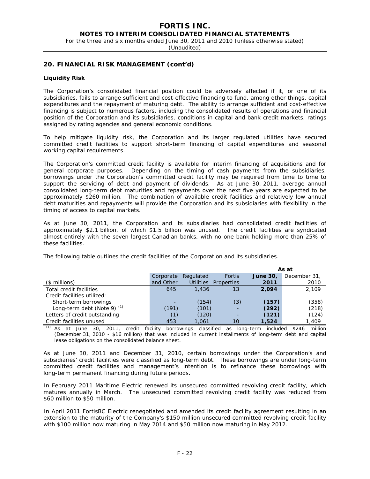For the three and six months ended June 30, 2011 and 2010 (unless otherwise stated)

(Unaudited)

# **20. FINANCIAL RISK MANAGEMENT (cont'd)**

### **Liquidity Risk**

The Corporation's consolidated financial position could be adversely affected if it, or one of its subsidiaries, fails to arrange sufficient and cost-effective financing to fund, among other things, capital expenditures and the repayment of maturing debt. The ability to arrange sufficient and cost-effective financing is subject to numerous factors, including the consolidated results of operations and financial position of the Corporation and its subsidiaries, conditions in capital and bank credit markets, ratings assigned by rating agencies and general economic conditions.

To help mitigate liquidity risk, the Corporation and its larger regulated utilities have secured committed credit facilities to support short-term financing of capital expenditures and seasonal working capital requirements.

The Corporation's committed credit facility is available for interim financing of acquisitions and for general corporate purposes. Depending on the timing of cash payments from the subsidiaries, borrowings under the Corporation's committed credit facility may be required from time to time to support the servicing of debt and payment of dividends. As at June 30, 2011, average annual consolidated long-term debt maturities and repayments over the next five years are expected to be approximately \$260 million. The combination of available credit facilities and relatively low annual debt maturities and repayments will provide the Corporation and its subsidiaries with flexibility in the timing of access to capital markets.

As at June 30, 2011, the Corporation and its subsidiaries had consolidated credit facilities of approximately \$2.1 billion, of which \$1.5 billion was unused. The credit facilities are syndicated almost entirely with the seven largest Canadian banks, with no one bank holding more than 25% of these facilities.

The following table outlines the credit facilities of the Corporation and its subsidiaries.

|                               |           |           |                      |                 | As at        |
|-------------------------------|-----------|-----------|----------------------|-----------------|--------------|
|                               | Corporate | Regulated | <b>Fortis</b>        | <b>June 30,</b> | December 31, |
| $($$ millions)                | and Other |           | Utilities Properties | 2011            | 2010         |
| Total credit facilities       | 645       | 1,436     | 13                   | 2,094           | 2,109        |
| Credit facilities utilized:   |           |           |                      |                 |              |
| Short-term borrowings         |           | (154)     | (3)                  | (157)           | (358)        |
| Long-term debt (Note 9) $(1)$ | (191)     | (101)     |                      | (292)           | (218)        |
| Letters of credit outstanding |           | (120)     |                      | (121)           | (124)        |
| Credit facilities unused      | 453       | 1,061     | 10                   | 1,524           | 1.409        |

*(1)* As at June 30, 2011, credit facility borrowings classified as long-term included \$246 million (December 31, 2010 - \$16 million) that was included in current installments of long-term debt and capital lease obligations on the consolidated balance sheet.

As at June 30, 2011 and December 31, 2010, certain borrowings under the Corporation's and subsidiaries' credit facilities were classified as long-term debt. These borrowings are under long-term committed credit facilities and management's intention is to refinance these borrowings with long-term permanent financing during future periods.

In February 2011 Maritime Electric renewed its unsecured committed revolving credit facility, which matures annually in March. The unsecured committed revolving credit facility was reduced from \$60 million to \$50 million.

In April 2011 FortisBC Electric renegotiated and amended its credit facility agreement resulting in an extension to the maturity of the Company's \$150 million unsecured committed revolving credit facility with \$100 million now maturing in May 2014 and \$50 million now maturing in May 2012.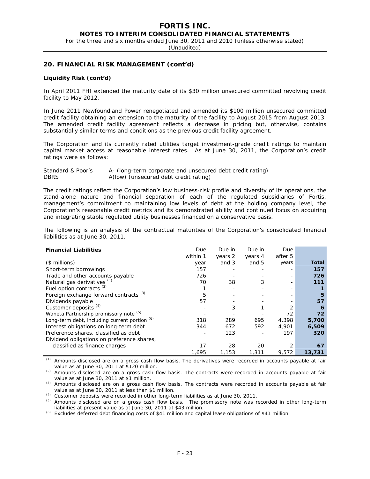For the three and six months ended June 30, 2011 and 2010 (unless otherwise stated)

(Unaudited)

# **20. FINANCIAL RISK MANAGEMENT (cont'd)**

### **Liquidity Risk (cont'd)**

In April 2011 FHI extended the maturity date of its \$30 million unsecured committed revolving credit facility to May 2012.

In June 2011 Newfoundland Power renegotiated and amended its \$100 million unsecured committed credit facility obtaining an extension to the maturity of the facility to August 2015 from August 2013. The amended credit facility agreement reflects a decrease in pricing but, otherwise, contains substantially similar terms and conditions as the previous credit facility agreement.

The Corporation and its currently rated utilities target investment-grade credit ratings to maintain capital market access at reasonable interest rates. As at June 30, 2011, the Corporation's credit ratings were as follows:

| Standard & Poor's | A- (long-term corporate and unsecured debt credit rating) |
|-------------------|-----------------------------------------------------------|
| <b>DBRS</b>       | A(low) (unsecured debt credit rating)                     |

The credit ratings reflect the Corporation's low business-risk profile and diversity of its operations, the stand-alone nature and financial separation of each of the regulated subsidiaries of Fortis, management's commitment to maintaining low levels of debt at the holding company level, the Corporation's reasonable credit metrics and its demonstrated ability and continued focus on acquiring and integrating stable regulated utility businesses financed on a conservative basis.

The following is an analysis of the contractual maturities of the Corporation's consolidated financial liabilities as at June 30, 2011.

| <b>Financial Liabilities</b>                      | Due      | Due in  | Due in  | Due     |        |
|---------------------------------------------------|----------|---------|---------|---------|--------|
|                                                   | within 1 | years 2 | years 4 | after 5 |        |
| $($$ millions)                                    | year     | and 3   | and 5   | vears   | Total  |
| Short-term borrowings                             | 157      |         |         |         | 157    |
| Trade and other accounts payable                  | 726      |         |         |         | 726    |
| Natural gas derivatives (1)                       | 70       | 38      | 3       |         | 111    |
| Fuel option contracts <sup>(2)</sup>              |          |         |         |         |        |
| Foreign exchange forward contracts <sup>(3)</sup> | 5        |         |         |         | 5      |
| Dividends payable                                 | 57       |         |         |         | 57     |
| Customer deposits <sup>(4)</sup>                  |          | 3       |         | 2       | 6      |
| Waneta Partnership promissory note (5)            |          |         |         | 72      | 72     |
| Long-term debt, including current portion (6)     | 318      | 289     | 695     | 4,398   | 5,700  |
| Interest obligations on long-term debt            | 344      | 672     | 592     | 4,901   | 6,509  |
| Preference shares, classified as debt             |          | 123     |         | 197     | 320    |
| Dividend obligations on preference shares,        |          |         |         |         |        |
| classified as finance charges                     | 17       | 28      | 20      | 2       | 67     |
|                                                   | 1,695    | 1,153   | 1,311   | 9,572   | 13,731 |

*(1)* Amounts disclosed are on a gross cash flow basis. The derivatives were recorded in accounts payable at fair value as at June 30, 2011 at \$120 million.

*(2)* Amounts disclosed are on a gross cash flow basis. The contracts were recorded in accounts payable at fair value as at June 30, 2011 at \$1 million.

*(3)* Amounts disclosed are on a gross cash flow basis. The contracts were recorded in accounts payable at fair value as at June 30, 2011 at less than \$1 million.

*(4)* Customer deposits were recorded in other long-term liabilities as at June 30, 2011.

*(5)* Amounts disclosed are on a gross cash flow basis. The promissory note was recorded in other long-term liabilities at present value as at June 30, 2011 at \$43 million.

*(6)* Excludes deferred debt financing costs of \$41 million and capital lease obligations of \$41 million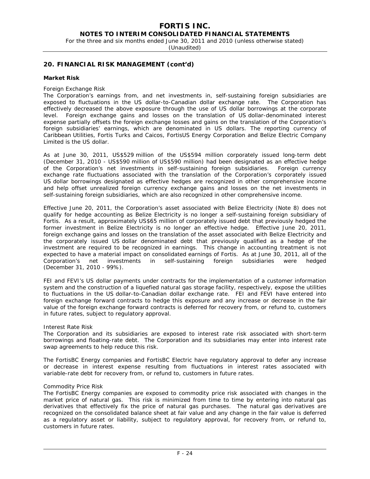For the three and six months ended June 30, 2011 and 2010 (unless otherwise stated)

(Unaudited)

# **20. FINANCIAL RISK MANAGEMENT (cont'd)**

### **Market Risk**

### *Foreign Exchange Risk*

The Corporation's earnings from, and net investments in, self-sustaining foreign subsidiaries are exposed to fluctuations in the US dollar-to-Canadian dollar exchange rate. The Corporation has effectively decreased the above exposure through the use of US dollar borrowings at the corporate level. Foreign exchange gains and losses on the translation of US dollar-denominated interest expense partially offsets the foreign exchange losses and gains on the translation of the Corporation's foreign subsidiaries' earnings, which are denominated in US dollars. The reporting currency of Caribbean Utilities, Fortis Turks and Caicos, FortisUS Energy Corporation and Belize Electric Company Limited is the US dollar.

As at June 30, 2011, US\$529 million of the US\$594 million corporately issued long-term debt (December 31, 2010 - US\$590 million of US\$590 million) had been designated as an effective hedge of the Corporation's net investments in self-sustaining foreign subsidiaries. Foreign currency exchange rate fluctuations associated with the translation of the Corporation's corporately issued US dollar borrowings designated as effective hedges are recognized in other comprehensive income and help offset unrealized foreign currency exchange gains and losses on the net investments in self-sustaining foreign subsidiaries, which are also recognized in other comprehensive income.

Effective June 20, 2011, the Corporation's asset associated with Belize Electricity (Note 8) does not qualify for hedge accounting as Belize Electricity is no longer a self-sustaining foreign subsidiary of Fortis. As a result, approximately US\$65 million of corporately issued debt that previously hedged the former investment in Belize Electricity is no longer an effective hedge. Effective June 20, 2011, foreign exchange gains and losses on the translation of the asset associated with Belize Electricity and the corporately issued US dollar denominated debt that previously qualified as a hedge of the investment are required to be recognized in earnings. This change in accounting treatment is not expected to have a material impact on consolidated earnings of Fortis. As at June 30, 2011, all of the Corporation's net investments in self-sustaining foreign subsidiaries were hedged (December 31, 2010 - 99%).

FEI and FEVI's US dollar payments under contracts for the implementation of a customer information system and the construction of a liquefied natural gas storage facility, respectively, expose the utilities to fluctuations in the US dollar-to-Canadian dollar exchange rate. FEI and FEVI have entered into foreign exchange forward contracts to hedge this exposure and any increase or decrease in the fair value of the foreign exchange forward contracts is deferred for recovery from, or refund to, customers in future rates, subject to regulatory approval.

### *Interest Rate Risk*

The Corporation and its subsidiaries are exposed to interest rate risk associated with short-term borrowings and floating-rate debt. The Corporation and its subsidiaries may enter into interest rate swap agreements to help reduce this risk.

The FortisBC Energy companies and FortisBC Electric have regulatory approval to defer any increase or decrease in interest expense resulting from fluctuations in interest rates associated with variable-rate debt for recovery from, or refund to, customers in future rates.

### *Commodity Price Risk*

The FortisBC Energy companies are exposed to commodity price risk associated with changes in the market price of natural gas. This risk is minimized from time to time by entering into natural gas derivatives that effectively fix the price of natural gas purchases. The natural gas derivatives are recognized on the consolidated balance sheet at fair value and any change in the fair value is deferred as a regulatory asset or liability, subject to regulatory approval, for recovery from, or refund to, customers in future rates.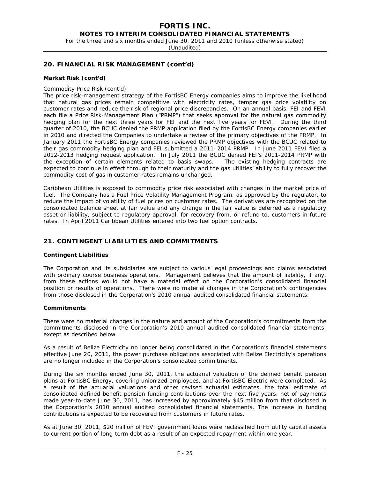# **FORTIS INC.**

**NOTES TO INTERIM CONSOLIDATED FINANCIAL STATEMENTS** 

For the three and six months ended June 30, 2011 and 2010 (unless otherwise stated)

(Unaudited)

# **20. FINANCIAL RISK MANAGEMENT (cont'd)**

#### **Market Risk (cont'd)**

### *Commodity Price Risk (cont'd)*

The price risk-management strategy of the FortisBC Energy companies aims to improve the likelihood that natural gas prices remain competitive with electricity rates, temper gas price volatility on customer rates and reduce the risk of regional price discrepancies. On an annual basis, FEI and FEVI each file a Price Risk-Management Plan ("PRMP") that seeks approval for the natural gas commodity hedging plan for the next three years for FEI and the next five years for FEVI. During the third quarter of 2010, the BCUC denied the PRMP application filed by the FortisBC Energy companies earlier in 2010 and directed the Companies to undertake a review of the primary objectives of the PRMP. In January 2011 the FortisBC Energy companies reviewed the PRMP objectives with the BCUC related to their gas commodity hedging plan and FEI submitted a 2011–2014 PRMP. In June 2011 FEVI filed a 2012-2013 hedging request application. In July 2011 the BCUC denied FEI's 2011-2014 PRMP with the exception of certain elements related to basis swaps. The existing hedging contracts are expected to continue in effect through to their maturity and the gas utilities' ability to fully recover the commodity cost of gas in customer rates remains unchanged.

Caribbean Utilities is exposed to commodity price risk associated with changes in the market price of fuel. The Company has a Fuel Price Volatility Management Program, as approved by the regulator, to reduce the impact of volatility of fuel prices on customer rates. The derivatives are recognized on the consolidated balance sheet at fair value and any change in the fair value is deferred as a regulatory asset or liability, subject to regulatory approval, for recovery from, or refund to, customers in future rates. In April 2011 Caribbean Utilities entered into two fuel option contracts.

# **21. CONTINGENT LIABILITIES AND COMMITMENTS**

### **Contingent Liabilities**

The Corporation and its subsidiaries are subject to various legal proceedings and claims associated with ordinary course business operations. Management believes that the amount of liability, if any, from these actions would not have a material effect on the Corporation's consolidated financial position or results of operations. There were no material changes in the Corporation's contingencies from those disclosed in the Corporation's 2010 annual audited consolidated financial statements.

#### **Commitments**

There were no material changes in the nature and amount of the Corporation's commitments from the commitments disclosed in the Corporation's 2010 annual audited consolidated financial statements, except as described below.

As a result of Belize Electricity no longer being consolidated in the Corporation's financial statements effective June 20, 2011, the power purchase obligations associated with Belize Electricity's operations are no longer included in the Corporation's consolidated commitments.

During the six months ended June 30, 2011, the actuarial valuation of the defined benefit pension plans at FortisBC Energy, covering unionized employees, and at FortisBC Electric were completed. As a result of the actuarial valuations and other revised actuarial estimates, the total estimate of consolidated defined benefit pension funding contributions over the next five years, net of payments made year-to-date June 30, 2011, has increased by approximately \$45 million from that disclosed in the Corporation's 2010 annual audited consolidated financial statements. The increase in funding contributions is expected to be recovered from customers in future rates.

As at June 30, 2011, \$20 million of FEVI government loans were reclassified from utility capital assets to current portion of long-term debt as a result of an expected repayment within one year.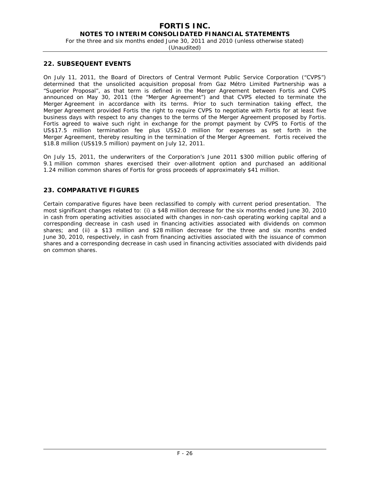# **FORTIS INC.**

# **NOTES TO INTERIM CONSOLIDATED FINANCIAL STATEMENTS**

For the three and six months ended June 30, 2011 and 2010 (unless otherwise stated)

(Unaudited)

### **22. SUBSEQUENT EVENTS**

On July 11, 2011, the Board of Directors of Central Vermont Public Service Corporation ("CVPS") determined that the unsolicited acquisition proposal from Gaz Métro Limited Partnership was a "Superior Proposal", as that term is defined in the Merger Agreement between Fortis and CVPS announced on May 30, 2011 (the "Merger Agreement") and that CVPS elected to terminate the Merger Agreement in accordance with its terms. Prior to such termination taking effect, the Merger Agreement provided Fortis the right to require CVPS to negotiate with Fortis for at least five business days with respect to any changes to the terms of the Merger Agreement proposed by Fortis. Fortis agreed to waive such right in exchange for the prompt payment by CVPS to Fortis of the US\$17.5 million termination fee plus US\$2.0 million for expenses as set forth in the Merger Agreement, thereby resulting in the termination of the Merger Agreement. Fortis received the \$18.8 million (US\$19.5 million) payment on July 12, 2011.

On July 15, 2011, the underwriters of the Corporation's June 2011 \$300 million public offering of 9.1 million common shares exercised their over-allotment option and purchased an additional 1.24 million common shares of Fortis for gross proceeds of approximately \$41 million.

# **23. COMPARATIVE FIGURES**

Certain comparative figures have been reclassified to comply with current period presentation. The most significant changes related to: (i) a \$48 million decrease for the six months ended June 30, 2010 in cash from operating activities associated with changes in non-cash operating working capital and a corresponding decrease in cash used in financing activities associated with dividends on common shares; and (ii) a \$13 million and \$28 million decrease for the three and six months ended June 30, 2010, respectively, in cash from financing activities associated with the issuance of common shares and a corresponding decrease in cash used in financing activities associated with dividends paid on common shares.